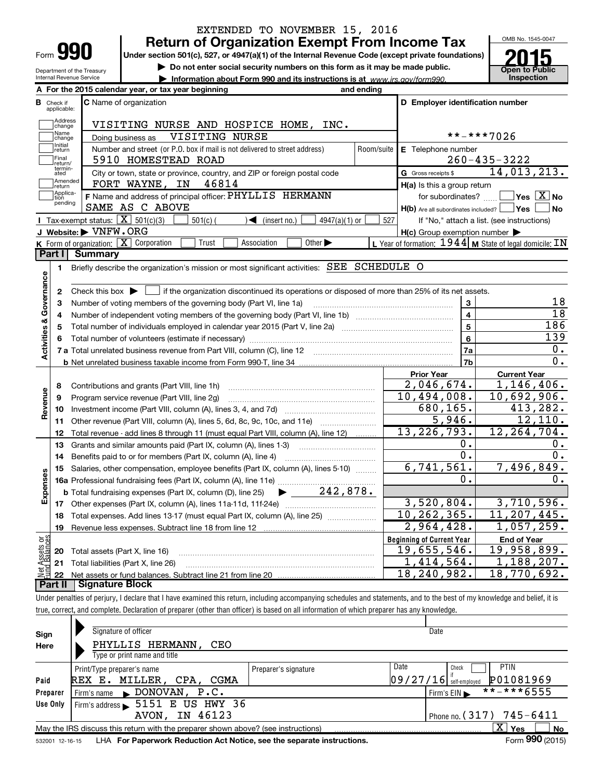|                           |                                  |                                             | EXTENDED TO NOVEMBER 15, 2016                                                                                                                                              |            |                                                     |                                                           |
|---------------------------|----------------------------------|---------------------------------------------|----------------------------------------------------------------------------------------------------------------------------------------------------------------------------|------------|-----------------------------------------------------|-----------------------------------------------------------|
|                           |                                  |                                             | <b>Return of Organization Exempt From Income Tax</b>                                                                                                                       |            |                                                     | OMB No. 1545-0047                                         |
| Form                      |                                  | YYI                                         | Under section 501(c), 527, or 4947(a)(1) of the Internal Revenue Code (except private foundations)                                                                         |            |                                                     |                                                           |
|                           |                                  | Department of the Treasury                  | Do not enter social security numbers on this form as it may be made public.                                                                                                |            |                                                     | <b>Open to Public</b>                                     |
|                           |                                  | Internal Revenue Service                    | Information about Form 990 and its instructions is at www.irs.gov/form990.                                                                                                 |            |                                                     | Inspection                                                |
|                           |                                  |                                             | A For the 2015 calendar year, or tax year beginning                                                                                                                        | and ending |                                                     |                                                           |
|                           | <b>B</b> Check if<br>applicable: |                                             | <b>C</b> Name of organization                                                                                                                                              |            | D Employer identification number                    |                                                           |
|                           | Address<br>change                |                                             | VISITING NURSE AND HOSPICE HOME, INC.                                                                                                                                      |            |                                                     |                                                           |
|                           | Name<br>change                   |                                             | VISITING NURSE<br>Doing business as                                                                                                                                        |            |                                                     | **-***7026                                                |
|                           | Initial<br>return                |                                             | Number and street (or P.O. box if mail is not delivered to street address)                                                                                                 | Room/suite | E Telephone number                                  |                                                           |
|                           | Final<br>return/                 |                                             | 5910 HOMESTEAD ROAD                                                                                                                                                        |            |                                                     | $260 - 435 - 3222$                                        |
|                           | termin-<br>ated                  |                                             | City or town, state or province, country, and ZIP or foreign postal code                                                                                                   |            | G Gross receipts \$                                 | 14,013,213.                                               |
|                           | Amended<br>return                |                                             | FORT WAYNE, IN<br>46814                                                                                                                                                    |            | H(a) Is this a group return                         |                                                           |
|                           | Applica-<br>tion                 |                                             | F Name and address of principal officer: PHYLLIS HERMANN                                                                                                                   |            | for subordinates?                                   | $\overline{\ }$ Yes $\overline{\phantom{a}X}$ No          |
|                           | pending                          |                                             | SAME AS C ABOVE                                                                                                                                                            |            | $H(b)$ Are all subordinates included?               | Yes<br>No                                                 |
|                           |                                  | Tax-exempt status: $\overline{X}$ 501(c)(3) | $501(c)$ (<br>4947(a)(1) or<br>$\sum$ (insert no.)                                                                                                                         | 527        |                                                     | If "No," attach a list. (see instructions)                |
|                           |                                  | J Website: VNFW.ORG                         |                                                                                                                                                                            |            | $H(c)$ Group exemption number $\blacktriangleright$ |                                                           |
|                           |                                  | K Form of organization: X Corporation       | Trust<br>Association<br>Other $\blacktriangleright$                                                                                                                        |            |                                                     | L Year of formation: $1944$ M State of legal domicile: IN |
|                           | Part I                           | <b>Summary</b>                              |                                                                                                                                                                            |            |                                                     |                                                           |
|                           | 1.                               |                                             | Briefly describe the organization's mission or most significant activities: SEE SCHEDULE O                                                                                 |            |                                                     |                                                           |
| Governance                |                                  |                                             |                                                                                                                                                                            |            |                                                     |                                                           |
|                           | 2                                |                                             | Check this box $\triangleright$ $\blacksquare$ if the organization discontinued its operations or disposed of more than 25% of its net assets.                             |            |                                                     |                                                           |
|                           | 3                                |                                             | Number of voting members of the governing body (Part VI, line 1a)                                                                                                          |            | 3                                                   | 18                                                        |
|                           | 4                                |                                             |                                                                                                                                                                            |            | 4                                                   | $\overline{18}$                                           |
|                           | 5                                |                                             |                                                                                                                                                                            |            | 5                                                   | 186                                                       |
| <b>Activities &amp;</b>   | 6                                |                                             |                                                                                                                                                                            |            | 6                                                   | 139                                                       |
|                           |                                  |                                             | 7 a Total unrelated business revenue from Part VIII, column (C), line 12                                                                                                   |            | 7a                                                  | $0$ .<br>0.                                               |
|                           |                                  |                                             |                                                                                                                                                                            |            | 7b                                                  |                                                           |
|                           |                                  |                                             |                                                                                                                                                                            |            | <b>Prior Year</b><br>2,046,674.                     | <b>Current Year</b><br>1,146,406.                         |
|                           | 8                                |                                             | Contributions and grants (Part VIII, line 1h)                                                                                                                              |            | 10,494,008.                                         | 10,692,906.                                               |
| Revenue                   | 9                                |                                             | Program service revenue (Part VIII, line 2g)                                                                                                                               |            | 680,165.                                            | 413,282.                                                  |
|                           | 10<br>11                         |                                             | Other revenue (Part VIII, column (A), lines 5, 6d, 8c, 9c, 10c, and 11e)                                                                                                   |            | 5,946.                                              | 12,110.                                                   |
|                           | 12                               |                                             | Total revenue - add lines 8 through 11 (must equal Part VIII, column (A), line 12)                                                                                         |            | 13, 226, 793.                                       | 12, 264, 704.                                             |
|                           | 13                               |                                             | Grants and similar amounts paid (Part IX, column (A), lines 1-3)                                                                                                           |            | 0.                                                  | 0.                                                        |
|                           | 14                               |                                             | Benefits paid to or for members (Part IX, column (A), line 4)                                                                                                              |            | 0.                                                  | $\overline{0}$ .                                          |
|                           | 15                               |                                             | Salaries, other compensation, employee benefits (Part IX, column (A), lines 5-10)                                                                                          |            | $6,741,561$ .                                       | 7,496,849.                                                |
|                           |                                  |                                             |                                                                                                                                                                            |            | 0.                                                  | 0.                                                        |
| Expenses                  |                                  |                                             |                                                                                                                                                                            |            |                                                     |                                                           |
|                           | 17                               |                                             | Other expenses (Part IX, column (A), lines 11a-11d, 11f-24e)                                                                                                               |            | 3,520,804.                                          | 3,710,596.                                                |
|                           | 18                               |                                             | Total expenses. Add lines 13-17 (must equal Part IX, column (A), line 25)                                                                                                  |            | 10,262,365.                                         | 11,207,445.                                               |
|                           | 19                               |                                             |                                                                                                                                                                            |            | $\overline{2}$ ,964,428.                            | 1,057,259.                                                |
| t Assets or<br>d Balances |                                  |                                             |                                                                                                                                                                            |            | <b>Beginning of Current Year</b>                    | <b>End of Year</b>                                        |
|                           | 20                               | Total assets (Part X, line 16)              |                                                                                                                                                                            |            | 19,655,546.                                         | 19,958,899.                                               |
|                           | 21                               |                                             | Total liabilities (Part X, line 26)                                                                                                                                        |            | 1,414,564.                                          | 1,188,207.                                                |
| 혏                         | 22                               |                                             |                                                                                                                                                                            |            | 18,240,982.                                         | 18,770,692.                                               |
|                           | Part II                          | <b>Signature Block</b>                      |                                                                                                                                                                            |            |                                                     |                                                           |
|                           |                                  |                                             | Under penalties of perjury, I declare that I have examined this return, including accompanying schedules and statements, and to the best of my knowledge and belief, it is |            |                                                     |                                                           |
|                           |                                  |                                             | true, correct, and complete. Declaration of preparer (other than officer) is based on all information of which preparer has any knowledge.                                 |            |                                                     |                                                           |
|                           |                                  |                                             |                                                                                                                                                                            |            |                                                     |                                                           |

| Sign     | Signature of officer                                                                                                                                                                                                              |                              | Date                                                       |
|----------|-----------------------------------------------------------------------------------------------------------------------------------------------------------------------------------------------------------------------------------|------------------------------|------------------------------------------------------------|
| Here     | PHYLLIS HERMANN,<br>CEO                                                                                                                                                                                                           |                              |                                                            |
|          | Type or print name and title                                                                                                                                                                                                      |                              |                                                            |
|          | Print/Type preparer's name                                                                                                                                                                                                        | Date<br>Preparer's signature | PTIN<br>Check                                              |
| Paid     | MILLER, CPA, CGMA<br>REX E.                                                                                                                                                                                                       |                              | P01081969<br>$09/27/16$ self-employed                      |
| Preparer | Firm's name DONOVAN, P.C.                                                                                                                                                                                                         |                              | **-***6555<br>$\mathsf{Firm}$ 's EIN $\blacktriangleright$ |
| Use Only | Firm's address $\sim$ 5151 E US HWY 36                                                                                                                                                                                            |                              |                                                            |
|          | AVON, IN 46123                                                                                                                                                                                                                    |                              | Phone no. (317) 745-6411                                   |
|          | May the IRS discuss this return with the preparer shown above? (see instructions)                                                                                                                                                 |                              | хI<br>No<br>Yes                                            |
|          | $\mathbf{r}$ . The contract of the contract of the contract of the contract of the contract of the contract of the contract of the contract of the contract of the contract of the contract of the contract of the contract of th |                              | $\sim$ 000 $\sim$                                          |

532001 12-16-15 **For Paperwork Reduction Act Notice, see the separate instructions.** LHA Form (2015)

Form **990** (2015)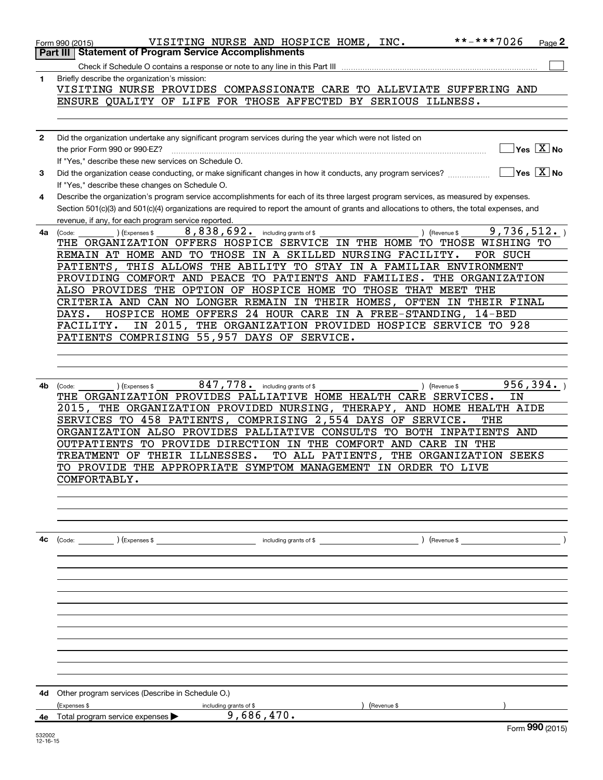|              | **-***7026<br>VISITING NURSE AND HOSPICE HOME, INC.<br>$_{Page}$ 2<br>Form 990 (2015)                                                                          |  |
|--------------|----------------------------------------------------------------------------------------------------------------------------------------------------------------|--|
|              | <b>Part III   Statement of Program Service Accomplishments</b>                                                                                                 |  |
|              |                                                                                                                                                                |  |
| 1            | Briefly describe the organization's mission:                                                                                                                   |  |
|              | VISITING NURSE PROVIDES COMPASSIONATE CARE TO ALLEVIATE SUFFERING AND<br>ENSURE QUALITY OF LIFE FOR THOSE AFFECTED BY SERIOUS ILLNESS.                         |  |
|              |                                                                                                                                                                |  |
|              |                                                                                                                                                                |  |
| $\mathbf{2}$ | Did the organization undertake any significant program services during the year which were not listed on                                                       |  |
|              | Yes $\boxed{X}$ No<br>the prior Form 990 or 990-EZ?                                                                                                            |  |
|              | If "Yes," describe these new services on Schedule O.                                                                                                           |  |
| 3            | Yes $\boxed{X}$ No<br>Did the organization cease conducting, or make significant changes in how it conducts, any program services?                             |  |
|              | If "Yes," describe these changes on Schedule O.                                                                                                                |  |
| 4            | Describe the organization's program service accomplishments for each of its three largest program services, as measured by expenses.                           |  |
|              | Section 501(c)(3) and 501(c)(4) organizations are required to report the amount of grants and allocations to others, the total expenses, and                   |  |
| 4a           | revenue, if any, for each program service reported.<br>8,838,692.<br>9,736,512.<br>(Revenue \$<br>(Expenses \$                                                 |  |
|              | including grants of \$<br>(Code:<br>THE ORGANIZATION OFFERS HOSPICE SERVICE IN THE HOME TO THOSE WISHING TO                                                    |  |
|              | REMAIN AT HOME AND TO THOSE IN A SKILLED NURSING FACILITY.<br>FOR SUCH                                                                                         |  |
|              | THIS ALLOWS THE ABILITY TO STAY IN A FAMILIAR ENVIRONMENT<br>PATIENTS,                                                                                         |  |
|              | PROVIDING COMFORT AND PEACE TO PATIENTS AND FAMILIES. THE ORGANIZATION                                                                                         |  |
|              | ALSO PROVIDES THE OPTION OF HOSPICE HOME TO THOSE THAT MEET THE                                                                                                |  |
|              | CRITERIA AND CAN NO LONGER REMAIN IN THEIR HOMES,<br>OFTEN IN THEIR FINAL                                                                                      |  |
|              | HOSPICE HOME OFFERS 24 HOUR CARE IN A FREE-STANDING, 14-BED<br>DAYS.                                                                                           |  |
|              | IN 2015, THE ORGANIZATION PROVIDED HOSPICE SERVICE TO 928<br>FACILITY.                                                                                         |  |
|              | PATIENTS COMPRISING 55,957 DAYS OF SERVICE.                                                                                                                    |  |
|              |                                                                                                                                                                |  |
|              |                                                                                                                                                                |  |
|              |                                                                                                                                                                |  |
| 4b           | 847,778. including grants of \$<br>956, 394.<br>(Revenue \$<br>(Code:<br>(Expenses \$<br>THE ORGANIZATION PROVIDES PALLIATIVE HOME HEALTH CARE SERVICES.<br>ΙN |  |
|              | 2015, THE ORGANIZATION PROVIDED NURSING, THERAPY, AND HOME HEALTH AIDE                                                                                         |  |
|              | SERVICES TO 458 PATIENTS, COMPRISING 2,554 DAYS OF SERVICE.<br>THE                                                                                             |  |
|              | ORGANIZATION ALSO PROVIDES PALLIATIVE CONSULTS TO BOTH INPATIENTS AND                                                                                          |  |
|              | OUTPATIENTS TO PROVIDE DIRECTION IN THE COMFORT AND CARE IN THE                                                                                                |  |
|              | TO ALL PATIENTS,<br>TREATMENT OF THEIR ILLNESSES.<br>THE ORGANIZATION SEEKS                                                                                    |  |
|              | TO PROVIDE THE APPROPRIATE SYMPTOM MANAGEMENT IN ORDER TO LIVE                                                                                                 |  |
|              | COMFORTABLY.                                                                                                                                                   |  |
|              |                                                                                                                                                                |  |
|              |                                                                                                                                                                |  |
|              |                                                                                                                                                                |  |
|              |                                                                                                                                                                |  |
| 4с           | $\left(\text{Revenue }$                                                                                                                                        |  |
|              |                                                                                                                                                                |  |
|              |                                                                                                                                                                |  |
|              |                                                                                                                                                                |  |
|              |                                                                                                                                                                |  |
|              |                                                                                                                                                                |  |
|              |                                                                                                                                                                |  |
|              |                                                                                                                                                                |  |
|              |                                                                                                                                                                |  |
|              |                                                                                                                                                                |  |
|              |                                                                                                                                                                |  |
|              |                                                                                                                                                                |  |
| 4d           | Other program services (Describe in Schedule O.)                                                                                                               |  |
|              | (Expenses \$<br>(Revenue \$<br>including grants of \$                                                                                                          |  |
| 4е           | 9,686,470.<br>Total program service expenses<br>Form 990 (2015)                                                                                                |  |
|              |                                                                                                                                                                |  |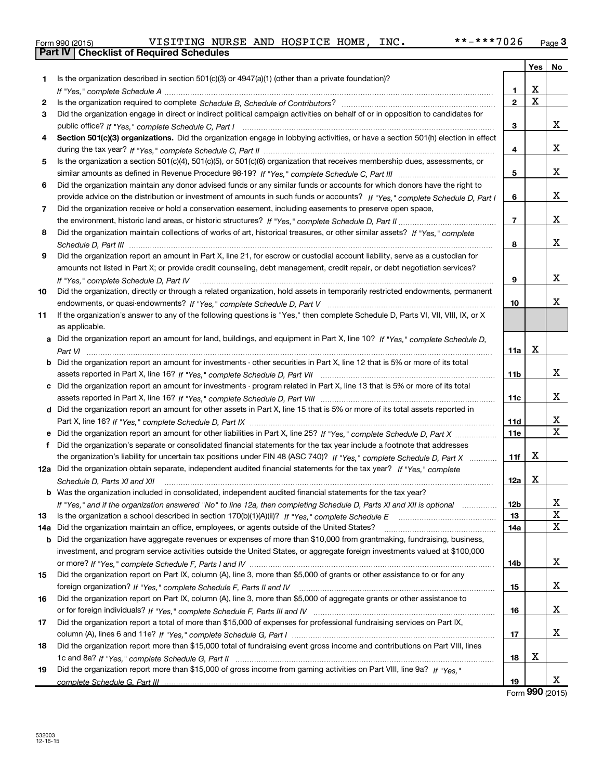| Form 990 (2015) |  |  |
|-----------------|--|--|

**Part IV Checklist of Required Schedules**

|     |                                                                                                                                      |                | <b>Yes</b>              | No                      |
|-----|--------------------------------------------------------------------------------------------------------------------------------------|----------------|-------------------------|-------------------------|
| 1.  | Is the organization described in section $501(c)(3)$ or $4947(a)(1)$ (other than a private foundation)?                              |                |                         |                         |
|     |                                                                                                                                      | 1              | х                       |                         |
| 2   |                                                                                                                                      | $\mathbf 2$    | $\overline{\mathbf{x}}$ |                         |
| 3   | Did the organization engage in direct or indirect political campaign activities on behalf of or in opposition to candidates for      |                |                         |                         |
|     |                                                                                                                                      | 3              |                         | x                       |
| 4   | Section 501(c)(3) organizations. Did the organization engage in lobbying activities, or have a section 501(h) election in effect     |                |                         |                         |
|     |                                                                                                                                      | 4              |                         | X                       |
| 5   | Is the organization a section 501(c)(4), 501(c)(5), or 501(c)(6) organization that receives membership dues, assessments, or         |                |                         |                         |
|     |                                                                                                                                      | 5              |                         | х                       |
| 6   | Did the organization maintain any donor advised funds or any similar funds or accounts for which donors have the right to            |                |                         |                         |
|     | provide advice on the distribution or investment of amounts in such funds or accounts? If "Yes," complete Schedule D, Part I         | 6              |                         | x                       |
| 7   | Did the organization receive or hold a conservation easement, including easements to preserve open space,                            |                |                         |                         |
|     |                                                                                                                                      | $\overline{7}$ |                         | X                       |
| 8   | Did the organization maintain collections of works of art, historical treasures, or other similar assets? If "Yes," complete         |                |                         |                         |
|     |                                                                                                                                      | 8              |                         | x                       |
| 9   | Did the organization report an amount in Part X, line 21, for escrow or custodial account liability, serve as a custodian for        |                |                         |                         |
|     | amounts not listed in Part X; or provide credit counseling, debt management, credit repair, or debt negotiation services?            |                |                         |                         |
|     | If "Yes," complete Schedule D, Part IV                                                                                               | 9              |                         | х                       |
| 10  | Did the organization, directly or through a related organization, hold assets in temporarily restricted endowments, permanent        |                |                         |                         |
|     |                                                                                                                                      | 10             |                         | х                       |
| 11  | If the organization's answer to any of the following questions is "Yes," then complete Schedule D, Parts VI, VIII, VIII, IX, or X    |                |                         |                         |
|     | as applicable.                                                                                                                       |                |                         |                         |
|     | a Did the organization report an amount for land, buildings, and equipment in Part X, line 10? If "Yes," complete Schedule D,        |                |                         |                         |
|     |                                                                                                                                      | 11a            | х                       |                         |
|     | <b>b</b> Did the organization report an amount for investments - other securities in Part X, line 12 that is 5% or more of its total |                |                         |                         |
|     |                                                                                                                                      | 11b            |                         | x                       |
|     | c Did the organization report an amount for investments - program related in Part X, line 13 that is 5% or more of its total         |                |                         |                         |
|     |                                                                                                                                      | 11c            |                         | х                       |
|     | d Did the organization report an amount for other assets in Part X, line 15 that is 5% or more of its total assets reported in       |                |                         |                         |
|     |                                                                                                                                      | 11d            |                         | x                       |
|     |                                                                                                                                      | <b>11e</b>     |                         | $\overline{\mathbf{x}}$ |
|     | f Did the organization's separate or consolidated financial statements for the tax year include a footnote that addresses            |                |                         |                         |
|     | the organization's liability for uncertain tax positions under FIN 48 (ASC 740)? If "Yes," complete Schedule D, Part X               | 11f            | х                       |                         |
|     | 12a Did the organization obtain separate, independent audited financial statements for the tax year? If "Yes," complete              |                |                         |                         |
|     | Schedule D, Parts XI and XII                                                                                                         | 12a            | х                       |                         |
|     | <b>b</b> Was the organization included in consolidated, independent audited financial statements for the tax year?                   |                |                         |                         |
|     | If "Yes," and if the organization answered "No" to line 12a, then completing Schedule D, Parts XI and XII is optional                | 12b            |                         | X,                      |
| 13  |                                                                                                                                      | 13             |                         | $\mathbf X$             |
| 14a | Did the organization maintain an office, employees, or agents outside of the United States?                                          | 14a            |                         | $\mathbf X$             |
|     | b Did the organization have aggregate revenues or expenses of more than \$10,000 from grantmaking, fundraising, business,            |                |                         |                         |
|     | investment, and program service activities outside the United States, or aggregate foreign investments valued at \$100,000           |                |                         |                         |
|     |                                                                                                                                      | 14b            |                         | X                       |
| 15  | Did the organization report on Part IX, column (A), line 3, more than \$5,000 of grants or other assistance to or for any            |                |                         |                         |
|     |                                                                                                                                      | 15             |                         | x                       |
| 16  | Did the organization report on Part IX, column (A), line 3, more than \$5,000 of aggregate grants or other assistance to             |                |                         |                         |
|     |                                                                                                                                      | 16             |                         | X                       |
| 17  | Did the organization report a total of more than \$15,000 of expenses for professional fundraising services on Part IX,              |                |                         |                         |
|     |                                                                                                                                      | 17             |                         | X                       |
| 18  | Did the organization report more than \$15,000 total of fundraising event gross income and contributions on Part VIII, lines         |                |                         |                         |
|     |                                                                                                                                      | 18             | х                       |                         |
| 19  | Did the organization report more than \$15,000 of gross income from gaming activities on Part VIII, line 9a? If "Yes."               |                |                         |                         |
|     |                                                                                                                                      | 19             |                         | X                       |

Form (2015) **990**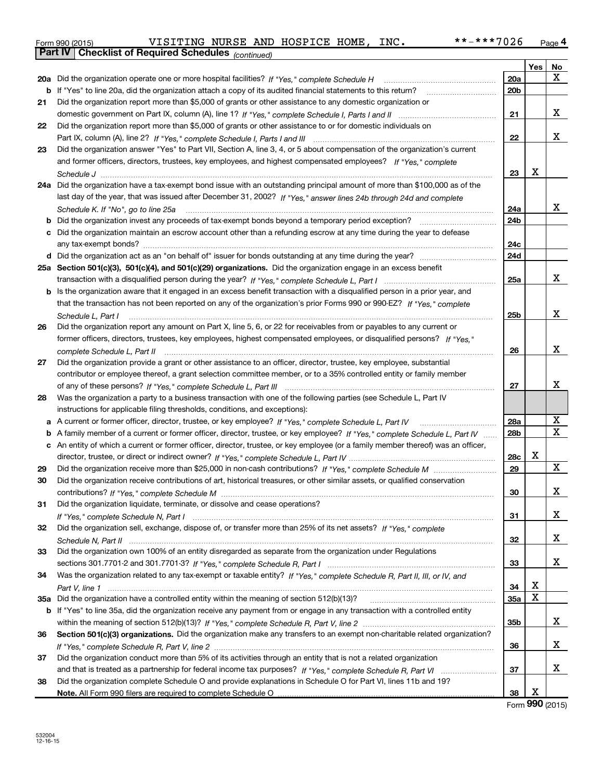| Form 990 (2015) | VISITING NURSE AND HOSPICE HOME, |  |  |  | INC. | **-***7026 | Page |
|-----------------|----------------------------------|--|--|--|------|------------|------|
|-----------------|----------------------------------|--|--|--|------|------------|------|

|     | <b>Part IV   Checklist of Required Schedules</b> (continued)                                                                        |                 |     |    |
|-----|-------------------------------------------------------------------------------------------------------------------------------------|-----------------|-----|----|
|     |                                                                                                                                     |                 | Yes | No |
|     | 20a Did the organization operate one or more hospital facilities? If "Yes," complete Schedule H                                     | 20a             |     | x  |
|     | b If "Yes" to line 20a, did the organization attach a copy of its audited financial statements to this return?                      | 20 <sub>b</sub> |     |    |
| 21  | Did the organization report more than \$5,000 of grants or other assistance to any domestic organization or                         |                 |     |    |
|     |                                                                                                                                     | 21              |     | x  |
| 22  | Did the organization report more than \$5,000 of grants or other assistance to or for domestic individuals on                       |                 |     |    |
|     |                                                                                                                                     | 22              |     | x  |
| 23  | Did the organization answer "Yes" to Part VII, Section A, line 3, 4, or 5 about compensation of the organization's current          |                 |     |    |
|     | and former officers, directors, trustees, key employees, and highest compensated employees? If "Yes," complete                      |                 |     |    |
|     |                                                                                                                                     | 23              | X   |    |
|     | 24a Did the organization have a tax-exempt bond issue with an outstanding principal amount of more than \$100,000 as of the         |                 |     |    |
|     | last day of the year, that was issued after December 31, 2002? If "Yes," answer lines 24b through 24d and complete                  |                 |     |    |
|     |                                                                                                                                     | 24a             |     | x  |
| b   |                                                                                                                                     | 24b             |     |    |
| c   | Did the organization maintain an escrow account other than a refunding escrow at any time during the year to defease                |                 |     |    |
|     |                                                                                                                                     | 24c             |     |    |
|     |                                                                                                                                     | 24d             |     |    |
|     | 25a Section 501(c)(3), 501(c)(4), and 501(c)(29) organizations. Did the organization engage in an excess benefit                    |                 |     |    |
|     |                                                                                                                                     | 25a             |     | x  |
|     | <b>b</b> Is the organization aware that it engaged in an excess benefit transaction with a disqualified person in a prior year, and |                 |     |    |
|     | that the transaction has not been reported on any of the organization's prior Forms 990 or 990-EZ? If "Yes," complete               |                 |     |    |
|     | Schedule L, Part I                                                                                                                  | 25b             |     | X  |
| 26  | Did the organization report any amount on Part X, line 5, 6, or 22 for receivables from or payables to any current or               |                 |     |    |
|     | former officers, directors, trustees, key employees, highest compensated employees, or disqualified persons? If "Yes."              |                 |     |    |
|     | complete Schedule L, Part II                                                                                                        | 26              |     | X  |
| 27  | Did the organization provide a grant or other assistance to an officer, director, trustee, key employee, substantial                |                 |     |    |
|     | contributor or employee thereof, a grant selection committee member, or to a 35% controlled entity or family member                 |                 |     |    |
|     |                                                                                                                                     | 27              |     | х  |
| 28  | Was the organization a party to a business transaction with one of the following parties (see Schedule L, Part IV                   |                 |     |    |
|     | instructions for applicable filing thresholds, conditions, and exceptions):                                                         |                 |     |    |
|     |                                                                                                                                     | 28a             |     | Χ  |
| b   | A family member of a current or former officer, director, trustee, or key employee? If "Yes," complete Schedule L. Part IV          | 28 <sub>b</sub> |     | х  |
|     | c An entity of which a current or former officer, director, trustee, or key employee (or a family member thereof) was an officer,   |                 |     |    |
|     |                                                                                                                                     | 28c             | х   |    |
| 29  |                                                                                                                                     | 29              |     | X  |
| 30  | Did the organization receive contributions of art, historical treasures, or other similar assets, or qualified conservation         |                 |     |    |
|     |                                                                                                                                     | 30              |     | х  |
| 31  | Did the organization liquidate, terminate, or dissolve and cease operations?                                                        |                 |     |    |
|     |                                                                                                                                     | 31              |     | х  |
| 32  | Did the organization sell, exchange, dispose of, or transfer more than 25% of its net assets? If "Yes," complete                    |                 |     |    |
|     |                                                                                                                                     | 32              |     | х  |
| 33  | Did the organization own 100% of an entity disregarded as separate from the organization under Regulations                          |                 |     |    |
|     |                                                                                                                                     | 33              |     | х  |
| 34  | Was the organization related to any tax-exempt or taxable entity? If "Yes," complete Schedule R, Part II, III, or IV, and           |                 |     |    |
|     |                                                                                                                                     | 34              | х   |    |
| 35а |                                                                                                                                     | 35a             | X   |    |
|     | b If "Yes" to line 35a, did the organization receive any payment from or engage in any transaction with a controlled entity         |                 |     |    |
|     |                                                                                                                                     | 35 <sub>b</sub> |     | x  |
| 36  | Section 501(c)(3) organizations. Did the organization make any transfers to an exempt non-charitable related organization?          |                 |     |    |
|     |                                                                                                                                     | 36              |     | х  |
| 37  | Did the organization conduct more than 5% of its activities through an entity that is not a related organization                    |                 |     |    |
|     |                                                                                                                                     | 37              |     | х  |
| 38  | Did the organization complete Schedule O and provide explanations in Schedule O for Part VI, lines 11b and 19?                      |                 |     |    |
|     |                                                                                                                                     | 38              | х   |    |

Form (2015) **990**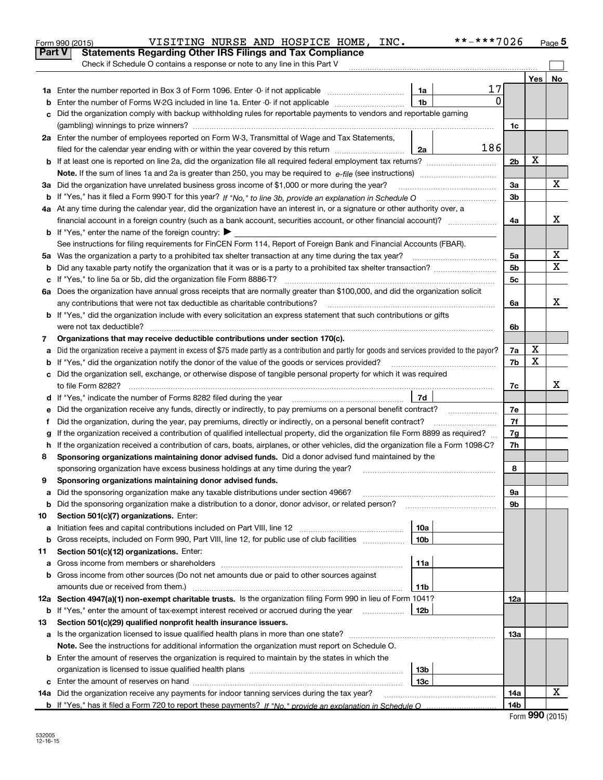|               | VISITING NURSE AND HOSPICE HOME, INC.<br>Form 990 (2015)                                                                                                                                                                                     |                        | **-***7026 |                |     | Page 5 |  |  |
|---------------|----------------------------------------------------------------------------------------------------------------------------------------------------------------------------------------------------------------------------------------------|------------------------|------------|----------------|-----|--------|--|--|
| <b>Part V</b> | <b>Statements Regarding Other IRS Filings and Tax Compliance</b>                                                                                                                                                                             |                        |            |                |     |        |  |  |
|               | Check if Schedule O contains a response or note to any line in this Part V                                                                                                                                                                   |                        |            |                |     |        |  |  |
|               |                                                                                                                                                                                                                                              |                        |            |                | Yes | No     |  |  |
|               | <b>1a</b> Enter the number reported in Box 3 of Form 1096. Enter -0- if not applicable                                                                                                                                                       | 1a                     | 17         |                |     |        |  |  |
| b             | Enter the number of Forms W-2G included in line 1a. Enter -0- if not applicable                                                                                                                                                              | 1b                     | 0          |                |     |        |  |  |
| c             | Did the organization comply with backup withholding rules for reportable payments to vendors and reportable gaming                                                                                                                           |                        |            |                |     |        |  |  |
|               |                                                                                                                                                                                                                                              |                        |            | 1c             |     |        |  |  |
|               | 2a Enter the number of employees reported on Form W-3, Transmittal of Wage and Tax Statements,                                                                                                                                               |                        |            |                |     |        |  |  |
|               | filed for the calendar year ending with or within the year covered by this return                                                                                                                                                            | 2a                     | 186        |                |     |        |  |  |
|               | <b>b</b> If at least one is reported on line 2a, did the organization file all required federal employment tax returns?                                                                                                                      |                        |            | 2 <sub>b</sub> | х   |        |  |  |
|               |                                                                                                                                                                                                                                              |                        |            |                |     |        |  |  |
|               | 3a Did the organization have unrelated business gross income of \$1,000 or more during the year?                                                                                                                                             |                        |            | 3a             |     | X      |  |  |
|               |                                                                                                                                                                                                                                              |                        |            | 3b             |     |        |  |  |
|               | 4a At any time during the calendar year, did the organization have an interest in, or a signature or other authority over, a                                                                                                                 |                        |            |                |     |        |  |  |
|               | financial account in a foreign country (such as a bank account, securities account, or other financial account)?                                                                                                                             |                        |            | 4a             |     | х      |  |  |
|               | <b>b</b> If "Yes," enter the name of the foreign country: $\blacktriangleright$                                                                                                                                                              |                        |            |                |     |        |  |  |
|               | See instructions for filing requirements for FinCEN Form 114, Report of Foreign Bank and Financial Accounts (FBAR).                                                                                                                          |                        |            |                |     |        |  |  |
|               | 5a Was the organization a party to a prohibited tax shelter transaction at any time during the tax year?                                                                                                                                     |                        |            | 5a             |     | х<br>X |  |  |
| b             |                                                                                                                                                                                                                                              |                        |            | 5 <sub>b</sub> |     |        |  |  |
|               | c If "Yes," to line 5a or 5b, did the organization file Form 8886-T?                                                                                                                                                                         |                        |            | 5с             |     |        |  |  |
|               | 6a Does the organization have annual gross receipts that are normally greater than \$100,000, and did the organization solicit                                                                                                               |                        |            |                |     |        |  |  |
|               | any contributions that were not tax deductible as charitable contributions?                                                                                                                                                                  |                        |            | 6a             |     | x      |  |  |
|               | <b>b</b> If "Yes," did the organization include with every solicitation an express statement that such contributions or gifts                                                                                                                |                        |            |                |     |        |  |  |
|               | were not tax deductible?                                                                                                                                                                                                                     |                        |            | 6b             |     |        |  |  |
| 7             | Organizations that may receive deductible contributions under section 170(c).                                                                                                                                                                |                        |            |                |     |        |  |  |
| а             | Did the organization receive a payment in excess of \$75 made partly as a contribution and partly for goods and services provided to the payor?                                                                                              |                        |            | 7a             | х   |        |  |  |
|               | <b>b</b> If "Yes," did the organization notify the donor of the value of the goods or services provided?                                                                                                                                     |                        |            | 7b             | х   |        |  |  |
| c             | Did the organization sell, exchange, or otherwise dispose of tangible personal property for which it was required                                                                                                                            |                        |            | 7c             |     | х      |  |  |
|               | to file Form 8282?                                                                                                                                                                                                                           |                        |            |                |     |        |  |  |
|               | d If "Yes," indicate the number of Forms 8282 filed during the year                                                                                                                                                                          | 7d                     |            |                |     |        |  |  |
| е             | Did the organization receive any funds, directly or indirectly, to pay premiums on a personal benefit contract?                                                                                                                              |                        |            | 7e             |     |        |  |  |
| f             | Did the organization, during the year, pay premiums, directly or indirectly, on a personal benefit contract?                                                                                                                                 |                        |            | 7f             |     |        |  |  |
| g             | If the organization received a contribution of qualified intellectual property, did the organization file Form 8899 as required?                                                                                                             |                        |            | 7g             |     |        |  |  |
|               | h If the organization received a contribution of cars, boats, airplanes, or other vehicles, did the organization file a Form 1098-C?<br>Sponsoring organizations maintaining donor advised funds. Did a donor advised fund maintained by the |                        |            | 7h             |     |        |  |  |
| 8             |                                                                                                                                                                                                                                              |                        |            |                |     |        |  |  |
|               | sponsoring organization have excess business holdings at any time during the year?                                                                                                                                                           |                        |            | 8              |     |        |  |  |
| 9             | Sponsoring organizations maintaining donor advised funds.                                                                                                                                                                                    |                        |            |                |     |        |  |  |
| а             | Did the sponsoring organization make any taxable distributions under section 4966?                                                                                                                                                           |                        |            | 9a             |     |        |  |  |
| b             | Did the sponsoring organization make a distribution to a donor, donor advisor, or related person?                                                                                                                                            |                        |            | 9b             |     |        |  |  |
| 10            | Section 501(c)(7) organizations. Enter:                                                                                                                                                                                                      |                        |            |                |     |        |  |  |
| а             | Initiation fees and capital contributions included on Part VIII, line 12 <i>manuarrouus</i> manuations of the lates                                                                                                                          | 10a<br>10 <sub>b</sub> |            |                |     |        |  |  |
| b             | Gross receipts, included on Form 990, Part VIII, line 12, for public use of club facilities                                                                                                                                                  |                        |            |                |     |        |  |  |
| 11            | Section 501(c)(12) organizations. Enter:                                                                                                                                                                                                     | 11a                    |            |                |     |        |  |  |
| а             |                                                                                                                                                                                                                                              |                        |            |                |     |        |  |  |
| b             | Gross income from other sources (Do not net amounts due or paid to other sources against                                                                                                                                                     | 11b                    |            |                |     |        |  |  |
|               |                                                                                                                                                                                                                                              |                        |            |                |     |        |  |  |
|               | 12a Section 4947(a)(1) non-exempt charitable trusts. Is the organization filing Form 990 in lieu of Form 1041?                                                                                                                               |                        |            | 12a            |     |        |  |  |
|               | <b>b</b> If "Yes," enter the amount of tax-exempt interest received or accrued during the year                                                                                                                                               | 12b                    |            |                |     |        |  |  |
| 13            | Section 501(c)(29) qualified nonprofit health insurance issuers.                                                                                                                                                                             |                        |            |                |     |        |  |  |
| а             | Is the organization licensed to issue qualified health plans in more than one state?                                                                                                                                                         |                        |            | 13a            |     |        |  |  |
|               | Note. See the instructions for additional information the organization must report on Schedule O.                                                                                                                                            |                        |            |                |     |        |  |  |
| b             | Enter the amount of reserves the organization is required to maintain by the states in which the                                                                                                                                             |                        |            |                |     |        |  |  |
|               |                                                                                                                                                                                                                                              | 13b                    |            |                |     |        |  |  |
|               |                                                                                                                                                                                                                                              | 13с                    |            |                |     | х      |  |  |
|               | <b>14a</b> Did the organization receive any payments for indoor tanning services during the tax year?                                                                                                                                        |                        |            | 14a            |     |        |  |  |
|               | b If "Yes," has it filed a Form 720 to report these payments? If "No," provide an explanation in Schedule O                                                                                                                                  |                        |            | 14b            |     |        |  |  |

| Form 990 (2015) |  |
|-----------------|--|
|-----------------|--|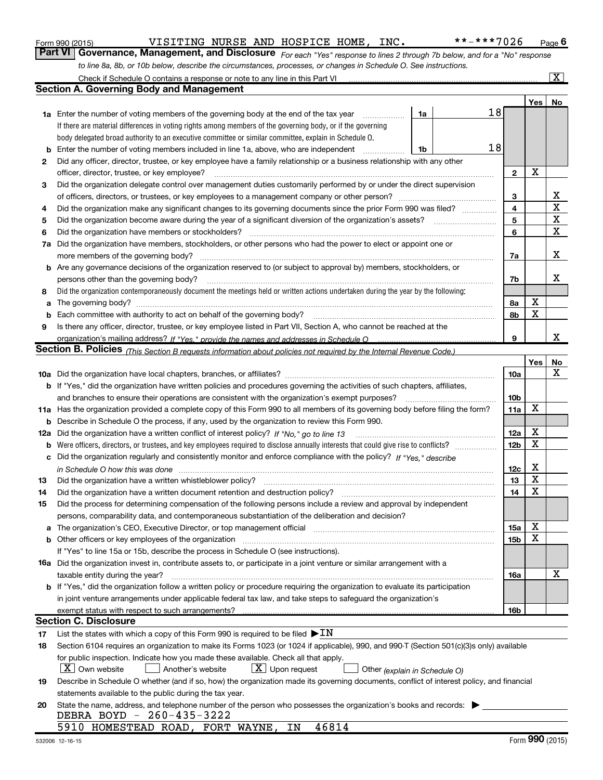|  | Form 990 (2015) |  |
|--|-----------------|--|
|  |                 |  |

Form 990 (2015) **Page 1 21 ST TERM VISITING NURSE AND HOSPICE HOME, INC.**  $***7026$  Page

**Part VI** | Governance, Management, and Disclosure <sub>For each "Yes" response to lines 2 through 7b below, and for a "No" response</sub> *to line 8a, 8b, or 10b below, describe the circumstances, processes, or changes in Schedule O. See instructions.*

|                                                                                                                                                 | Check if Schedule O contains a response or note to any line in this Part VI                                                                                                   |    |    |                 |     | $\overline{\mathbf{X}}$ |  |  |
|-------------------------------------------------------------------------------------------------------------------------------------------------|-------------------------------------------------------------------------------------------------------------------------------------------------------------------------------|----|----|-----------------|-----|-------------------------|--|--|
|                                                                                                                                                 | <b>Section A. Governing Body and Management</b>                                                                                                                               |    |    |                 |     |                         |  |  |
|                                                                                                                                                 |                                                                                                                                                                               |    |    |                 | Yes | No                      |  |  |
|                                                                                                                                                 | 1a Enter the number of voting members of the governing body at the end of the tax year                                                                                        | 1a |    | 18              |     |                         |  |  |
|                                                                                                                                                 | If there are material differences in voting rights among members of the governing body, or if the governing                                                                   |    |    |                 |     |                         |  |  |
|                                                                                                                                                 | body delegated broad authority to an executive committee or similar committee, explain in Schedule O.                                                                         |    |    |                 |     |                         |  |  |
| b                                                                                                                                               | Enter the number of voting members included in line 1a, above, who are independent                                                                                            | 1b | 18 |                 |     |                         |  |  |
| 2                                                                                                                                               | Did any officer, director, trustee, or key employee have a family relationship or a business relationship with any other                                                      |    |    |                 |     |                         |  |  |
|                                                                                                                                                 | officer, director, trustee, or key employee?                                                                                                                                  |    |    | $\mathbf{2}$    | X   |                         |  |  |
| 3                                                                                                                                               | Did the organization delegate control over management duties customarily performed by or under the direct supervision                                                         |    |    |                 |     |                         |  |  |
|                                                                                                                                                 |                                                                                                                                                                               |    |    | 3               |     | X                       |  |  |
| 4                                                                                                                                               | Did the organization make any significant changes to its governing documents since the prior Form 990 was filed?                                                              |    |    | 4               |     | X                       |  |  |
| 5                                                                                                                                               |                                                                                                                                                                               |    |    | 5               |     | X                       |  |  |
| 6                                                                                                                                               | Did the organization have members or stockholders?                                                                                                                            |    |    | 6               |     | X                       |  |  |
| 7a                                                                                                                                              | Did the organization have members, stockholders, or other persons who had the power to elect or appoint one or                                                                |    |    |                 |     |                         |  |  |
|                                                                                                                                                 | more members of the governing body?                                                                                                                                           |    |    | 7a              |     | х                       |  |  |
|                                                                                                                                                 | b Are any governance decisions of the organization reserved to (or subject to approval by) members, stockholders, or                                                          |    |    |                 |     |                         |  |  |
|                                                                                                                                                 | persons other than the governing body?                                                                                                                                        |    |    | 7b              |     | х                       |  |  |
| 8                                                                                                                                               | Did the organization contemporaneously document the meetings held or written actions undertaken during the year by the following:                                             |    |    |                 |     |                         |  |  |
| a                                                                                                                                               |                                                                                                                                                                               |    |    | 8а              | X   |                         |  |  |
| b                                                                                                                                               |                                                                                                                                                                               |    |    | 8b              | X   |                         |  |  |
| 9                                                                                                                                               | Is there any officer, director, trustee, or key employee listed in Part VII, Section A, who cannot be reached at the                                                          |    |    |                 |     |                         |  |  |
|                                                                                                                                                 |                                                                                                                                                                               |    |    | 9               |     | x                       |  |  |
|                                                                                                                                                 | <b>Section B. Policies</b> (This Section B requests information about policies not required by the Internal Revenue Code.)                                                    |    |    |                 |     |                         |  |  |
|                                                                                                                                                 |                                                                                                                                                                               |    |    |                 | Yes | No                      |  |  |
|                                                                                                                                                 |                                                                                                                                                                               |    |    | 10a             |     | х                       |  |  |
|                                                                                                                                                 | <b>b</b> If "Yes," did the organization have written policies and procedures governing the activities of such chapters, affiliates,                                           |    |    |                 |     |                         |  |  |
|                                                                                                                                                 | and branches to ensure their operations are consistent with the organization's exempt purposes?                                                                               |    |    | 10 <sub>b</sub> |     |                         |  |  |
|                                                                                                                                                 | 11a Has the organization provided a complete copy of this Form 990 to all members of its governing body before filing the form?                                               |    |    | 11a             | X   |                         |  |  |
| b                                                                                                                                               | Describe in Schedule O the process, if any, used by the organization to review this Form 990.                                                                                 |    |    |                 |     |                         |  |  |
|                                                                                                                                                 | 12a Did the organization have a written conflict of interest policy? If "No," go to line 13                                                                                   |    |    | 12a             | X   |                         |  |  |
| b                                                                                                                                               |                                                                                                                                                                               |    |    | 12 <sub>b</sub> | X   |                         |  |  |
| с                                                                                                                                               | Did the organization regularly and consistently monitor and enforce compliance with the policy? If "Yes," describe                                                            |    |    |                 |     |                         |  |  |
|                                                                                                                                                 | in Schedule O how this was done measured and continuum control to the control of the state of the control of t                                                                |    |    | 12c             | х   |                         |  |  |
| 13                                                                                                                                              | Did the organization have a written whistleblower policy?                                                                                                                     |    |    | 13              | X   |                         |  |  |
| 14                                                                                                                                              | Did the organization have a written document retention and destruction policy?                                                                                                |    |    | 14              | X   |                         |  |  |
| 15                                                                                                                                              | Did the process for determining compensation of the following persons include a review and approval by independent                                                            |    |    |                 |     |                         |  |  |
|                                                                                                                                                 | persons, comparability data, and contemporaneous substantiation of the deliberation and decision?                                                                             |    |    |                 |     |                         |  |  |
| а                                                                                                                                               | The organization's CEO, Executive Director, or top management official manufactured content content of the organization's CEO, Executive Director, or top management official |    |    | 15a             | X   |                         |  |  |
|                                                                                                                                                 | Other officers or key employees of the organization [11] continuum material continuum material contracts or key                                                               |    |    | 15b             | х   |                         |  |  |
|                                                                                                                                                 | If "Yes" to line 15a or 15b, describe the process in Schedule O (see instructions).                                                                                           |    |    |                 |     |                         |  |  |
|                                                                                                                                                 | <b>16a</b> Did the organization invest in, contribute assets to, or participate in a joint venture or similar arrangement with a                                              |    |    |                 |     |                         |  |  |
|                                                                                                                                                 | taxable entity during the year?                                                                                                                                               |    |    | 16a             |     | Χ                       |  |  |
|                                                                                                                                                 | b If "Yes," did the organization follow a written policy or procedure requiring the organization to evaluate its participation                                                |    |    |                 |     |                         |  |  |
|                                                                                                                                                 | in joint venture arrangements under applicable federal tax law, and take steps to safequard the organization's                                                                |    |    |                 |     |                         |  |  |
|                                                                                                                                                 | exempt status with respect to such arrangements?                                                                                                                              |    |    | 16b             |     |                         |  |  |
|                                                                                                                                                 | <b>Section C. Disclosure</b>                                                                                                                                                  |    |    |                 |     |                         |  |  |
| 17                                                                                                                                              | List the states with which a copy of this Form 990 is required to be filed $\blacktriangleright$ IN                                                                           |    |    |                 |     |                         |  |  |
| 18                                                                                                                                              | Section 6104 requires an organization to make its Forms 1023 (or 1024 if applicable), 990, and 990-T (Section 501(c)(3)s only) available                                      |    |    |                 |     |                         |  |  |
|                                                                                                                                                 | for public inspection. Indicate how you made these available. Check all that apply.                                                                                           |    |    |                 |     |                         |  |  |
|                                                                                                                                                 | $X$ Own website<br>$\lfloor X \rfloor$ Upon request<br>Another's website<br>Other (explain in Schedule O)                                                                     |    |    |                 |     |                         |  |  |
| Describe in Schedule O whether (and if so, how) the organization made its governing documents, conflict of interest policy, and financial<br>19 |                                                                                                                                                                               |    |    |                 |     |                         |  |  |
|                                                                                                                                                 | statements available to the public during the tax year.                                                                                                                       |    |    |                 |     |                         |  |  |
| 20                                                                                                                                              | State the name, address, and telephone number of the person who possesses the organization's books and records:                                                               |    |    |                 |     |                         |  |  |
|                                                                                                                                                 | DEBRA BOYD - 260-435-3222                                                                                                                                                     |    |    |                 |     |                         |  |  |
|                                                                                                                                                 | 46814<br>5910 HOMESTEAD ROAD, FORT WAYNE,<br>ΙN                                                                                                                               |    |    |                 |     |                         |  |  |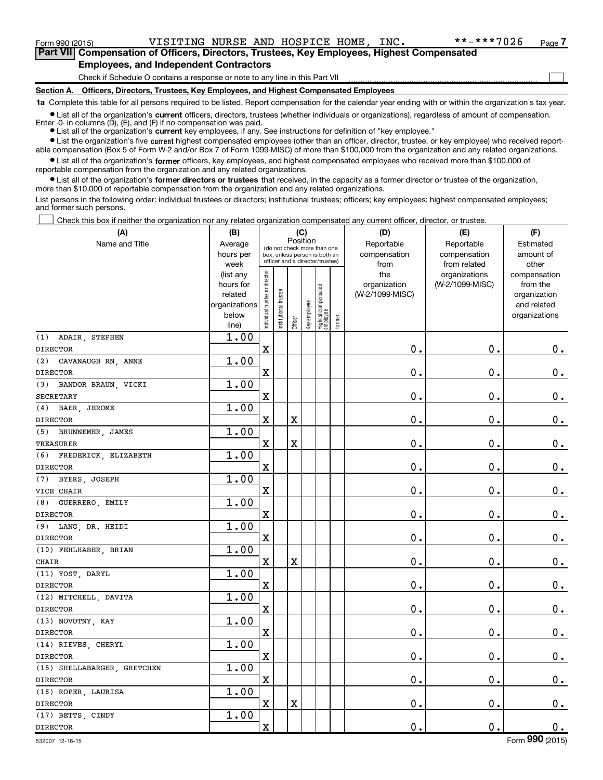$\Box$ 

**Part VII Compensation of Officers, Directors, Trustees, Key Employees, Highest Compensated Employees, and Independent Contractors**

Check if Schedule O contains a response or note to any line in this Part VII

**Section A. Officers, Directors, Trustees, Key Employees, and Highest Compensated Employees**

**1a**  Complete this table for all persons required to be listed. Report compensation for the calendar year ending with or within the organization's tax year.

 $\bullet$  List all of the organization's current officers, directors, trustees (whether individuals or organizations), regardless of amount of compensation.

**•** List all of the organization's **current** key employees, if any. See instructions for definition of "key employee." Enter -0- in columns  $(D)$ ,  $(E)$ , and  $(F)$  if no compensation was paid.

**•** List the organization's five current highest compensated employees (other than an officer, director, trustee, or key employee) who received reportable compensation (Box 5 of Form W-2 and/or Box 7 of Form 1099-MISC) of more than \$100,000 from the organization and any related organizations.

 $\bullet$  List all of the organization's former officers, key employees, and highest compensated employees who received more than \$100,000 of reportable compensation from the organization and any related organizations.

**•** List all of the organization's former directors or trustees that received, in the capacity as a former director or trustee of the organization, more than \$10,000 of reportable compensation from the organization and any related organizations.

List persons in the following order: individual trustees or directors; institutional trustees; officers; key employees; highest compensated employees; and former such persons.

Check this box if neither the organization nor any related organization compensated any current officer, director, or trustee.  $\Box$ 

| Name and Title<br>Reportable<br>Reportable<br>Estimated<br>Average<br>(do not check more than one<br>compensation<br>hours per<br>compensation<br>amount of<br>box, unless person is both an<br>officer and a director/trustee)<br>week<br>from<br>from related<br>other<br>Individual trustee or director<br>the<br>(list any<br>organizations<br>compensation<br>(W-2/1099-MISC)<br>hours for<br>organization<br>from the<br>  Highest compensated<br>  employee<br>Institutional trustee<br>related<br>(W-2/1099-MISC)<br>organization<br>Key employee<br>organizations<br>and related<br>below<br>organizations<br>Former<br>Officer<br>line)<br>1.00<br>(1) ADAIR, STEPHEN<br>$\mathbf X$<br>$\mathbf 0$ .<br>0.<br>0.<br><b>DIRECTOR</b><br>1.00<br>(2) CAVANAUGH RN, ANNE<br>$\mathbf 0$ .<br>$\mathbf X$<br>$\mathbf 0$ .<br>$\mathbf 0$ .<br><b>DIRECTOR</b><br>1.00<br>(3) BANDOR BRAUN, VICKI<br>$\mathbf X$<br>$\mathbf 0$ .<br>$\mathbf 0$ .<br>$0_{.}$<br><b>SECRETARY</b><br>1.00<br>(4) BAER, JEROME<br>$\mathbf X$<br>$\mathbf 0$ .<br>$\mathbf 0$ .<br>$\mathbf 0$ .<br>X<br><b>DIRECTOR</b><br>1.00<br>(5) BRUNNEMER, JAMES<br>$\mathbf x$<br>$\mathbf 0$ .<br>0.<br>$\mathbf 0$ .<br>X<br><b>TREASURER</b><br>1.00<br>(6) FREDERICK, ELIZABETH<br>$\mathbf 0$ .<br>$\mathbf X$<br>$\mathbf 0$ .<br>$\mathbf 0$ .<br><b>DIRECTOR</b><br>1.00<br>(7) BYERS, JOSEPH<br>$\mathbf 0$ .<br>$\mathbf 0$ .<br>$0_{.}$<br>$\mathbf X$<br>VICE CHAIR<br>1.00<br>(8) GUERRERO, EMILY<br>$\mathbf 0$ .<br>$\mathbf 0$ .<br>$0_{.}$<br>$\mathbf X$<br><b>DIRECTOR</b><br>1.00<br>(9) LANG, DR. HEIDI<br>$\mathbf X$<br>$\mathbf 0$ .<br>0.<br>$\mathbf 0$ .<br><b>DIRECTOR</b><br>1.00<br>(10) FEHLHABER, BRIAN<br>$\mathbf 0$ .<br>$\mathbf 0$ .<br>$\mathbf 0$ .<br>$\mathbf X$<br>X<br>CHAIR<br>1.00<br>(11) YOST, DARYL<br>$\mathbf 0$ .<br>$\mathbf 0$ .<br>$0_{.}$<br>$\mathbf x$<br><b>DIRECTOR</b><br>1.00<br>(12) MITCHELL, DAVITA<br>$\mathbf 0$ .<br>$\mathbf 0$ .<br>$\mathbf 0$ .<br>$\mathbf X$<br><b>DIRECTOR</b><br>1.00<br>(13) NOVOTNY, KAY<br>$\mathbf 0$ .<br>$\mathbf 0$ .<br>$\mathbf 0$ .<br>$\mathbf x$<br><b>DIRECTOR</b><br>1.00<br>(14) RIEVES, CHERYL<br>$\mathbf 0$ .<br>$\mathbf 0$ .<br>$\mathbf 0$ .<br>$\mathbf X$<br><b>DIRECTOR</b><br>1.00<br>(15) SHELLABARGER, GRETCHEN<br>$\mathbf X$<br>0.<br>$\mathbf 0$ .<br>$0_{\cdot}$<br><b>DIRECTOR</b><br>1.00<br>(16) ROPER, LAURISA<br>0.<br>$\mathbf 0$ .<br>$\mathbf X$<br>X<br>$\mathbf 0$ .<br><b>DIRECTOR</b><br>1.00<br>(17) BETTS, CINDY<br>$\mathbf x$<br>$\mathbf 0$ .<br>$\mathbf 0$ .<br>0.<br><b>DIRECTOR</b> | (A) | (B) |          |  | (C) |  |  | (D) | (E) | (F) |
|-------------------------------------------------------------------------------------------------------------------------------------------------------------------------------------------------------------------------------------------------------------------------------------------------------------------------------------------------------------------------------------------------------------------------------------------------------------------------------------------------------------------------------------------------------------------------------------------------------------------------------------------------------------------------------------------------------------------------------------------------------------------------------------------------------------------------------------------------------------------------------------------------------------------------------------------------------------------------------------------------------------------------------------------------------------------------------------------------------------------------------------------------------------------------------------------------------------------------------------------------------------------------------------------------------------------------------------------------------------------------------------------------------------------------------------------------------------------------------------------------------------------------------------------------------------------------------------------------------------------------------------------------------------------------------------------------------------------------------------------------------------------------------------------------------------------------------------------------------------------------------------------------------------------------------------------------------------------------------------------------------------------------------------------------------------------------------------------------------------------------------------------------------------------------------------------------------------------------------------------------------------------------------------------------------------------------------------------------------------------------------------------------------------------------------------------------------------------------------------------------------------------------------------------------------------------------------------------------------------------|-----|-----|----------|--|-----|--|--|-----|-----|-----|
|                                                                                                                                                                                                                                                                                                                                                                                                                                                                                                                                                                                                                                                                                                                                                                                                                                                                                                                                                                                                                                                                                                                                                                                                                                                                                                                                                                                                                                                                                                                                                                                                                                                                                                                                                                                                                                                                                                                                                                                                                                                                                                                                                                                                                                                                                                                                                                                                                                                                                                                                                                                                                   |     |     | Position |  |     |  |  |     |     |     |
|                                                                                                                                                                                                                                                                                                                                                                                                                                                                                                                                                                                                                                                                                                                                                                                                                                                                                                                                                                                                                                                                                                                                                                                                                                                                                                                                                                                                                                                                                                                                                                                                                                                                                                                                                                                                                                                                                                                                                                                                                                                                                                                                                                                                                                                                                                                                                                                                                                                                                                                                                                                                                   |     |     |          |  |     |  |  |     |     |     |
|                                                                                                                                                                                                                                                                                                                                                                                                                                                                                                                                                                                                                                                                                                                                                                                                                                                                                                                                                                                                                                                                                                                                                                                                                                                                                                                                                                                                                                                                                                                                                                                                                                                                                                                                                                                                                                                                                                                                                                                                                                                                                                                                                                                                                                                                                                                                                                                                                                                                                                                                                                                                                   |     |     |          |  |     |  |  |     |     |     |
|                                                                                                                                                                                                                                                                                                                                                                                                                                                                                                                                                                                                                                                                                                                                                                                                                                                                                                                                                                                                                                                                                                                                                                                                                                                                                                                                                                                                                                                                                                                                                                                                                                                                                                                                                                                                                                                                                                                                                                                                                                                                                                                                                                                                                                                                                                                                                                                                                                                                                                                                                                                                                   |     |     |          |  |     |  |  |     |     |     |
|                                                                                                                                                                                                                                                                                                                                                                                                                                                                                                                                                                                                                                                                                                                                                                                                                                                                                                                                                                                                                                                                                                                                                                                                                                                                                                                                                                                                                                                                                                                                                                                                                                                                                                                                                                                                                                                                                                                                                                                                                                                                                                                                                                                                                                                                                                                                                                                                                                                                                                                                                                                                                   |     |     |          |  |     |  |  |     |     |     |
|                                                                                                                                                                                                                                                                                                                                                                                                                                                                                                                                                                                                                                                                                                                                                                                                                                                                                                                                                                                                                                                                                                                                                                                                                                                                                                                                                                                                                                                                                                                                                                                                                                                                                                                                                                                                                                                                                                                                                                                                                                                                                                                                                                                                                                                                                                                                                                                                                                                                                                                                                                                                                   |     |     |          |  |     |  |  |     |     |     |
|                                                                                                                                                                                                                                                                                                                                                                                                                                                                                                                                                                                                                                                                                                                                                                                                                                                                                                                                                                                                                                                                                                                                                                                                                                                                                                                                                                                                                                                                                                                                                                                                                                                                                                                                                                                                                                                                                                                                                                                                                                                                                                                                                                                                                                                                                                                                                                                                                                                                                                                                                                                                                   |     |     |          |  |     |  |  |     |     |     |
|                                                                                                                                                                                                                                                                                                                                                                                                                                                                                                                                                                                                                                                                                                                                                                                                                                                                                                                                                                                                                                                                                                                                                                                                                                                                                                                                                                                                                                                                                                                                                                                                                                                                                                                                                                                                                                                                                                                                                                                                                                                                                                                                                                                                                                                                                                                                                                                                                                                                                                                                                                                                                   |     |     |          |  |     |  |  |     |     |     |
|                                                                                                                                                                                                                                                                                                                                                                                                                                                                                                                                                                                                                                                                                                                                                                                                                                                                                                                                                                                                                                                                                                                                                                                                                                                                                                                                                                                                                                                                                                                                                                                                                                                                                                                                                                                                                                                                                                                                                                                                                                                                                                                                                                                                                                                                                                                                                                                                                                                                                                                                                                                                                   |     |     |          |  |     |  |  |     |     |     |
|                                                                                                                                                                                                                                                                                                                                                                                                                                                                                                                                                                                                                                                                                                                                                                                                                                                                                                                                                                                                                                                                                                                                                                                                                                                                                                                                                                                                                                                                                                                                                                                                                                                                                                                                                                                                                                                                                                                                                                                                                                                                                                                                                                                                                                                                                                                                                                                                                                                                                                                                                                                                                   |     |     |          |  |     |  |  |     |     |     |
|                                                                                                                                                                                                                                                                                                                                                                                                                                                                                                                                                                                                                                                                                                                                                                                                                                                                                                                                                                                                                                                                                                                                                                                                                                                                                                                                                                                                                                                                                                                                                                                                                                                                                                                                                                                                                                                                                                                                                                                                                                                                                                                                                                                                                                                                                                                                                                                                                                                                                                                                                                                                                   |     |     |          |  |     |  |  |     |     |     |
|                                                                                                                                                                                                                                                                                                                                                                                                                                                                                                                                                                                                                                                                                                                                                                                                                                                                                                                                                                                                                                                                                                                                                                                                                                                                                                                                                                                                                                                                                                                                                                                                                                                                                                                                                                                                                                                                                                                                                                                                                                                                                                                                                                                                                                                                                                                                                                                                                                                                                                                                                                                                                   |     |     |          |  |     |  |  |     |     |     |
|                                                                                                                                                                                                                                                                                                                                                                                                                                                                                                                                                                                                                                                                                                                                                                                                                                                                                                                                                                                                                                                                                                                                                                                                                                                                                                                                                                                                                                                                                                                                                                                                                                                                                                                                                                                                                                                                                                                                                                                                                                                                                                                                                                                                                                                                                                                                                                                                                                                                                                                                                                                                                   |     |     |          |  |     |  |  |     |     |     |
|                                                                                                                                                                                                                                                                                                                                                                                                                                                                                                                                                                                                                                                                                                                                                                                                                                                                                                                                                                                                                                                                                                                                                                                                                                                                                                                                                                                                                                                                                                                                                                                                                                                                                                                                                                                                                                                                                                                                                                                                                                                                                                                                                                                                                                                                                                                                                                                                                                                                                                                                                                                                                   |     |     |          |  |     |  |  |     |     |     |
|                                                                                                                                                                                                                                                                                                                                                                                                                                                                                                                                                                                                                                                                                                                                                                                                                                                                                                                                                                                                                                                                                                                                                                                                                                                                                                                                                                                                                                                                                                                                                                                                                                                                                                                                                                                                                                                                                                                                                                                                                                                                                                                                                                                                                                                                                                                                                                                                                                                                                                                                                                                                                   |     |     |          |  |     |  |  |     |     |     |
|                                                                                                                                                                                                                                                                                                                                                                                                                                                                                                                                                                                                                                                                                                                                                                                                                                                                                                                                                                                                                                                                                                                                                                                                                                                                                                                                                                                                                                                                                                                                                                                                                                                                                                                                                                                                                                                                                                                                                                                                                                                                                                                                                                                                                                                                                                                                                                                                                                                                                                                                                                                                                   |     |     |          |  |     |  |  |     |     |     |
|                                                                                                                                                                                                                                                                                                                                                                                                                                                                                                                                                                                                                                                                                                                                                                                                                                                                                                                                                                                                                                                                                                                                                                                                                                                                                                                                                                                                                                                                                                                                                                                                                                                                                                                                                                                                                                                                                                                                                                                                                                                                                                                                                                                                                                                                                                                                                                                                                                                                                                                                                                                                                   |     |     |          |  |     |  |  |     |     |     |
|                                                                                                                                                                                                                                                                                                                                                                                                                                                                                                                                                                                                                                                                                                                                                                                                                                                                                                                                                                                                                                                                                                                                                                                                                                                                                                                                                                                                                                                                                                                                                                                                                                                                                                                                                                                                                                                                                                                                                                                                                                                                                                                                                                                                                                                                                                                                                                                                                                                                                                                                                                                                                   |     |     |          |  |     |  |  |     |     |     |
|                                                                                                                                                                                                                                                                                                                                                                                                                                                                                                                                                                                                                                                                                                                                                                                                                                                                                                                                                                                                                                                                                                                                                                                                                                                                                                                                                                                                                                                                                                                                                                                                                                                                                                                                                                                                                                                                                                                                                                                                                                                                                                                                                                                                                                                                                                                                                                                                                                                                                                                                                                                                                   |     |     |          |  |     |  |  |     |     |     |
|                                                                                                                                                                                                                                                                                                                                                                                                                                                                                                                                                                                                                                                                                                                                                                                                                                                                                                                                                                                                                                                                                                                                                                                                                                                                                                                                                                                                                                                                                                                                                                                                                                                                                                                                                                                                                                                                                                                                                                                                                                                                                                                                                                                                                                                                                                                                                                                                                                                                                                                                                                                                                   |     |     |          |  |     |  |  |     |     |     |
|                                                                                                                                                                                                                                                                                                                                                                                                                                                                                                                                                                                                                                                                                                                                                                                                                                                                                                                                                                                                                                                                                                                                                                                                                                                                                                                                                                                                                                                                                                                                                                                                                                                                                                                                                                                                                                                                                                                                                                                                                                                                                                                                                                                                                                                                                                                                                                                                                                                                                                                                                                                                                   |     |     |          |  |     |  |  |     |     |     |
|                                                                                                                                                                                                                                                                                                                                                                                                                                                                                                                                                                                                                                                                                                                                                                                                                                                                                                                                                                                                                                                                                                                                                                                                                                                                                                                                                                                                                                                                                                                                                                                                                                                                                                                                                                                                                                                                                                                                                                                                                                                                                                                                                                                                                                                                                                                                                                                                                                                                                                                                                                                                                   |     |     |          |  |     |  |  |     |     |     |
|                                                                                                                                                                                                                                                                                                                                                                                                                                                                                                                                                                                                                                                                                                                                                                                                                                                                                                                                                                                                                                                                                                                                                                                                                                                                                                                                                                                                                                                                                                                                                                                                                                                                                                                                                                                                                                                                                                                                                                                                                                                                                                                                                                                                                                                                                                                                                                                                                                                                                                                                                                                                                   |     |     |          |  |     |  |  |     |     |     |
|                                                                                                                                                                                                                                                                                                                                                                                                                                                                                                                                                                                                                                                                                                                                                                                                                                                                                                                                                                                                                                                                                                                                                                                                                                                                                                                                                                                                                                                                                                                                                                                                                                                                                                                                                                                                                                                                                                                                                                                                                                                                                                                                                                                                                                                                                                                                                                                                                                                                                                                                                                                                                   |     |     |          |  |     |  |  |     |     |     |
|                                                                                                                                                                                                                                                                                                                                                                                                                                                                                                                                                                                                                                                                                                                                                                                                                                                                                                                                                                                                                                                                                                                                                                                                                                                                                                                                                                                                                                                                                                                                                                                                                                                                                                                                                                                                                                                                                                                                                                                                                                                                                                                                                                                                                                                                                                                                                                                                                                                                                                                                                                                                                   |     |     |          |  |     |  |  |     |     |     |
|                                                                                                                                                                                                                                                                                                                                                                                                                                                                                                                                                                                                                                                                                                                                                                                                                                                                                                                                                                                                                                                                                                                                                                                                                                                                                                                                                                                                                                                                                                                                                                                                                                                                                                                                                                                                                                                                                                                                                                                                                                                                                                                                                                                                                                                                                                                                                                                                                                                                                                                                                                                                                   |     |     |          |  |     |  |  |     |     |     |
|                                                                                                                                                                                                                                                                                                                                                                                                                                                                                                                                                                                                                                                                                                                                                                                                                                                                                                                                                                                                                                                                                                                                                                                                                                                                                                                                                                                                                                                                                                                                                                                                                                                                                                                                                                                                                                                                                                                                                                                                                                                                                                                                                                                                                                                                                                                                                                                                                                                                                                                                                                                                                   |     |     |          |  |     |  |  |     |     |     |
|                                                                                                                                                                                                                                                                                                                                                                                                                                                                                                                                                                                                                                                                                                                                                                                                                                                                                                                                                                                                                                                                                                                                                                                                                                                                                                                                                                                                                                                                                                                                                                                                                                                                                                                                                                                                                                                                                                                                                                                                                                                                                                                                                                                                                                                                                                                                                                                                                                                                                                                                                                                                                   |     |     |          |  |     |  |  |     |     |     |
|                                                                                                                                                                                                                                                                                                                                                                                                                                                                                                                                                                                                                                                                                                                                                                                                                                                                                                                                                                                                                                                                                                                                                                                                                                                                                                                                                                                                                                                                                                                                                                                                                                                                                                                                                                                                                                                                                                                                                                                                                                                                                                                                                                                                                                                                                                                                                                                                                                                                                                                                                                                                                   |     |     |          |  |     |  |  |     |     |     |
|                                                                                                                                                                                                                                                                                                                                                                                                                                                                                                                                                                                                                                                                                                                                                                                                                                                                                                                                                                                                                                                                                                                                                                                                                                                                                                                                                                                                                                                                                                                                                                                                                                                                                                                                                                                                                                                                                                                                                                                                                                                                                                                                                                                                                                                                                                                                                                                                                                                                                                                                                                                                                   |     |     |          |  |     |  |  |     |     |     |
|                                                                                                                                                                                                                                                                                                                                                                                                                                                                                                                                                                                                                                                                                                                                                                                                                                                                                                                                                                                                                                                                                                                                                                                                                                                                                                                                                                                                                                                                                                                                                                                                                                                                                                                                                                                                                                                                                                                                                                                                                                                                                                                                                                                                                                                                                                                                                                                                                                                                                                                                                                                                                   |     |     |          |  |     |  |  |     |     |     |
|                                                                                                                                                                                                                                                                                                                                                                                                                                                                                                                                                                                                                                                                                                                                                                                                                                                                                                                                                                                                                                                                                                                                                                                                                                                                                                                                                                                                                                                                                                                                                                                                                                                                                                                                                                                                                                                                                                                                                                                                                                                                                                                                                                                                                                                                                                                                                                                                                                                                                                                                                                                                                   |     |     |          |  |     |  |  |     |     |     |
|                                                                                                                                                                                                                                                                                                                                                                                                                                                                                                                                                                                                                                                                                                                                                                                                                                                                                                                                                                                                                                                                                                                                                                                                                                                                                                                                                                                                                                                                                                                                                                                                                                                                                                                                                                                                                                                                                                                                                                                                                                                                                                                                                                                                                                                                                                                                                                                                                                                                                                                                                                                                                   |     |     |          |  |     |  |  |     |     |     |
|                                                                                                                                                                                                                                                                                                                                                                                                                                                                                                                                                                                                                                                                                                                                                                                                                                                                                                                                                                                                                                                                                                                                                                                                                                                                                                                                                                                                                                                                                                                                                                                                                                                                                                                                                                                                                                                                                                                                                                                                                                                                                                                                                                                                                                                                                                                                                                                                                                                                                                                                                                                                                   |     |     |          |  |     |  |  |     |     |     |
|                                                                                                                                                                                                                                                                                                                                                                                                                                                                                                                                                                                                                                                                                                                                                                                                                                                                                                                                                                                                                                                                                                                                                                                                                                                                                                                                                                                                                                                                                                                                                                                                                                                                                                                                                                                                                                                                                                                                                                                                                                                                                                                                                                                                                                                                                                                                                                                                                                                                                                                                                                                                                   |     |     |          |  |     |  |  |     |     |     |
|                                                                                                                                                                                                                                                                                                                                                                                                                                                                                                                                                                                                                                                                                                                                                                                                                                                                                                                                                                                                                                                                                                                                                                                                                                                                                                                                                                                                                                                                                                                                                                                                                                                                                                                                                                                                                                                                                                                                                                                                                                                                                                                                                                                                                                                                                                                                                                                                                                                                                                                                                                                                                   |     |     |          |  |     |  |  |     |     |     |
|                                                                                                                                                                                                                                                                                                                                                                                                                                                                                                                                                                                                                                                                                                                                                                                                                                                                                                                                                                                                                                                                                                                                                                                                                                                                                                                                                                                                                                                                                                                                                                                                                                                                                                                                                                                                                                                                                                                                                                                                                                                                                                                                                                                                                                                                                                                                                                                                                                                                                                                                                                                                                   |     |     |          |  |     |  |  |     |     |     |
|                                                                                                                                                                                                                                                                                                                                                                                                                                                                                                                                                                                                                                                                                                                                                                                                                                                                                                                                                                                                                                                                                                                                                                                                                                                                                                                                                                                                                                                                                                                                                                                                                                                                                                                                                                                                                                                                                                                                                                                                                                                                                                                                                                                                                                                                                                                                                                                                                                                                                                                                                                                                                   |     |     |          |  |     |  |  |     |     |     |
|                                                                                                                                                                                                                                                                                                                                                                                                                                                                                                                                                                                                                                                                                                                                                                                                                                                                                                                                                                                                                                                                                                                                                                                                                                                                                                                                                                                                                                                                                                                                                                                                                                                                                                                                                                                                                                                                                                                                                                                                                                                                                                                                                                                                                                                                                                                                                                                                                                                                                                                                                                                                                   |     |     |          |  |     |  |  |     |     |     |
|                                                                                                                                                                                                                                                                                                                                                                                                                                                                                                                                                                                                                                                                                                                                                                                                                                                                                                                                                                                                                                                                                                                                                                                                                                                                                                                                                                                                                                                                                                                                                                                                                                                                                                                                                                                                                                                                                                                                                                                                                                                                                                                                                                                                                                                                                                                                                                                                                                                                                                                                                                                                                   |     |     |          |  |     |  |  |     |     |     |
|                                                                                                                                                                                                                                                                                                                                                                                                                                                                                                                                                                                                                                                                                                                                                                                                                                                                                                                                                                                                                                                                                                                                                                                                                                                                                                                                                                                                                                                                                                                                                                                                                                                                                                                                                                                                                                                                                                                                                                                                                                                                                                                                                                                                                                                                                                                                                                                                                                                                                                                                                                                                                   |     |     |          |  |     |  |  |     |     |     |
|                                                                                                                                                                                                                                                                                                                                                                                                                                                                                                                                                                                                                                                                                                                                                                                                                                                                                                                                                                                                                                                                                                                                                                                                                                                                                                                                                                                                                                                                                                                                                                                                                                                                                                                                                                                                                                                                                                                                                                                                                                                                                                                                                                                                                                                                                                                                                                                                                                                                                                                                                                                                                   |     |     |          |  |     |  |  |     |     |     |

532007 12-16-15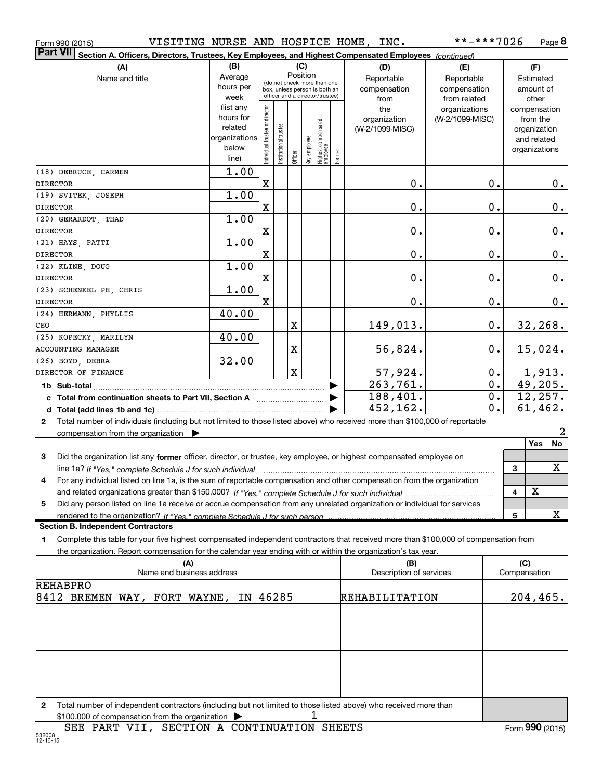| Form 990 (2015) | VISITING NURSE AND HOSPICE HOME, |  | INC. | **-***7026 | Page |
|-----------------|----------------------------------|--|------|------------|------|
|-----------------|----------------------------------|--|------|------------|------|

| Form 990 (2015)                                                                                                                           |                                                                                                                                                                                                                                                                                                                                                                                                                                                                                                                                                                  |                                |                                                                  |             |              |                                  |         | VISITING NURSE AND HOSPICE HOME, INC. | **-***7026      |    |                             |           | Page 8 |
|-------------------------------------------------------------------------------------------------------------------------------------------|------------------------------------------------------------------------------------------------------------------------------------------------------------------------------------------------------------------------------------------------------------------------------------------------------------------------------------------------------------------------------------------------------------------------------------------------------------------------------------------------------------------------------------------------------------------|--------------------------------|------------------------------------------------------------------|-------------|--------------|----------------------------------|---------|---------------------------------------|-----------------|----|-----------------------------|-----------|--------|
| ∣Part VII<br>Section A. Officers, Directors, Trustees, Key Employees, and Highest Compensated Employees (continued)                       |                                                                                                                                                                                                                                                                                                                                                                                                                                                                                                                                                                  |                                |                                                                  |             |              |                                  |         |                                       |                 |    |                             |           |        |
| (B)<br>(C)<br>(A)<br>(D)                                                                                                                  |                                                                                                                                                                                                                                                                                                                                                                                                                                                                                                                                                                  |                                |                                                                  |             |              |                                  |         | (E)                                   |                 |    | (F)                         |           |        |
| Name and title                                                                                                                            | Average                                                                                                                                                                                                                                                                                                                                                                                                                                                                                                                                                          |                                | (do not check more than one                                      | Position    |              |                                  |         | Reportable                            | Reportable      |    |                             | Estimated |        |
|                                                                                                                                           | hours per                                                                                                                                                                                                                                                                                                                                                                                                                                                                                                                                                        |                                | box, unless person is both an<br>officer and a director/trustee) |             |              |                                  |         | compensation                          | compensation    |    |                             | amount of |        |
|                                                                                                                                           | week                                                                                                                                                                                                                                                                                                                                                                                                                                                                                                                                                             |                                |                                                                  |             |              |                                  |         | from                                  | from related    |    |                             | other     |        |
|                                                                                                                                           | (list any<br>hours for                                                                                                                                                                                                                                                                                                                                                                                                                                                                                                                                           |                                |                                                                  |             |              |                                  |         | the                                   | organizations   |    | compensation                |           |        |
|                                                                                                                                           | related                                                                                                                                                                                                                                                                                                                                                                                                                                                                                                                                                          |                                |                                                                  |             |              |                                  |         | organization<br>(W-2/1099-MISC)       | (W-2/1099-MISC) |    |                             | from the  |        |
|                                                                                                                                           | organizations                                                                                                                                                                                                                                                                                                                                                                                                                                                                                                                                                    |                                |                                                                  |             |              |                                  |         |                                       |                 |    | organization<br>and related |           |        |
|                                                                                                                                           | below                                                                                                                                                                                                                                                                                                                                                                                                                                                                                                                                                            |                                |                                                                  |             |              |                                  |         |                                       |                 |    | organizations               |           |        |
|                                                                                                                                           | line)                                                                                                                                                                                                                                                                                                                                                                                                                                                                                                                                                            | Individual trustee or director | Institutional trustee                                            | Officer     | key employee | Highest compensated<br> employee | Former  |                                       |                 |    |                             |           |        |
| (18) DEBRUCE, CARMEN                                                                                                                      | 1.00                                                                                                                                                                                                                                                                                                                                                                                                                                                                                                                                                             |                                |                                                                  |             |              |                                  |         |                                       |                 |    |                             |           |        |
| <b>DIRECTOR</b>                                                                                                                           |                                                                                                                                                                                                                                                                                                                                                                                                                                                                                                                                                                  | X                              |                                                                  |             |              |                                  |         | 0.                                    |                 | 0. |                             |           | 0.     |
| (19) SVITEK, JOSEPH                                                                                                                       | 1.00                                                                                                                                                                                                                                                                                                                                                                                                                                                                                                                                                             |                                |                                                                  |             |              |                                  |         |                                       |                 |    |                             |           |        |
| <b>DIRECTOR</b>                                                                                                                           |                                                                                                                                                                                                                                                                                                                                                                                                                                                                                                                                                                  | $\mathbf X$                    |                                                                  |             |              |                                  |         | 0.                                    |                 | 0. |                             |           | $0$ .  |
| (20) GERARDOT, THAD                                                                                                                       | 1.00                                                                                                                                                                                                                                                                                                                                                                                                                                                                                                                                                             |                                |                                                                  |             |              |                                  |         |                                       |                 |    |                             |           |        |
| <b>DIRECTOR</b>                                                                                                                           |                                                                                                                                                                                                                                                                                                                                                                                                                                                                                                                                                                  | $\mathbf X$                    |                                                                  |             |              |                                  |         | 0.                                    |                 | 0. |                             |           | 0.     |
| (21) HAYS, PATTI                                                                                                                          | 1.00                                                                                                                                                                                                                                                                                                                                                                                                                                                                                                                                                             |                                |                                                                  |             |              |                                  |         |                                       |                 |    |                             |           |        |
| <b>DIRECTOR</b>                                                                                                                           |                                                                                                                                                                                                                                                                                                                                                                                                                                                                                                                                                                  | $\mathbf X$                    |                                                                  |             |              |                                  |         | 0.                                    |                 | 0. |                             |           | 0.     |
| (22) KLINE, DOUG                                                                                                                          | 1.00                                                                                                                                                                                                                                                                                                                                                                                                                                                                                                                                                             |                                |                                                                  |             |              |                                  |         |                                       |                 |    |                             |           |        |
| <b>DIRECTOR</b>                                                                                                                           |                                                                                                                                                                                                                                                                                                                                                                                                                                                                                                                                                                  | $\mathbf X$                    |                                                                  |             |              |                                  |         | 0.                                    |                 | 0. |                             |           | 0.     |
| <b>DIRECTOR</b>                                                                                                                           | 1.00<br>(23) SCHENKEL PE, CHRIS                                                                                                                                                                                                                                                                                                                                                                                                                                                                                                                                  |                                |                                                                  |             |              | 0.                               |         |                                       | 0.              |    |                             |           |        |
| (24) HERMANN, PHYLLIS                                                                                                                     | 40.00                                                                                                                                                                                                                                                                                                                                                                                                                                                                                                                                                            | X                              |                                                                  |             |              |                                  |         | 0.                                    |                 |    |                             |           |        |
| CEO                                                                                                                                       |                                                                                                                                                                                                                                                                                                                                                                                                                                                                                                                                                                  |                                |                                                                  | X           |              |                                  |         | 149,013.                              |                 | 0. | 32, 268.                    |           |        |
| (25) KOPECKY, MARILYN                                                                                                                     | 40.00                                                                                                                                                                                                                                                                                                                                                                                                                                                                                                                                                            |                                |                                                                  |             |              |                                  |         |                                       |                 |    |                             |           |        |
| ACCOUNTING MANAGER                                                                                                                        | X<br>56,824.<br>0.                                                                                                                                                                                                                                                                                                                                                                                                                                                                                                                                               |                                |                                                                  |             |              |                                  | 15,024. |                                       |                 |    |                             |           |        |
| (26) BOYD, DEBRA                                                                                                                          | 32.00                                                                                                                                                                                                                                                                                                                                                                                                                                                                                                                                                            |                                |                                                                  |             |              |                                  |         |                                       |                 |    |                             |           |        |
| DIRECTOR OF FINANCE                                                                                                                       |                                                                                                                                                                                                                                                                                                                                                                                                                                                                                                                                                                  |                                |                                                                  | $\mathbf X$ |              |                                  |         | 57,924.                               |                 | 0. |                             | 1,913.    |        |
| 263,761.<br>1b Sub-total                                                                                                                  |                                                                                                                                                                                                                                                                                                                                                                                                                                                                                                                                                                  |                                |                                                                  |             |              |                                  | 0.      |                                       | 49,205.         |    |                             |           |        |
| c Total from continuation sheets to Part VII, Section A                                                                                   |                                                                                                                                                                                                                                                                                                                                                                                                                                                                                                                                                                  |                                |                                                                  |             | 188,401.     |                                  | 0.      | 12,257.                               |                 |    |                             |           |        |
| 452,162.                                                                                                                                  |                                                                                                                                                                                                                                                                                                                                                                                                                                                                                                                                                                  |                                |                                                                  |             |              | 0.                               |         | 61,462.                               |                 |    |                             |           |        |
| 2                                                                                                                                         | Total number of individuals (including but not limited to those listed above) who received more than \$100,000 of reportable                                                                                                                                                                                                                                                                                                                                                                                                                                     |                                |                                                                  |             |              |                                  |         |                                       |                 |    |                             |           |        |
| compensation from the organization $\blacktriangleright$                                                                                  |                                                                                                                                                                                                                                                                                                                                                                                                                                                                                                                                                                  |                                |                                                                  |             |              |                                  |         |                                       |                 |    |                             |           | 2      |
|                                                                                                                                           |                                                                                                                                                                                                                                                                                                                                                                                                                                                                                                                                                                  |                                |                                                                  |             |              |                                  |         |                                       |                 |    |                             | Yes       | No     |
| Did the organization list any former officer, director, or trustee, key employee, or highest compensated employee on<br>3                 |                                                                                                                                                                                                                                                                                                                                                                                                                                                                                                                                                                  |                                |                                                                  |             |              |                                  |         |                                       |                 |    |                             |           |        |
| line 1a? If "Yes," complete Schedule J for such individual                                                                                |                                                                                                                                                                                                                                                                                                                                                                                                                                                                                                                                                                  |                                |                                                                  |             |              |                                  |         |                                       |                 |    | 3                           |           | X      |
| 4                                                                                                                                         | $\begin{minipage}{0.9\linewidth} \begin{tabular}{ c c c c } \hline \multicolumn{1}{ c }{p} & \multicolumn{1}{ c }{p} & \multicolumn{1}{ c }{p} & \multicolumn{1}{ c }{p} & \multicolumn{1}{ c }{p} & \multicolumn{1}{ c }{p} & \multicolumn{1}{ c }{p} & \multicolumn{1}{ c }{p} & \multicolumn{1}{ c }{p} & \multicolumn{1}{ c }{p} & \multicolumn{1}{ c }{p} & \multicolumn{1}{ c }{p} & \multicolumn{1}{ c }{p} & \multicolumn{1$<br>For any individual listed on line 1a, is the sum of reportable compensation and other compensation from the organization |                                |                                                                  |             |              |                                  |         |                                       |                 |    |                             |           |        |
|                                                                                                                                           |                                                                                                                                                                                                                                                                                                                                                                                                                                                                                                                                                                  |                                |                                                                  |             |              |                                  |         |                                       |                 |    | 4                           | х         |        |
| Did any person listed on line 1a receive or accrue compensation from any unrelated organization or individual for services<br>5           |                                                                                                                                                                                                                                                                                                                                                                                                                                                                                                                                                                  |                                |                                                                  |             |              |                                  |         |                                       |                 |    |                             |           |        |
| rendered to the organization? If "Yes." complete Schedule J for such person                                                               |                                                                                                                                                                                                                                                                                                                                                                                                                                                                                                                                                                  |                                |                                                                  |             |              | 5                                |         | X                                     |                 |    |                             |           |        |
| <b>Section B. Independent Contractors</b>                                                                                                 |                                                                                                                                                                                                                                                                                                                                                                                                                                                                                                                                                                  |                                |                                                                  |             |              |                                  |         |                                       |                 |    |                             |           |        |
| Complete this table for your five highest compensated independent contractors that received more than \$100,000 of compensation from<br>1 |                                                                                                                                                                                                                                                                                                                                                                                                                                                                                                                                                                  |                                |                                                                  |             |              |                                  |         |                                       |                 |    |                             |           |        |
| the organization. Report compensation for the calendar year ending with or within the organization's tax year.                            |                                                                                                                                                                                                                                                                                                                                                                                                                                                                                                                                                                  |                                |                                                                  |             |              |                                  |         |                                       |                 |    |                             |           |        |
| (A)<br>(B)                                                                                                                                |                                                                                                                                                                                                                                                                                                                                                                                                                                                                                                                                                                  |                                |                                                                  |             |              |                                  | (C)     |                                       |                 |    |                             |           |        |
| Name and business address                                                                                                                 |                                                                                                                                                                                                                                                                                                                                                                                                                                                                                                                                                                  |                                |                                                                  |             |              | Description of services          |         |                                       | Compensation    |    |                             |           |        |
| <b>REHABPRO</b><br>IN 46285                                                                                                               |                                                                                                                                                                                                                                                                                                                                                                                                                                                                                                                                                                  |                                |                                                                  |             |              |                                  |         |                                       |                 |    |                             |           |        |
| 8412 BREMEN WAY, FORT WAYNE,                                                                                                              |                                                                                                                                                                                                                                                                                                                                                                                                                                                                                                                                                                  |                                |                                                                  |             |              |                                  |         | REHABILITATION                        |                 |    | 204, 465.                   |           |        |
|                                                                                                                                           |                                                                                                                                                                                                                                                                                                                                                                                                                                                                                                                                                                  |                                |                                                                  |             |              |                                  |         |                                       |                 |    |                             |           |        |
|                                                                                                                                           |                                                                                                                                                                                                                                                                                                                                                                                                                                                                                                                                                                  |                                |                                                                  |             |              |                                  |         |                                       |                 |    |                             |           |        |
|                                                                                                                                           |                                                                                                                                                                                                                                                                                                                                                                                                                                                                                                                                                                  |                                |                                                                  |             |              |                                  |         |                                       |                 |    |                             |           |        |
|                                                                                                                                           |                                                                                                                                                                                                                                                                                                                                                                                                                                                                                                                                                                  |                                |                                                                  |             |              |                                  |         |                                       |                 |    |                             |           |        |
|                                                                                                                                           |                                                                                                                                                                                                                                                                                                                                                                                                                                                                                                                                                                  |                                |                                                                  |             |              |                                  |         |                                       |                 |    |                             |           |        |
|                                                                                                                                           |                                                                                                                                                                                                                                                                                                                                                                                                                                                                                                                                                                  |                                |                                                                  |             |              |                                  |         |                                       |                 |    |                             |           |        |
|                                                                                                                                           |                                                                                                                                                                                                                                                                                                                                                                                                                                                                                                                                                                  |                                |                                                                  |             |              |                                  |         |                                       |                 |    |                             |           |        |
| $\mathbf{2}$<br>Total number of independent contractors (including but not limited to those listed above) who received more than          |                                                                                                                                                                                                                                                                                                                                                                                                                                                                                                                                                                  |                                |                                                                  |             |              |                                  |         |                                       |                 |    |                             |           |        |

**2**  $$100,000$  of compensation from the organization  $\triangleright$   $1$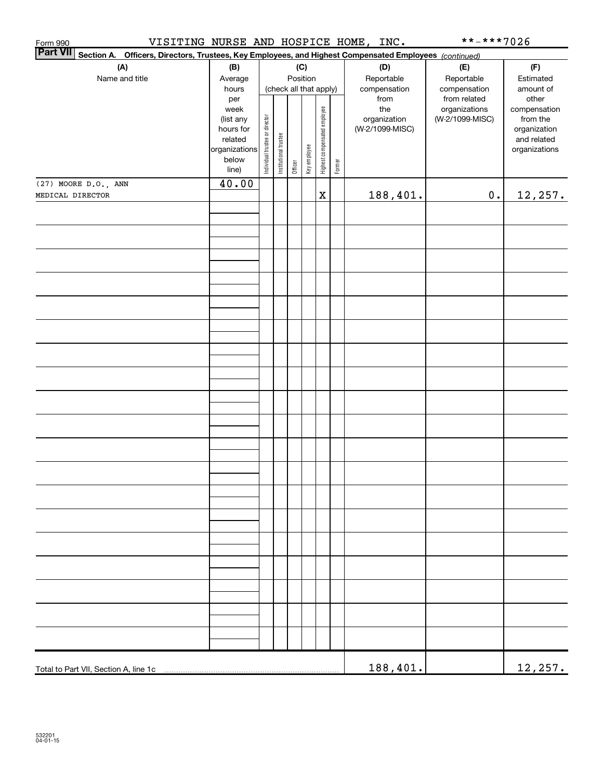|                                                                                                                                                                                                                                  |                      |                                |                       |         |              |                              |        |                 | **-***7026      |                             |
|----------------------------------------------------------------------------------------------------------------------------------------------------------------------------------------------------------------------------------|----------------------|--------------------------------|-----------------------|---------|--------------|------------------------------|--------|-----------------|-----------------|-----------------------------|
|                                                                                                                                                                                                                                  |                      |                                |                       |         |              |                              |        |                 |                 |                             |
| Part VII Section A. Officers, Directors, Trustees, Key Employees, and Highest Compensated Employees (continued)<br>Part VII Section A. Officers, Directors, Trustees, Key Employees, and Highest Compensated Employees (continue |                      |                                |                       |         |              |                              |        |                 | (F)             |                             |
| Name and title                                                                                                                                                                                                                   | Average              |                                |                       |         | Position     |                              |        | Reportable      | Reportable      | Estimated                   |
|                                                                                                                                                                                                                                  | hours                |                                |                       |         |              | (check all that apply)       |        | compensation    | compensation    | amount of                   |
|                                                                                                                                                                                                                                  | per                  |                                |                       |         |              |                              |        | from            | from related    | other                       |
|                                                                                                                                                                                                                                  | week                 |                                |                       |         |              |                              |        | the             | organizations   | compensation                |
|                                                                                                                                                                                                                                  | (list any            |                                |                       |         |              |                              |        | organization    | (W-2/1099-MISC) | from the                    |
|                                                                                                                                                                                                                                  | hours for<br>related |                                |                       |         |              |                              |        | (W-2/1099-MISC) |                 | organization<br>and related |
|                                                                                                                                                                                                                                  | organizations        | Individual trustee or director |                       |         |              |                              |        |                 |                 | organizations               |
|                                                                                                                                                                                                                                  | below                |                                |                       |         |              |                              |        |                 |                 |                             |
|                                                                                                                                                                                                                                  | line)                |                                | Institutional trustee | Officer | Key employee | Highest compensated employee | Former |                 |                 |                             |
| (27) MOORE D.O., ANN                                                                                                                                                                                                             | 40.00                |                                |                       |         |              |                              |        |                 |                 |                             |
| MEDICAL DIRECTOR                                                                                                                                                                                                                 |                      |                                |                       |         |              | $\mathbf X$                  |        | 188,401.        | $\mathbf 0$ .   | 12, 257.                    |
|                                                                                                                                                                                                                                  |                      |                                |                       |         |              |                              |        |                 |                 |                             |
|                                                                                                                                                                                                                                  |                      |                                |                       |         |              |                              |        |                 |                 |                             |
|                                                                                                                                                                                                                                  |                      |                                |                       |         |              |                              |        |                 |                 |                             |
|                                                                                                                                                                                                                                  |                      |                                |                       |         |              |                              |        |                 |                 |                             |
|                                                                                                                                                                                                                                  |                      |                                |                       |         |              |                              |        |                 |                 |                             |
|                                                                                                                                                                                                                                  |                      |                                |                       |         |              |                              |        |                 |                 |                             |
|                                                                                                                                                                                                                                  |                      |                                |                       |         |              |                              |        |                 |                 |                             |
|                                                                                                                                                                                                                                  |                      |                                |                       |         |              |                              |        |                 |                 |                             |
|                                                                                                                                                                                                                                  |                      |                                |                       |         |              |                              |        |                 |                 |                             |
|                                                                                                                                                                                                                                  |                      |                                |                       |         |              |                              |        |                 |                 |                             |
|                                                                                                                                                                                                                                  |                      |                                |                       |         |              |                              |        |                 |                 |                             |
|                                                                                                                                                                                                                                  |                      |                                |                       |         |              |                              |        |                 |                 |                             |
|                                                                                                                                                                                                                                  |                      |                                |                       |         |              |                              |        |                 |                 |                             |
|                                                                                                                                                                                                                                  |                      |                                |                       |         |              |                              |        |                 |                 |                             |
|                                                                                                                                                                                                                                  |                      |                                |                       |         |              |                              |        |                 |                 |                             |
|                                                                                                                                                                                                                                  |                      |                                |                       |         |              |                              |        |                 |                 |                             |
|                                                                                                                                                                                                                                  |                      |                                |                       |         |              |                              |        |                 |                 |                             |
|                                                                                                                                                                                                                                  |                      |                                |                       |         |              |                              |        |                 |                 |                             |
|                                                                                                                                                                                                                                  |                      |                                |                       |         |              |                              |        |                 |                 |                             |
|                                                                                                                                                                                                                                  |                      |                                |                       |         |              |                              |        |                 |                 |                             |
|                                                                                                                                                                                                                                  |                      |                                |                       |         |              |                              |        |                 |                 |                             |
|                                                                                                                                                                                                                                  |                      |                                |                       |         |              |                              |        |                 |                 |                             |
|                                                                                                                                                                                                                                  |                      |                                |                       |         |              |                              |        |                 |                 |                             |
|                                                                                                                                                                                                                                  |                      |                                |                       |         |              |                              |        |                 |                 |                             |
|                                                                                                                                                                                                                                  |                      |                                |                       |         |              |                              |        |                 |                 |                             |
|                                                                                                                                                                                                                                  |                      |                                |                       |         |              |                              |        |                 |                 |                             |
|                                                                                                                                                                                                                                  |                      |                                |                       |         |              |                              |        |                 |                 |                             |
|                                                                                                                                                                                                                                  |                      |                                |                       |         |              |                              |        |                 |                 |                             |
|                                                                                                                                                                                                                                  |                      |                                |                       |         |              |                              |        |                 |                 |                             |
|                                                                                                                                                                                                                                  |                      |                                |                       |         |              |                              |        |                 |                 |                             |
|                                                                                                                                                                                                                                  |                      |                                |                       |         |              |                              |        |                 |                 |                             |
|                                                                                                                                                                                                                                  |                      |                                |                       |         |              |                              |        |                 |                 |                             |
|                                                                                                                                                                                                                                  |                      |                                |                       |         |              |                              |        |                 |                 |                             |
|                                                                                                                                                                                                                                  |                      |                                |                       |         |              |                              |        |                 |                 |                             |
|                                                                                                                                                                                                                                  |                      |                                |                       |         |              |                              |        |                 |                 |                             |
|                                                                                                                                                                                                                                  |                      |                                |                       |         |              |                              |        |                 |                 |                             |
|                                                                                                                                                                                                                                  |                      |                                |                       |         |              |                              |        |                 |                 |                             |
|                                                                                                                                                                                                                                  |                      |                                |                       |         |              |                              |        |                 |                 |                             |
|                                                                                                                                                                                                                                  |                      |                                |                       |         |              |                              |        |                 |                 |                             |
|                                                                                                                                                                                                                                  |                      |                                |                       |         |              |                              |        |                 |                 |                             |
|                                                                                                                                                                                                                                  |                      |                                |                       |         |              |                              |        |                 |                 |                             |
| Total to Part VII, Section A, line 1c                                                                                                                                                                                            |                      |                                |                       |         |              |                              |        | 188,401.        |                 | 12,257.                     |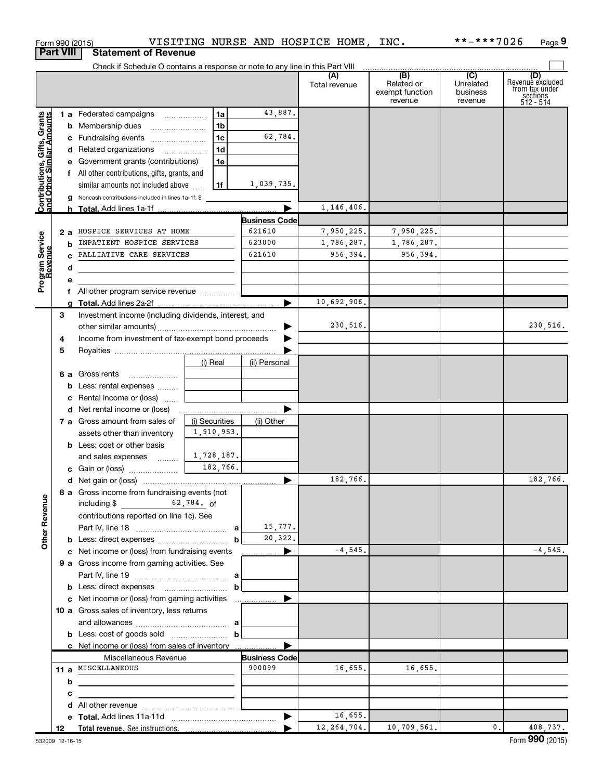|                                                           | Form 990 (2015)  |                                                                               | VISITING NURSE AND HOSPICE HOME, INC. |                      |                       |                      |                                                 | **-***7026                              | Page 9                                                               |
|-----------------------------------------------------------|------------------|-------------------------------------------------------------------------------|---------------------------------------|----------------------|-----------------------|----------------------|-------------------------------------------------|-----------------------------------------|----------------------------------------------------------------------|
|                                                           | <b>Part VIII</b> | <b>Statement of Revenue</b>                                                   |                                       |                      |                       |                      |                                                 |                                         |                                                                      |
|                                                           |                  | Check if Schedule O contains a response or note to any line in this Part VIII |                                       |                      |                       |                      |                                                 |                                         |                                                                      |
|                                                           |                  |                                                                               |                                       |                      |                       | (A)<br>Total revenue | (B)<br>Related or<br>exempt function<br>revenue | (C)<br>Unrelated<br>business<br>revenue | (D)<br>Revenuè excluded<br>from tax under<br>sections<br>$512 - 514$ |
|                                                           |                  | 1 a Federated campaigns                                                       | 1a                                    | 43,887.              |                       |                      |                                                 |                                         |                                                                      |
|                                                           |                  | <b>b</b> Membership dues                                                      | 1 <sub>b</sub>                        |                      |                       |                      |                                                 |                                         |                                                                      |
|                                                           |                  | c Fundraising events                                                          | 1 <sub>c</sub>                        | 62,784.              |                       |                      |                                                 |                                         |                                                                      |
|                                                           |                  | d Related organizations                                                       | 1 <sub>d</sub>                        |                      |                       |                      |                                                 |                                         |                                                                      |
|                                                           |                  |                                                                               |                                       |                      |                       |                      |                                                 |                                         |                                                                      |
|                                                           |                  | e Government grants (contributions)                                           | 1e                                    |                      |                       |                      |                                                 |                                         |                                                                      |
|                                                           |                  | f All other contributions, gifts, grants, and                                 |                                       |                      |                       |                      |                                                 |                                         |                                                                      |
| Contributions, Gifts, Grants<br>and Other Similar Amounts |                  | similar amounts not included above                                            | l 1f                                  | 1,039,735.           |                       |                      |                                                 |                                         |                                                                      |
|                                                           |                  | g Noncash contributions included in lines 1a-1f: \$                           |                                       |                      |                       |                      |                                                 |                                         |                                                                      |
|                                                           |                  | h Total. Add lines 1a-1f                                                      |                                       |                      |                       | 1,146,406.           |                                                 |                                         |                                                                      |
|                                                           |                  |                                                                               |                                       | <b>Business Code</b> |                       |                      |                                                 |                                         |                                                                      |
|                                                           | 2 a              | HOSPICE SERVICES AT HOME                                                      |                                       | 621610               |                       | 7,950,225.           | 7,950,225.                                      |                                         |                                                                      |
| Program Service                                           | b                | INPATIENT HOSPICE SERVICES                                                    |                                       | 623000               |                       | 1,786,287.           | 1,786,287.                                      |                                         |                                                                      |
|                                                           |                  | PALLIATIVE CARE SERVICES                                                      |                                       | 621610               |                       | 956,394.             | 956,394.                                        |                                         |                                                                      |
|                                                           | d                |                                                                               |                                       |                      |                       |                      |                                                 |                                         |                                                                      |
|                                                           | е                |                                                                               |                                       |                      |                       |                      |                                                 |                                         |                                                                      |
|                                                           |                  | f All other program service revenue                                           |                                       |                      |                       |                      |                                                 |                                         |                                                                      |
|                                                           |                  | g Total. Add lines 2a-2f.                                                     |                                       |                      |                       | 10,692,906.          |                                                 |                                         |                                                                      |
|                                                           | 3                | Investment income (including dividends, interest, and                         |                                       |                      |                       |                      |                                                 |                                         |                                                                      |
|                                                           |                  |                                                                               |                                       |                      |                       | 230,516.             |                                                 |                                         | 230,516.                                                             |
|                                                           | 4                | Income from investment of tax-exempt bond proceeds                            |                                       |                      |                       |                      |                                                 |                                         |                                                                      |
|                                                           | 5                |                                                                               |                                       |                      |                       |                      |                                                 |                                         |                                                                      |
|                                                           |                  |                                                                               | (i) Real                              | (ii) Personal        |                       |                      |                                                 |                                         |                                                                      |
|                                                           |                  | 6 a Gross rents                                                               |                                       |                      |                       |                      |                                                 |                                         |                                                                      |
|                                                           |                  | <b>b</b> Less: rental expenses                                                |                                       |                      |                       |                      |                                                 |                                         |                                                                      |
|                                                           |                  | c Rental income or (loss)                                                     |                                       |                      |                       |                      |                                                 |                                         |                                                                      |
|                                                           |                  | <b>d</b> Net rental income or (loss)                                          |                                       |                      |                       |                      |                                                 |                                         |                                                                      |
|                                                           |                  | 7 a Gross amount from sales of                                                | (i) Securities                        | (ii) Other           |                       |                      |                                                 |                                         |                                                                      |
|                                                           |                  | assets other than inventory                                                   | 1,910,953.                            |                      |                       |                      |                                                 |                                         |                                                                      |
|                                                           |                  | <b>b</b> Less: cost or other basis                                            |                                       |                      |                       |                      |                                                 |                                         |                                                                      |
|                                                           |                  | and sales expenses                                                            | 1,728,187.                            |                      |                       |                      |                                                 |                                         |                                                                      |
|                                                           |                  | c Gain or (loss)                                                              | 182,766.                              |                      |                       |                      |                                                 |                                         |                                                                      |
|                                                           |                  |                                                                               |                                       |                      |                       | 182,766.             |                                                 |                                         | 182,766.                                                             |
|                                                           |                  | 8 a Gross income from fundraising events (not                                 |                                       |                      |                       |                      |                                                 |                                         |                                                                      |
|                                                           |                  | including $$$ 62,784. of                                                      |                                       |                      |                       |                      |                                                 |                                         |                                                                      |
| <b>Other Revenue</b>                                      |                  | contributions reported on line 1c). See                                       |                                       |                      |                       |                      |                                                 |                                         |                                                                      |
|                                                           |                  |                                                                               |                                       | 15,777.              |                       |                      |                                                 |                                         |                                                                      |
|                                                           |                  |                                                                               | b                                     | 20,322.              |                       |                      |                                                 |                                         |                                                                      |
|                                                           |                  | c Net income or (loss) from fundraising events                                |                                       |                      | $\blacktriangleright$ | $-4,545.$            |                                                 |                                         | $-4,545.$                                                            |
|                                                           |                  |                                                                               |                                       | .                    |                       |                      |                                                 |                                         |                                                                      |
|                                                           |                  | 9 a Gross income from gaming activities. See                                  |                                       |                      |                       |                      |                                                 |                                         |                                                                      |
|                                                           |                  |                                                                               |                                       |                      |                       |                      |                                                 |                                         |                                                                      |
|                                                           |                  |                                                                               | b                                     |                      |                       |                      |                                                 |                                         |                                                                      |
|                                                           |                  |                                                                               |                                       |                      |                       |                      |                                                 |                                         |                                                                      |
|                                                           |                  | 10 a Gross sales of inventory, less returns                                   |                                       |                      |                       |                      |                                                 |                                         |                                                                      |
|                                                           |                  |                                                                               |                                       |                      |                       |                      |                                                 |                                         |                                                                      |
|                                                           |                  |                                                                               | b                                     |                      |                       |                      |                                                 |                                         |                                                                      |
|                                                           |                  | c Net income or (loss) from sales of inventory                                |                                       |                      |                       |                      |                                                 |                                         |                                                                      |
|                                                           |                  | Miscellaneous Revenue                                                         |                                       | <b>Business Code</b> |                       |                      |                                                 |                                         |                                                                      |
|                                                           |                  | 11 a MISCELLANEOUS                                                            |                                       | 900099               |                       | 16,655.              | 16,655.                                         |                                         |                                                                      |
|                                                           | b                |                                                                               |                                       |                      |                       |                      |                                                 |                                         |                                                                      |
|                                                           | с                |                                                                               |                                       |                      |                       |                      |                                                 |                                         |                                                                      |
|                                                           | d                |                                                                               |                                       |                      |                       |                      |                                                 |                                         |                                                                      |
|                                                           |                  |                                                                               |                                       |                      |                       | 16,655.              |                                                 |                                         |                                                                      |
|                                                           | 12               |                                                                               |                                       |                      |                       | 12, 264, 704.        | 10,709,561.                                     | 0.                                      | 408,737.                                                             |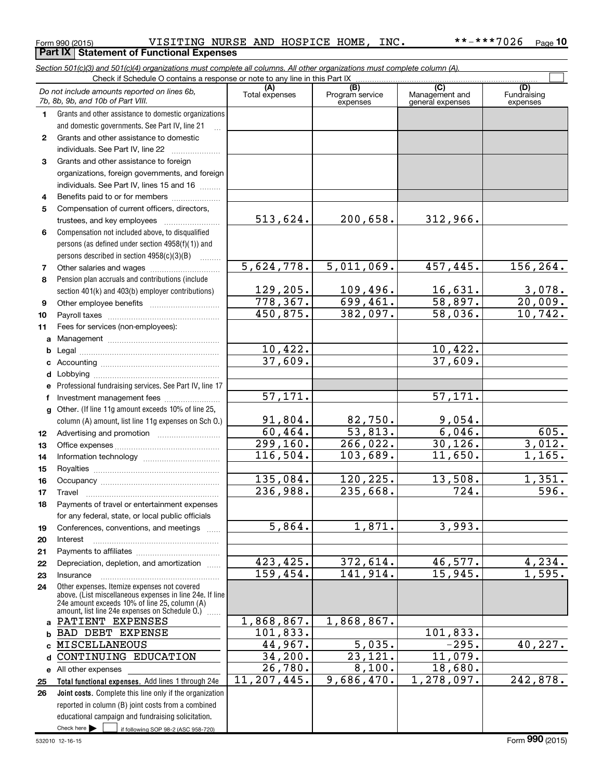Check here

Check here if following SOP 98-2 (ASC 958-720)

#### Form 990 (2015) **Page 1 A. A. S. L. L. P. A. S. L. L. P. A. S. P. A. S. P. A. S. P. A. S. P. A. S. P. A. S. P. A. S. P. A. S. P. A. S. P. A. S. P. A. S. P. A. S. P. A. O. Z. G. P. A. S. P. A. S. P. A. S. P. A. S. P. A. S. Part IX Statement of Functional Expenses**

*Section 501(c)(3) and 501(c)(4) organizations must complete all columns. All other organizations must complete column (A).*

**10**

 $\Box$ 

|    | Do not include amounts reported on lines 6b,<br>7b, 8b, 9b, and 10b of Part VIII.                                                                                                                             | (A)<br>Total expenses | (B)<br>Program service<br>expenses | $\overline{C}$<br>Management and<br>general expenses | (D)<br>Fundraising<br>expenses |
|----|---------------------------------------------------------------------------------------------------------------------------------------------------------------------------------------------------------------|-----------------------|------------------------------------|------------------------------------------------------|--------------------------------|
| 1  | Grants and other assistance to domestic organizations                                                                                                                                                         |                       |                                    |                                                      |                                |
|    | and domestic governments. See Part IV, line 21                                                                                                                                                                |                       |                                    |                                                      |                                |
| 2  | Grants and other assistance to domestic                                                                                                                                                                       |                       |                                    |                                                      |                                |
|    | individuals. See Part IV, line 22                                                                                                                                                                             |                       |                                    |                                                      |                                |
| 3  | Grants and other assistance to foreign                                                                                                                                                                        |                       |                                    |                                                      |                                |
|    | organizations, foreign governments, and foreign                                                                                                                                                               |                       |                                    |                                                      |                                |
|    | individuals. See Part IV, lines 15 and 16                                                                                                                                                                     |                       |                                    |                                                      |                                |
| 4  | Benefits paid to or for members                                                                                                                                                                               |                       |                                    |                                                      |                                |
| 5  | Compensation of current officers, directors,                                                                                                                                                                  |                       |                                    |                                                      |                                |
|    | trustees, and key employees                                                                                                                                                                                   | 513,624.              | 200,658.                           | 312,966.                                             |                                |
| 6  | Compensation not included above, to disqualified                                                                                                                                                              |                       |                                    |                                                      |                                |
|    | persons (as defined under section 4958(f)(1)) and                                                                                                                                                             |                       |                                    |                                                      |                                |
|    | persons described in section 4958(c)(3)(B)<br>.                                                                                                                                                               |                       |                                    |                                                      |                                |
| 7  |                                                                                                                                                                                                               | 5,624,778.            | 5,011,069.                         | 457,445.                                             | 156, 264.                      |
| 8  | Pension plan accruals and contributions (include                                                                                                                                                              |                       |                                    |                                                      |                                |
|    | section 401(k) and 403(b) employer contributions)                                                                                                                                                             | 129,205.              | 109,496.                           | <u>16,631.</u>                                       | 3,078.                         |
| 9  |                                                                                                                                                                                                               | 778, 367.             | 699,461.                           | 58,897.                                              | 20,009.                        |
| 10 |                                                                                                                                                                                                               | 450,875.              | 382,097.                           | 58,036.                                              | 10, 742.                       |
| 11 | Fees for services (non-employees):                                                                                                                                                                            |                       |                                    |                                                      |                                |
| a  |                                                                                                                                                                                                               |                       |                                    |                                                      |                                |
| b  |                                                                                                                                                                                                               | 10,422.<br>37,609.    |                                    | 10,422.<br>37,609.                                   |                                |
| c  |                                                                                                                                                                                                               |                       |                                    |                                                      |                                |
| d  |                                                                                                                                                                                                               |                       |                                    |                                                      |                                |
| е  | Professional fundraising services. See Part IV, line 17                                                                                                                                                       | 57, 171.              |                                    | 57,171.                                              |                                |
| f  | Investment management fees<br>Other. (If line 11g amount exceeds 10% of line 25,                                                                                                                              |                       |                                    |                                                      |                                |
| g  | column (A) amount, list line 11g expenses on Sch O.)                                                                                                                                                          | 91,804.               | 82,750.                            | 9,054.                                               |                                |
| 12 |                                                                                                                                                                                                               | 60, 464.              | 53,813.                            | 6,046.                                               | $\overline{605}$ .             |
| 13 |                                                                                                                                                                                                               | 299, 160.             | 266,022.                           | 30, 126.                                             | 3,012.                         |
| 14 |                                                                                                                                                                                                               | 116,504.              | 103,689.                           | 11,650.                                              | 1,165.                         |
| 15 |                                                                                                                                                                                                               |                       |                                    |                                                      |                                |
| 16 |                                                                                                                                                                                                               | 135,084.              | 120,225.                           | 13,508.                                              | 1,351.                         |
| 17 | Travel                                                                                                                                                                                                        | 236,988.              | 235,668.                           | $\overline{724}$ .                                   | 596.                           |
| 18 | Payments of travel or entertainment expenses                                                                                                                                                                  |                       |                                    |                                                      |                                |
|    | for any federal, state, or local public officials                                                                                                                                                             |                       |                                    |                                                      |                                |
| 19 | Conferences, conventions, and meetings                                                                                                                                                                        | 5,864.                | 1,871.                             | 3,993.                                               |                                |
| 20 | Interest                                                                                                                                                                                                      |                       |                                    |                                                      |                                |
| 21 |                                                                                                                                                                                                               |                       |                                    |                                                      |                                |
| 22 | Depreciation, depletion, and amortization                                                                                                                                                                     | 423,425.              | 372,614.                           | 46,577.                                              | 4,234.                         |
| 23 | Insurance                                                                                                                                                                                                     | 159,454.              | 141,914.                           | 15,945.                                              | 1,595.                         |
| 24 | Other expenses. Itemize expenses not covered<br>above. (List miscellaneous expenses in line 24e. If line<br>24e amount exceeds 10% of line 25, column (A)<br>amount, list line 24e expenses on Schedule O.) [ |                       |                                    |                                                      |                                |
|    | a PATIENT EXPENSES                                                                                                                                                                                            | 1,868,867.            | 1,868,867.                         |                                                      |                                |
|    | <b>b BAD DEBT EXPENSE</b>                                                                                                                                                                                     | 101,833.              |                                    | 101,833.                                             |                                |
| C. | MISCELLANEOUS                                                                                                                                                                                                 | 44,967.               | 5,035.                             | $-295.$                                              | 40, 227.                       |
| d  | CONTINUING EDUCATION                                                                                                                                                                                          | 34,200.               | $\overline{23,121}$ .              | 11,079.                                              |                                |
|    | e All other expenses                                                                                                                                                                                          | 26,780.               | 8,100.                             | 18,680.                                              |                                |
| 25 | Total functional expenses. Add lines 1 through 24e                                                                                                                                                            | 11, 207, 445.         | 9,686,470.                         | 1,278,097.                                           | 242, 878.                      |
| 26 | Joint costs. Complete this line only if the organization                                                                                                                                                      |                       |                                    |                                                      |                                |
|    | reported in column (B) joint costs from a combined                                                                                                                                                            |                       |                                    |                                                      |                                |
|    | educational campaign and fundraising solicitation.                                                                                                                                                            |                       |                                    |                                                      |                                |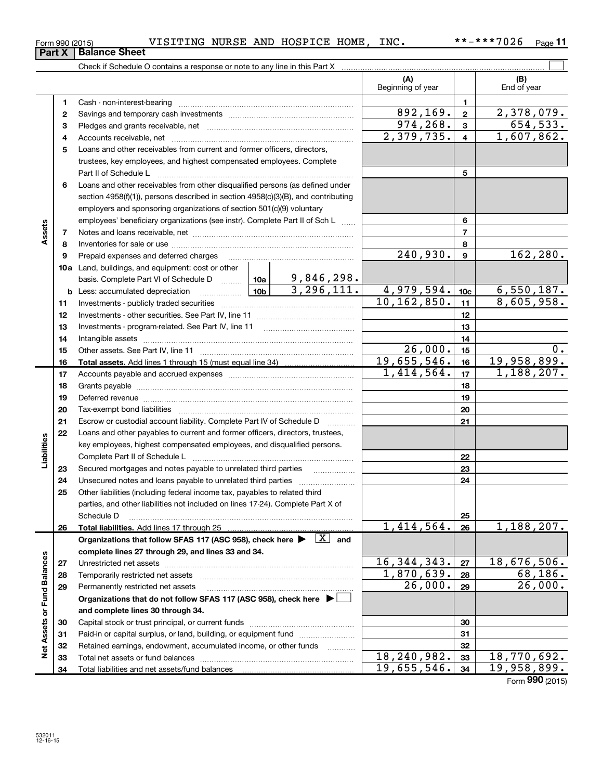**32 33 34**

|                             |              |                                                                                                                                                                                                                                |   |               | (A)<br>Beginning of year                          |                           | (B)<br>End of year |
|-----------------------------|--------------|--------------------------------------------------------------------------------------------------------------------------------------------------------------------------------------------------------------------------------|---|---------------|---------------------------------------------------|---------------------------|--------------------|
|                             | 1.           | Cash - non-interest-bearing                                                                                                                                                                                                    |   |               |                                                   | 1.                        |                    |
|                             | $\mathbf{2}$ |                                                                                                                                                                                                                                |   |               | 892,169.                                          | $\mathbf{2}$              | 2,378,079.         |
|                             | 3            |                                                                                                                                                                                                                                |   |               | 974,268.                                          | 3                         | 654,533.           |
|                             | 4            |                                                                                                                                                                                                                                |   |               | $\overline{2,379},735.$                           | $\overline{\mathbf{4}}$   | 1,607,862.         |
|                             | 5            | Loans and other receivables from current and former officers, directors,                                                                                                                                                       |   |               |                                                   |                           |                    |
|                             |              | trustees, key employees, and highest compensated employees. Complete                                                                                                                                                           |   |               |                                                   |                           |                    |
|                             |              | Part II of Schedule L                                                                                                                                                                                                          |   | 5             |                                                   |                           |                    |
|                             | 6            | Loans and other receivables from other disqualified persons (as defined under                                                                                                                                                  |   |               |                                                   |                           |                    |
|                             |              | section 4958(f)(1)), persons described in section 4958(c)(3)(B), and contributing                                                                                                                                              |   |               |                                                   |                           |                    |
|                             |              | employers and sponsoring organizations of section 501(c)(9) voluntary                                                                                                                                                          |   |               |                                                   |                           |                    |
|                             |              | employees' beneficiary organizations (see instr). Complete Part II of Sch L                                                                                                                                                    |   |               |                                                   | 6                         |                    |
| Assets                      | 7            |                                                                                                                                                                                                                                |   |               |                                                   | $\overline{7}$            |                    |
|                             | 8            |                                                                                                                                                                                                                                |   |               |                                                   | 8                         |                    |
|                             | 9            | Prepaid expenses and deferred charges                                                                                                                                                                                          |   |               | $\overline{240,930}$ .                            | 9                         | 162, 280.          |
|                             |              | 10a Land, buildings, and equipment: cost or other                                                                                                                                                                              |   |               |                                                   |                           |                    |
|                             |              | basis. Complete Part VI of Schedule D  10a   9, 846, 298.                                                                                                                                                                      |   |               |                                                   |                           |                    |
|                             |              | <u>  10b</u>  <br><b>b</b> Less: accumulated depreciation                                                                                                                                                                      |   | 3, 296, 111.  | 4,979,594.                                        | 10c                       | 6, 550, 187.       |
|                             | 11           |                                                                                                                                                                                                                                |   |               | 10, 162, 850.                                     | 11                        | 8,605,958.         |
|                             | 12           |                                                                                                                                                                                                                                |   |               |                                                   | 12                        |                    |
|                             | 13           |                                                                                                                                                                                                                                |   |               |                                                   | 13                        |                    |
|                             | 14           |                                                                                                                                                                                                                                |   |               |                                                   | 14                        |                    |
|                             | 15           |                                                                                                                                                                                                                                |   |               | $\overline{2}6,000.$<br>$\overline{19,655,546}$ . | 15                        | $0$ .              |
|                             | 16           |                                                                                                                                                                                                                                |   |               | 1,414,564.                                        | 16                        | 19,958,899.        |
|                             | 17           |                                                                                                                                                                                                                                |   |               |                                                   | 17                        | 1,188,207.         |
|                             | 18           |                                                                                                                                                                                                                                |   |               | 18                                                |                           |                    |
|                             | 19<br>20     | Deferred revenue imminimum contracts and all the contracts and all the contracts and all the contracts are contracted and all the contracts are contracted and all the contracts are contracted and contract are contracted an |   |               | 19<br>20                                          |                           |                    |
|                             | 21           | Escrow or custodial account liability. Complete Part IV of Schedule D                                                                                                                                                          |   |               |                                                   | 21                        |                    |
|                             | 22           | Loans and other payables to current and former officers, directors, trustees,                                                                                                                                                  | . |               |                                                   |                           |                    |
| Liabilities                 |              | key employees, highest compensated employees, and disqualified persons.                                                                                                                                                        |   |               |                                                   |                           |                    |
|                             |              | Complete Part II of Schedule L                                                                                                                                                                                                 |   |               |                                                   | 22                        |                    |
|                             | 23           | Secured mortgages and notes payable to unrelated third parties                                                                                                                                                                 |   |               |                                                   | 23                        |                    |
|                             | 24           |                                                                                                                                                                                                                                |   |               |                                                   | 24                        |                    |
|                             | 25           | Other liabilities (including federal income tax, payables to related third                                                                                                                                                     |   |               |                                                   |                           |                    |
|                             |              | parties, and other liabilities not included on lines 17-24). Complete Part X of                                                                                                                                                |   |               |                                                   |                           |                    |
|                             |              | Schedule D                                                                                                                                                                                                                     |   |               |                                                   | 25                        |                    |
|                             | 26           | Total liabilities. Add lines 17 through 25                                                                                                                                                                                     |   |               | 1,414,564.                                        | 26                        | 1,188,207.         |
|                             |              | Organizations that follow SFAS 117 (ASC 958), check here $\blacktriangleright \begin{array}{c} \boxed{X} \\ \end{array}$ and                                                                                                   |   |               |                                                   |                           |                    |
|                             |              | complete lines 27 through 29, and lines 33 and 34.                                                                                                                                                                             |   |               |                                                   |                           |                    |
|                             | 27           |                                                                                                                                                                                                                                |   | 16, 344, 343. | 27                                                | $\overline{18,676,506}$ . |                    |
|                             | 28           | Temporarily restricted net assets                                                                                                                                                                                              |   | 1,870,639.    | 28                                                | 68,186.                   |                    |
|                             | 29           | Permanently restricted net assets                                                                                                                                                                                              |   | 26,000.       | 29                                                | 26,000.                   |                    |
| Net Assets or Fund Balances |              | Organizations that do not follow SFAS 117 (ASC 958), check here ▶ │                                                                                                                                                            |   |               |                                                   |                           |                    |
|                             |              | and complete lines 30 through 34.                                                                                                                                                                                              |   |               |                                                   |                           |                    |
|                             | 30           | Capital stock or trust principal, or current funds                                                                                                                                                                             |   |               |                                                   | 30                        |                    |
|                             | 31<br>32     | Paid-in or capital surplus, or land, building, or equipment fund<br>Retained earnings, endowment, accumulated income, or other funds                                                                                           |   |               |                                                   | 31<br>32                  |                    |
|                             | 33           | Total net assets or fund balances                                                                                                                                                                                              |   | .             | 18,240,982.                                       | 33                        | 18,770,692.        |

Check if Schedule O contains a response or note to any line in this Part X

**Part X** | Balance Sheet

Total net assets or fund balances ~~~~~~~~~~~~~~~~~~~~~~

Total liabilities and net assets/fund balances

**11**

**32 33 34**

18,240,982. 18,770,692.  $19,655,546. |34 | 19,958,899.$ 

Form (2015) **990**

 $\boxed{\phantom{1}}$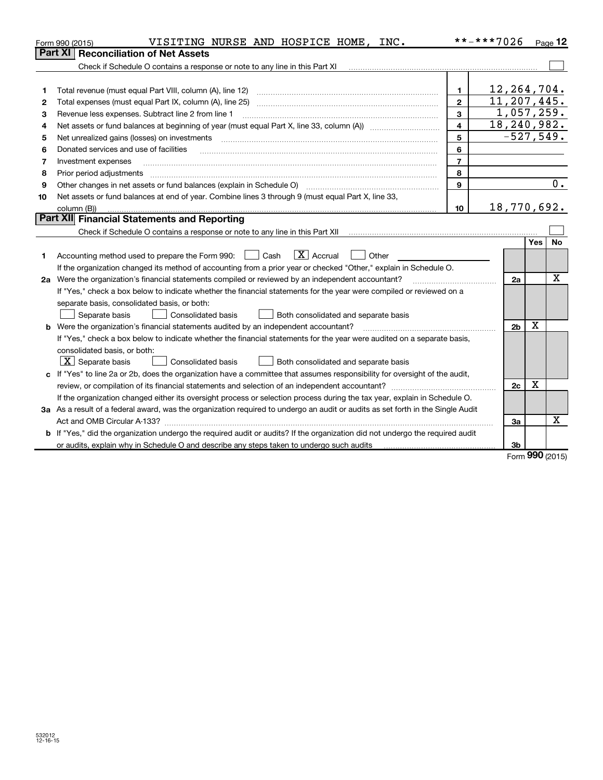| <b>Reconciliation of Net Assets</b><br>Part XI<br>Check if Schedule O contains a response or note to any line in this Part XI<br>12,264,704.<br>Total revenue (must equal Part VIII, column (A), line 12)<br>1<br>1<br>11,207,445.<br>$\mathbf{2}$<br>Total expenses (must equal Part IX, column (A), line 25)<br>2<br>1,057,259.<br>3<br>Revenue less expenses. Subtract line 2 from line 1<br>з<br>18, 240, 982.<br>4<br>4<br>$-527,549.$<br>5<br>Net unrealized gains (losses) on investments<br>5<br>6<br>Donated services and use of facilities<br>6<br>$\overline{7}$<br>Investment expenses<br>7<br>8<br>Prior period adjustments<br>8<br>Other changes in net assets or fund balances (explain in Schedule O) [11] [12] [13] [13] [13] [13] Other changes in net assets or fund balances (explain in Schedule O)<br>9<br>9<br>Net assets or fund balances at end of year. Combine lines 3 through 9 (must equal Part X, line 33,<br>10<br>18,770,692.<br>10 <sup>1</sup><br>column (B))<br>Part XII Financial Statements and Reporting<br><b>Yes</b><br>$\boxed{\mathbf{X}}$ Accrual<br>Accounting method used to prepare the Form 990: <u>[</u> Cash<br>Other<br>$\mathbb{R}^n$<br>1<br>If the organization changed its method of accounting from a prior year or checked "Other," explain in Schedule O.<br>2a Were the organization's financial statements compiled or reviewed by an independent accountant?<br>2a<br>If "Yes," check a box below to indicate whether the financial statements for the year were compiled or reviewed on a<br>separate basis, consolidated basis, or both:<br>Both consolidated and separate basis<br>Separate basis<br>Consolidated basis<br>X<br>2 <sub>b</sub><br><b>b</b> Were the organization's financial statements audited by an independent accountant?<br>If "Yes," check a box below to indicate whether the financial statements for the year were audited on a separate basis, | Page 12     |  |  |  |  |
|-----------------------------------------------------------------------------------------------------------------------------------------------------------------------------------------------------------------------------------------------------------------------------------------------------------------------------------------------------------------------------------------------------------------------------------------------------------------------------------------------------------------------------------------------------------------------------------------------------------------------------------------------------------------------------------------------------------------------------------------------------------------------------------------------------------------------------------------------------------------------------------------------------------------------------------------------------------------------------------------------------------------------------------------------------------------------------------------------------------------------------------------------------------------------------------------------------------------------------------------------------------------------------------------------------------------------------------------------------------------------------------------------------------------------------------------------------------------------------------------------------------------------------------------------------------------------------------------------------------------------------------------------------------------------------------------------------------------------------------------------------------------------------------------------------------------------------------------------------------------------------------------------------------------------------------------|-------------|--|--|--|--|
|                                                                                                                                                                                                                                                                                                                                                                                                                                                                                                                                                                                                                                                                                                                                                                                                                                                                                                                                                                                                                                                                                                                                                                                                                                                                                                                                                                                                                                                                                                                                                                                                                                                                                                                                                                                                                                                                                                                                         |             |  |  |  |  |
|                                                                                                                                                                                                                                                                                                                                                                                                                                                                                                                                                                                                                                                                                                                                                                                                                                                                                                                                                                                                                                                                                                                                                                                                                                                                                                                                                                                                                                                                                                                                                                                                                                                                                                                                                                                                                                                                                                                                         |             |  |  |  |  |
|                                                                                                                                                                                                                                                                                                                                                                                                                                                                                                                                                                                                                                                                                                                                                                                                                                                                                                                                                                                                                                                                                                                                                                                                                                                                                                                                                                                                                                                                                                                                                                                                                                                                                                                                                                                                                                                                                                                                         |             |  |  |  |  |
|                                                                                                                                                                                                                                                                                                                                                                                                                                                                                                                                                                                                                                                                                                                                                                                                                                                                                                                                                                                                                                                                                                                                                                                                                                                                                                                                                                                                                                                                                                                                                                                                                                                                                                                                                                                                                                                                                                                                         |             |  |  |  |  |
|                                                                                                                                                                                                                                                                                                                                                                                                                                                                                                                                                                                                                                                                                                                                                                                                                                                                                                                                                                                                                                                                                                                                                                                                                                                                                                                                                                                                                                                                                                                                                                                                                                                                                                                                                                                                                                                                                                                                         |             |  |  |  |  |
|                                                                                                                                                                                                                                                                                                                                                                                                                                                                                                                                                                                                                                                                                                                                                                                                                                                                                                                                                                                                                                                                                                                                                                                                                                                                                                                                                                                                                                                                                                                                                                                                                                                                                                                                                                                                                                                                                                                                         |             |  |  |  |  |
|                                                                                                                                                                                                                                                                                                                                                                                                                                                                                                                                                                                                                                                                                                                                                                                                                                                                                                                                                                                                                                                                                                                                                                                                                                                                                                                                                                                                                                                                                                                                                                                                                                                                                                                                                                                                                                                                                                                                         |             |  |  |  |  |
|                                                                                                                                                                                                                                                                                                                                                                                                                                                                                                                                                                                                                                                                                                                                                                                                                                                                                                                                                                                                                                                                                                                                                                                                                                                                                                                                                                                                                                                                                                                                                                                                                                                                                                                                                                                                                                                                                                                                         |             |  |  |  |  |
|                                                                                                                                                                                                                                                                                                                                                                                                                                                                                                                                                                                                                                                                                                                                                                                                                                                                                                                                                                                                                                                                                                                                                                                                                                                                                                                                                                                                                                                                                                                                                                                                                                                                                                                                                                                                                                                                                                                                         |             |  |  |  |  |
|                                                                                                                                                                                                                                                                                                                                                                                                                                                                                                                                                                                                                                                                                                                                                                                                                                                                                                                                                                                                                                                                                                                                                                                                                                                                                                                                                                                                                                                                                                                                                                                                                                                                                                                                                                                                                                                                                                                                         |             |  |  |  |  |
|                                                                                                                                                                                                                                                                                                                                                                                                                                                                                                                                                                                                                                                                                                                                                                                                                                                                                                                                                                                                                                                                                                                                                                                                                                                                                                                                                                                                                                                                                                                                                                                                                                                                                                                                                                                                                                                                                                                                         |             |  |  |  |  |
|                                                                                                                                                                                                                                                                                                                                                                                                                                                                                                                                                                                                                                                                                                                                                                                                                                                                                                                                                                                                                                                                                                                                                                                                                                                                                                                                                                                                                                                                                                                                                                                                                                                                                                                                                                                                                                                                                                                                         | 0.          |  |  |  |  |
|                                                                                                                                                                                                                                                                                                                                                                                                                                                                                                                                                                                                                                                                                                                                                                                                                                                                                                                                                                                                                                                                                                                                                                                                                                                                                                                                                                                                                                                                                                                                                                                                                                                                                                                                                                                                                                                                                                                                         |             |  |  |  |  |
|                                                                                                                                                                                                                                                                                                                                                                                                                                                                                                                                                                                                                                                                                                                                                                                                                                                                                                                                                                                                                                                                                                                                                                                                                                                                                                                                                                                                                                                                                                                                                                                                                                                                                                                                                                                                                                                                                                                                         |             |  |  |  |  |
|                                                                                                                                                                                                                                                                                                                                                                                                                                                                                                                                                                                                                                                                                                                                                                                                                                                                                                                                                                                                                                                                                                                                                                                                                                                                                                                                                                                                                                                                                                                                                                                                                                                                                                                                                                                                                                                                                                                                         |             |  |  |  |  |
|                                                                                                                                                                                                                                                                                                                                                                                                                                                                                                                                                                                                                                                                                                                                                                                                                                                                                                                                                                                                                                                                                                                                                                                                                                                                                                                                                                                                                                                                                                                                                                                                                                                                                                                                                                                                                                                                                                                                         |             |  |  |  |  |
|                                                                                                                                                                                                                                                                                                                                                                                                                                                                                                                                                                                                                                                                                                                                                                                                                                                                                                                                                                                                                                                                                                                                                                                                                                                                                                                                                                                                                                                                                                                                                                                                                                                                                                                                                                                                                                                                                                                                         | <b>No</b>   |  |  |  |  |
|                                                                                                                                                                                                                                                                                                                                                                                                                                                                                                                                                                                                                                                                                                                                                                                                                                                                                                                                                                                                                                                                                                                                                                                                                                                                                                                                                                                                                                                                                                                                                                                                                                                                                                                                                                                                                                                                                                                                         |             |  |  |  |  |
|                                                                                                                                                                                                                                                                                                                                                                                                                                                                                                                                                                                                                                                                                                                                                                                                                                                                                                                                                                                                                                                                                                                                                                                                                                                                                                                                                                                                                                                                                                                                                                                                                                                                                                                                                                                                                                                                                                                                         |             |  |  |  |  |
|                                                                                                                                                                                                                                                                                                                                                                                                                                                                                                                                                                                                                                                                                                                                                                                                                                                                                                                                                                                                                                                                                                                                                                                                                                                                                                                                                                                                                                                                                                                                                                                                                                                                                                                                                                                                                                                                                                                                         | $\mathbf x$ |  |  |  |  |
|                                                                                                                                                                                                                                                                                                                                                                                                                                                                                                                                                                                                                                                                                                                                                                                                                                                                                                                                                                                                                                                                                                                                                                                                                                                                                                                                                                                                                                                                                                                                                                                                                                                                                                                                                                                                                                                                                                                                         |             |  |  |  |  |
|                                                                                                                                                                                                                                                                                                                                                                                                                                                                                                                                                                                                                                                                                                                                                                                                                                                                                                                                                                                                                                                                                                                                                                                                                                                                                                                                                                                                                                                                                                                                                                                                                                                                                                                                                                                                                                                                                                                                         |             |  |  |  |  |
|                                                                                                                                                                                                                                                                                                                                                                                                                                                                                                                                                                                                                                                                                                                                                                                                                                                                                                                                                                                                                                                                                                                                                                                                                                                                                                                                                                                                                                                                                                                                                                                                                                                                                                                                                                                                                                                                                                                                         |             |  |  |  |  |
|                                                                                                                                                                                                                                                                                                                                                                                                                                                                                                                                                                                                                                                                                                                                                                                                                                                                                                                                                                                                                                                                                                                                                                                                                                                                                                                                                                                                                                                                                                                                                                                                                                                                                                                                                                                                                                                                                                                                         |             |  |  |  |  |
|                                                                                                                                                                                                                                                                                                                                                                                                                                                                                                                                                                                                                                                                                                                                                                                                                                                                                                                                                                                                                                                                                                                                                                                                                                                                                                                                                                                                                                                                                                                                                                                                                                                                                                                                                                                                                                                                                                                                         |             |  |  |  |  |
| consolidated basis, or both:                                                                                                                                                                                                                                                                                                                                                                                                                                                                                                                                                                                                                                                                                                                                                                                                                                                                                                                                                                                                                                                                                                                                                                                                                                                                                                                                                                                                                                                                                                                                                                                                                                                                                                                                                                                                                                                                                                            |             |  |  |  |  |
| $ \mathbf{X} $ Separate basis<br><b>Consolidated basis</b><br>Both consolidated and separate basis                                                                                                                                                                                                                                                                                                                                                                                                                                                                                                                                                                                                                                                                                                                                                                                                                                                                                                                                                                                                                                                                                                                                                                                                                                                                                                                                                                                                                                                                                                                                                                                                                                                                                                                                                                                                                                      |             |  |  |  |  |
| c If "Yes" to line 2a or 2b, does the organization have a committee that assumes responsibility for oversight of the audit,                                                                                                                                                                                                                                                                                                                                                                                                                                                                                                                                                                                                                                                                                                                                                                                                                                                                                                                                                                                                                                                                                                                                                                                                                                                                                                                                                                                                                                                                                                                                                                                                                                                                                                                                                                                                             |             |  |  |  |  |
| х<br>2c                                                                                                                                                                                                                                                                                                                                                                                                                                                                                                                                                                                                                                                                                                                                                                                                                                                                                                                                                                                                                                                                                                                                                                                                                                                                                                                                                                                                                                                                                                                                                                                                                                                                                                                                                                                                                                                                                                                                 |             |  |  |  |  |
| If the organization changed either its oversight process or selection process during the tax year, explain in Schedule O.                                                                                                                                                                                                                                                                                                                                                                                                                                                                                                                                                                                                                                                                                                                                                                                                                                                                                                                                                                                                                                                                                                                                                                                                                                                                                                                                                                                                                                                                                                                                                                                                                                                                                                                                                                                                               |             |  |  |  |  |
| 3a As a result of a federal award, was the organization required to undergo an audit or audits as set forth in the Single Audit                                                                                                                                                                                                                                                                                                                                                                                                                                                                                                                                                                                                                                                                                                                                                                                                                                                                                                                                                                                                                                                                                                                                                                                                                                                                                                                                                                                                                                                                                                                                                                                                                                                                                                                                                                                                         |             |  |  |  |  |
| 3a                                                                                                                                                                                                                                                                                                                                                                                                                                                                                                                                                                                                                                                                                                                                                                                                                                                                                                                                                                                                                                                                                                                                                                                                                                                                                                                                                                                                                                                                                                                                                                                                                                                                                                                                                                                                                                                                                                                                      | X           |  |  |  |  |
| b If "Yes," did the organization undergo the required audit or audits? If the organization did not undergo the required audit                                                                                                                                                                                                                                                                                                                                                                                                                                                                                                                                                                                                                                                                                                                                                                                                                                                                                                                                                                                                                                                                                                                                                                                                                                                                                                                                                                                                                                                                                                                                                                                                                                                                                                                                                                                                           |             |  |  |  |  |
| or audits, explain why in Schedule O and describe any steps taken to undergo such audits<br>3b<br>nnn                                                                                                                                                                                                                                                                                                                                                                                                                                                                                                                                                                                                                                                                                                                                                                                                                                                                                                                                                                                                                                                                                                                                                                                                                                                                                                                                                                                                                                                                                                                                                                                                                                                                                                                                                                                                                                   |             |  |  |  |  |

Form (2015) **990**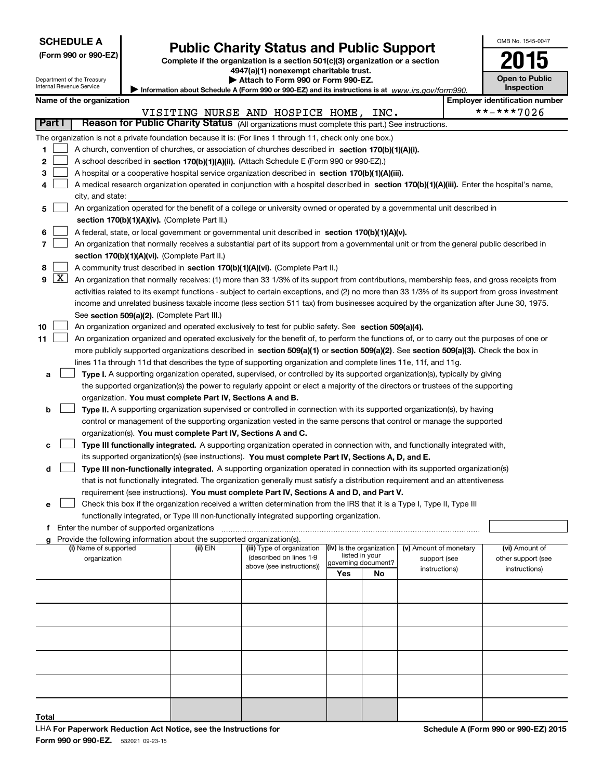| <b>SCHEDULE A</b> |
|-------------------|
|-------------------|

|  |  |  | (Form 990 or 990-EZ) |  |
|--|--|--|----------------------|--|
|--|--|--|----------------------|--|

### **Public Charity Status and Public Support**

**(Form 990 or 990-EZ) Complete if the organization is a section 501(c)(3) organization or a section 4947(a)(1) nonexempt charitable trust.**

| <b>Open to Public</b><br><b>Inspection</b> |
|--------------------------------------------|

OMB No. 1545-0047

Department of the Treasury Internal Revenue Service

|                                                                                                     | Attach to Form 990 or Form 990-EZ. |  |
|-----------------------------------------------------------------------------------------------------|------------------------------------|--|
| Information about Schedule A (Form 990 or 990-EZ) and its instructions is at $www.irs.gov/form990.$ |                                    |  |

|            | Internal Revenue Service<br><b>Inspection</b><br>Information about Schedule A (Form 990 or 990-EZ) and its instructions is at $www.irs.gov/form990$ . |                                             |                                                                        |                                                                                                                                               |                          |      |                                        |  |                                       |
|------------|-------------------------------------------------------------------------------------------------------------------------------------------------------|---------------------------------------------|------------------------------------------------------------------------|-----------------------------------------------------------------------------------------------------------------------------------------------|--------------------------|------|----------------------------------------|--|---------------------------------------|
|            | Name of the organization                                                                                                                              |                                             |                                                                        |                                                                                                                                               |                          |      |                                        |  | <b>Employer identification number</b> |
|            |                                                                                                                                                       |                                             |                                                                        | VISITING NURSE AND HOSPICE HOME,                                                                                                              |                          | INC. |                                        |  | **-***7026                            |
| Part I     |                                                                                                                                                       |                                             |                                                                        | Reason for Public Charity Status (All organizations must complete this part.) See instructions.                                               |                          |      |                                        |  |                                       |
|            |                                                                                                                                                       |                                             |                                                                        | The organization is not a private foundation because it is: (For lines 1 through 11, check only one box.)                                     |                          |      |                                        |  |                                       |
| 1.         |                                                                                                                                                       |                                             |                                                                        | A church, convention of churches, or association of churches described in section 170(b)(1)(A)(i).                                            |                          |      |                                        |  |                                       |
| 2          |                                                                                                                                                       |                                             |                                                                        | A school described in section 170(b)(1)(A)(ii). (Attach Schedule E (Form 990 or 990-EZ).)                                                     |                          |      |                                        |  |                                       |
| 3          |                                                                                                                                                       |                                             |                                                                        | A hospital or a cooperative hospital service organization described in section 170(b)(1)(A)(iii).                                             |                          |      |                                        |  |                                       |
|            | A medical research organization operated in conjunction with a hospital described in section 170(b)(1)(A)(iii). Enter the hospital's name,            |                                             |                                                                        |                                                                                                                                               |                          |      |                                        |  |                                       |
|            | city, and state:                                                                                                                                      |                                             |                                                                        |                                                                                                                                               |                          |      |                                        |  |                                       |
| 5          |                                                                                                                                                       |                                             |                                                                        | An organization operated for the benefit of a college or university owned or operated by a governmental unit described in                     |                          |      |                                        |  |                                       |
|            |                                                                                                                                                       |                                             | section 170(b)(1)(A)(iv). (Complete Part II.)                          |                                                                                                                                               |                          |      |                                        |  |                                       |
| 6          |                                                                                                                                                       |                                             |                                                                        | A federal, state, or local government or governmental unit described in section 170(b)(1)(A)(v).                                              |                          |      |                                        |  |                                       |
| 7          |                                                                                                                                                       |                                             |                                                                        | An organization that normally receives a substantial part of its support from a governmental unit or from the general public described in     |                          |      |                                        |  |                                       |
|            |                                                                                                                                                       |                                             | section 170(b)(1)(A)(vi). (Complete Part II.)                          |                                                                                                                                               |                          |      |                                        |  |                                       |
| 8          |                                                                                                                                                       |                                             |                                                                        | A community trust described in section 170(b)(1)(A)(vi). (Complete Part II.)                                                                  |                          |      |                                        |  |                                       |
| $9 \mid X$ |                                                                                                                                                       |                                             |                                                                        | An organization that normally receives: (1) more than 33 1/3% of its support from contributions, membership fees, and gross receipts from     |                          |      |                                        |  |                                       |
|            |                                                                                                                                                       |                                             |                                                                        | activities related to its exempt functions - subject to certain exceptions, and (2) no more than 33 1/3% of its support from gross investment |                          |      |                                        |  |                                       |
|            |                                                                                                                                                       |                                             |                                                                        | income and unrelated business taxable income (less section 511 tax) from businesses acquired by the organization after June 30, 1975.         |                          |      |                                        |  |                                       |
|            |                                                                                                                                                       | See section 509(a)(2). (Complete Part III.) |                                                                        |                                                                                                                                               |                          |      |                                        |  |                                       |
| 10         |                                                                                                                                                       |                                             |                                                                        | An organization organized and operated exclusively to test for public safety. See section 509(a)(4).                                          |                          |      |                                        |  |                                       |
| 11         | An organization organized and operated exclusively for the benefit of, to perform the functions of, or to carry out the purposes of one or            |                                             |                                                                        |                                                                                                                                               |                          |      |                                        |  |                                       |
|            |                                                                                                                                                       |                                             |                                                                        | more publicly supported organizations described in section 509(a)(1) or section 509(a)(2). See section 509(a)(3). Check the box in            |                          |      |                                        |  |                                       |
|            | lines 11a through 11d that describes the type of supporting organization and complete lines 11e, 11f, and 11g.                                        |                                             |                                                                        |                                                                                                                                               |                          |      |                                        |  |                                       |
| а          |                                                                                                                                                       |                                             |                                                                        | Type I. A supporting organization operated, supervised, or controlled by its supported organization(s), typically by giving                   |                          |      |                                        |  |                                       |
|            |                                                                                                                                                       |                                             |                                                                        | the supported organization(s) the power to regularly appoint or elect a majority of the directors or trustees of the supporting               |                          |      |                                        |  |                                       |
|            |                                                                                                                                                       |                                             | organization. You must complete Part IV, Sections A and B.             |                                                                                                                                               |                          |      |                                        |  |                                       |
| b          |                                                                                                                                                       |                                             |                                                                        | Type II. A supporting organization supervised or controlled in connection with its supported organization(s), by having                       |                          |      |                                        |  |                                       |
|            |                                                                                                                                                       |                                             |                                                                        | control or management of the supporting organization vested in the same persons that control or manage the supported                          |                          |      |                                        |  |                                       |
|            | organization(s). You must complete Part IV, Sections A and C.                                                                                         |                                             |                                                                        |                                                                                                                                               |                          |      |                                        |  |                                       |
| с          |                                                                                                                                                       |                                             |                                                                        | Type III functionally integrated. A supporting organization operated in connection with, and functionally integrated with,                    |                          |      |                                        |  |                                       |
|            |                                                                                                                                                       |                                             |                                                                        | its supported organization(s) (see instructions). You must complete Part IV, Sections A, D, and E.                                            |                          |      |                                        |  |                                       |
| d          | Type III non-functionally integrated. A supporting organization operated in connection with its supported organization(s)                             |                                             |                                                                        |                                                                                                                                               |                          |      |                                        |  |                                       |
|            | that is not functionally integrated. The organization generally must satisfy a distribution requirement and an attentiveness                          |                                             |                                                                        |                                                                                                                                               |                          |      |                                        |  |                                       |
|            | requirement (see instructions). You must complete Part IV, Sections A and D, and Part V.                                                              |                                             |                                                                        |                                                                                                                                               |                          |      |                                        |  |                                       |
| е          | Check this box if the organization received a written determination from the IRS that it is a Type I, Type II, Type III                               |                                             |                                                                        |                                                                                                                                               |                          |      |                                        |  |                                       |
|            |                                                                                                                                                       |                                             |                                                                        | functionally integrated, or Type III non-functionally integrated supporting organization.                                                     |                          |      |                                        |  |                                       |
|            | Enter the number of supported organizations                                                                                                           |                                             |                                                                        |                                                                                                                                               |                          |      |                                        |  |                                       |
|            |                                                                                                                                                       |                                             | Provide the following information about the supported organization(s). |                                                                                                                                               | (iv) Is the organization |      |                                        |  |                                       |
|            | (i) Name of supported<br>organization                                                                                                                 |                                             | (ii) EIN                                                               | (iii) Type of organization<br>(described on lines 1-9                                                                                         | listed in your           |      | (v) Amount of monetary<br>support (see |  | (vi) Amount of<br>other support (see  |
|            |                                                                                                                                                       |                                             |                                                                        | above (see instructions))                                                                                                                     | governing document?      |      | instructions)                          |  | instructions)                         |
|            |                                                                                                                                                       |                                             |                                                                        |                                                                                                                                               | Yes                      | No   |                                        |  |                                       |
|            |                                                                                                                                                       |                                             |                                                                        |                                                                                                                                               |                          |      |                                        |  |                                       |
|            |                                                                                                                                                       |                                             |                                                                        |                                                                                                                                               |                          |      |                                        |  |                                       |
|            |                                                                                                                                                       |                                             |                                                                        |                                                                                                                                               |                          |      |                                        |  |                                       |
|            |                                                                                                                                                       |                                             |                                                                        |                                                                                                                                               |                          |      |                                        |  |                                       |
|            |                                                                                                                                                       |                                             |                                                                        |                                                                                                                                               |                          |      |                                        |  |                                       |

**Total**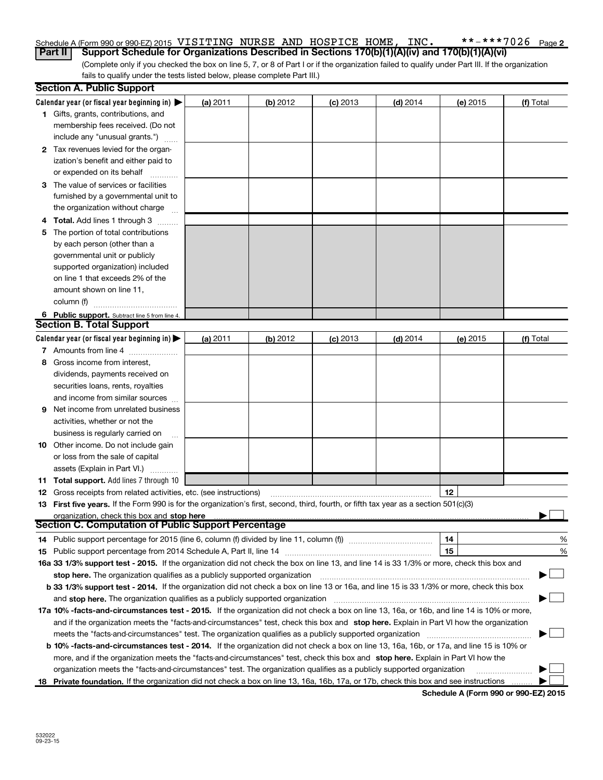#### $***$   $***$   $*$  7026 Page 2 Schedule A (Form 990 or 990-EZ) 2015 <code>VISITING</code> <code>NURSE AND HOSPICE HOME, <code>INC. \*\*-\*\*\*7026</code> <code>Page</code></code> **Part II** | Support Schedule for Organizations Described in Sections 170(b)(1)(A)(iv) and 170(b)(1)(A)(vi)

(Complete only if you checked the box on line 5, 7, or 8 of Part I or if the organization failed to qualify under Part III. If the organization fails to qualify under the tests listed below, please complete Part III.)

|   | <b>Section A. Public Support</b>                                                                                                           |          |          |            |            |          |               |
|---|--------------------------------------------------------------------------------------------------------------------------------------------|----------|----------|------------|------------|----------|---------------|
|   | Calendar year (or fiscal year beginning in) $\blacktriangleright$                                                                          | (a) 2011 | (b) 2012 | $(c)$ 2013 | $(d)$ 2014 | (e) 2015 | (f) Total     |
|   | 1 Gifts, grants, contributions, and                                                                                                        |          |          |            |            |          |               |
|   | membership fees received. (Do not                                                                                                          |          |          |            |            |          |               |
|   | include any "unusual grants.")                                                                                                             |          |          |            |            |          |               |
|   | 2 Tax revenues levied for the organ-                                                                                                       |          |          |            |            |          |               |
|   | ization's benefit and either paid to                                                                                                       |          |          |            |            |          |               |
|   | or expended on its behalf                                                                                                                  |          |          |            |            |          |               |
|   | 3 The value of services or facilities                                                                                                      |          |          |            |            |          |               |
|   | furnished by a governmental unit to                                                                                                        |          |          |            |            |          |               |
|   | the organization without charge                                                                                                            |          |          |            |            |          |               |
|   | 4 Total. Add lines 1 through 3                                                                                                             |          |          |            |            |          |               |
|   | The portion of total contributions                                                                                                         |          |          |            |            |          |               |
|   | by each person (other than a                                                                                                               |          |          |            |            |          |               |
|   | governmental unit or publicly                                                                                                              |          |          |            |            |          |               |
|   | supported organization) included                                                                                                           |          |          |            |            |          |               |
|   | on line 1 that exceeds 2% of the                                                                                                           |          |          |            |            |          |               |
|   | amount shown on line 11,                                                                                                                   |          |          |            |            |          |               |
|   | column (f)                                                                                                                                 |          |          |            |            |          |               |
|   | 6 Public support. Subtract line 5 from line 4.                                                                                             |          |          |            |            |          |               |
|   | <b>Section B. Total Support</b>                                                                                                            |          |          |            |            |          |               |
|   | Calendar year (or fiscal year beginning in) $\blacktriangleright$                                                                          | (a) 2011 | (b) 2012 | $(c)$ 2013 | $(d)$ 2014 | (e) 2015 | (f) Total     |
|   | 7 Amounts from line 4                                                                                                                      |          |          |            |            |          |               |
| 8 | Gross income from interest,                                                                                                                |          |          |            |            |          |               |
|   | dividends, payments received on                                                                                                            |          |          |            |            |          |               |
|   | securities loans, rents, royalties                                                                                                         |          |          |            |            |          |               |
|   | and income from similar sources                                                                                                            |          |          |            |            |          |               |
| 9 | Net income from unrelated business                                                                                                         |          |          |            |            |          |               |
|   | activities, whether or not the                                                                                                             |          |          |            |            |          |               |
|   | business is regularly carried on                                                                                                           |          |          |            |            |          |               |
|   | <b>10</b> Other income. Do not include gain                                                                                                |          |          |            |            |          |               |
|   | or loss from the sale of capital                                                                                                           |          |          |            |            |          |               |
|   | assets (Explain in Part VI.)                                                                                                               |          |          |            |            |          |               |
|   | <b>11 Total support.</b> Add lines 7 through 10                                                                                            |          |          |            |            |          |               |
|   | <b>12</b> Gross receipts from related activities, etc. (see instructions)                                                                  |          |          |            |            | 12       |               |
|   | 13 First five years. If the Form 990 is for the organization's first, second, third, fourth, or fifth tax year as a section 501(c)(3)      |          |          |            |            |          |               |
|   | organization, check this box and stop here                                                                                                 |          |          |            |            |          |               |
|   | <b>Section C. Computation of Public Support Percentage</b>                                                                                 |          |          |            |            |          |               |
|   | 14 Public support percentage for 2015 (line 6, column (f) divided by line 11, column (f) <i>mummumumum</i>                                 |          |          |            |            | 14       | $\frac{0}{0}$ |
|   |                                                                                                                                            |          |          |            |            | 15       | %             |
|   | 16a 33 1/3% support test - 2015. If the organization did not check the box on line 13, and line 14 is 33 1/3% or more, check this box and  |          |          |            |            |          |               |
|   | stop here. The organization qualifies as a publicly supported organization                                                                 |          |          |            |            |          |               |
|   | b 33 1/3% support test - 2014. If the organization did not check a box on line 13 or 16a, and line 15 is 33 1/3% or more, check this box   |          |          |            |            |          |               |
|   | and stop here. The organization qualifies as a publicly supported organization                                                             |          |          |            |            |          |               |
|   | 17a 10% -facts-and-circumstances test - 2015. If the organization did not check a box on line 13, 16a, or 16b, and line 14 is 10% or more, |          |          |            |            |          |               |
|   | and if the organization meets the "facts-and-circumstances" test, check this box and stop here. Explain in Part VI how the organization    |          |          |            |            |          |               |
|   | meets the "facts-and-circumstances" test. The organization qualifies as a publicly supported organization                                  |          |          |            |            |          |               |
|   | b 10% -facts-and-circumstances test - 2014. If the organization did not check a box on line 13, 16a, 16b, or 17a, and line 15 is 10% or    |          |          |            |            |          |               |
|   | more, and if the organization meets the "facts-and-circumstances" test, check this box and stop here. Explain in Part VI how the           |          |          |            |            |          |               |
|   | organization meets the "facts-and-circumstances" test. The organization qualifies as a publicly supported organization                     |          |          |            |            |          |               |
|   | 18 Private foundation. If the organization did not check a box on line 13, 16a, 16b, 17a, or 17b, check this box and see instructions      |          |          |            |            |          |               |

**Schedule A (Form 990 or 990-EZ) 2015**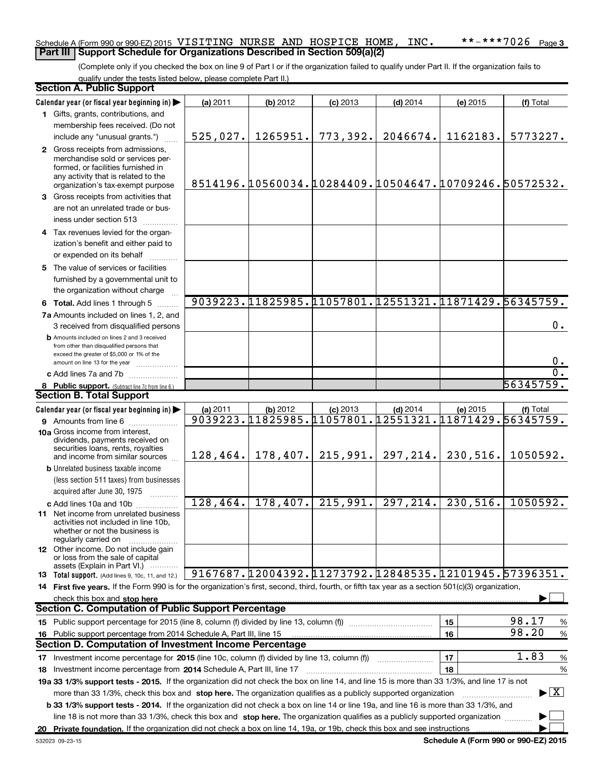#### Schedule A (Form 990 or 990-EZ) 2015 <code>VISITING</code> <code>NURSE AND HOSPICE HOME, <code>INC. \*\*-\*\*\*7026</code> <code>Page</code></code> **Part III | Support Schedule for Organizations Described in Section 509(a)(2)**

(Complete only if you checked the box on line 9 of Part I or if the organization failed to qualify under Part II. If the organization fails to qualify under the tests listed below, please complete Part II.)

| <b>Section A. Public Support</b>                                                                                                                                                                                                                                 |           |          |            |                                                            |          |                                          |
|------------------------------------------------------------------------------------------------------------------------------------------------------------------------------------------------------------------------------------------------------------------|-----------|----------|------------|------------------------------------------------------------|----------|------------------------------------------|
| Calendar year (or fiscal year beginning in)                                                                                                                                                                                                                      | (a) 2011  | (b) 2012 | $(c)$ 2013 | $(d)$ 2014                                                 | (e) 2015 | (f) Total                                |
| 1 Gifts, grants, contributions, and                                                                                                                                                                                                                              |           |          |            |                                                            |          |                                          |
| membership fees received. (Do not                                                                                                                                                                                                                                |           |          |            |                                                            |          |                                          |
| include any "unusual grants.")                                                                                                                                                                                                                                   | 525,027.  | 1265951. | 773,392.   | 2046674.                                                   | 1162183. | 5773227.                                 |
| 2 Gross receipts from admissions,<br>merchandise sold or services per-<br>formed, or facilities furnished in<br>any activity that is related to the<br>organization's tax-exempt purpose                                                                         |           |          |            | 8514196.10560034.10284409.10504647.10709246.50572532.      |          |                                          |
| 3 Gross receipts from activities that                                                                                                                                                                                                                            |           |          |            |                                                            |          |                                          |
| are not an unrelated trade or bus-<br>iness under section 513                                                                                                                                                                                                    |           |          |            |                                                            |          |                                          |
| 4 Tax revenues levied for the organ-                                                                                                                                                                                                                             |           |          |            |                                                            |          |                                          |
| ization's benefit and either paid to                                                                                                                                                                                                                             |           |          |            |                                                            |          |                                          |
| or expended on its behalf                                                                                                                                                                                                                                        |           |          |            |                                                            |          |                                          |
| 5 The value of services or facilities<br>furnished by a governmental unit to<br>the organization without charge                                                                                                                                                  |           |          |            |                                                            |          |                                          |
| 6 Total. Add lines 1 through 5                                                                                                                                                                                                                                   |           |          |            | 9039223.1825985.11057801.12551321.11871429.56345759.       |          |                                          |
| 7a Amounts included on lines 1, 2, and<br>3 received from disqualified persons                                                                                                                                                                                   |           |          |            |                                                            |          | $0$ .                                    |
| <b>b</b> Amounts included on lines 2 and 3 received<br>from other than disqualified persons that<br>exceed the greater of \$5,000 or 1% of the<br>amount on line 13 for the year                                                                                 |           |          |            |                                                            |          | 0.                                       |
| c Add lines 7a and 7b                                                                                                                                                                                                                                            |           |          |            |                                                            |          | $\mathbf 0$ .                            |
| 8 Public support. (Subtract line 7c from line 6.)                                                                                                                                                                                                                |           |          |            |                                                            |          | 56345759.                                |
| <b>Section B. Total Support</b>                                                                                                                                                                                                                                  |           |          |            |                                                            |          |                                          |
| Calendar year (or fiscal year beginning in)                                                                                                                                                                                                                      | (a) 2011  | (b) 2012 | $(c)$ 2013 | $(d)$ 2014                                                 | (e) 2015 | (f) Total                                |
| 9 Amounts from line 6                                                                                                                                                                                                                                            |           |          |            | 9039223.11825985.11057801.12551321.11871429.56345759.      |          |                                          |
| <b>10a</b> Gross income from interest,<br>dividends, payments received on<br>securities loans, rents, royalties<br>and income from similar sources                                                                                                               | 128, 464. |          |            | $178,407.$ 215,991. 297,214.                               | 230,516. | 1050592.                                 |
| <b>b</b> Unrelated business taxable income                                                                                                                                                                                                                       |           |          |            |                                                            |          |                                          |
| (less section 511 taxes) from businesses                                                                                                                                                                                                                         |           |          |            |                                                            |          |                                          |
| acquired after June 30, 1975<br>1.1.1.1.1.1.1.1.1                                                                                                                                                                                                                |           |          |            |                                                            |          |                                          |
| c Add lines 10a and 10b<br><b>11</b> Net income from unrelated business<br>activities not included in line 10b,<br>whether or not the business is<br>regularly carried on                                                                                        | 128,464.  | 178,407. | 215,991.   | 297, 214.                                                  | 230,516. | 1050592.                                 |
| 12 Other income. Do not include gain<br>or loss from the sale of capital<br>assets (Explain in Part VI.)                                                                                                                                                         |           |          |            |                                                            |          |                                          |
| 13 Total support. (Add lines 9, 10c, 11, and 12.)                                                                                                                                                                                                                |           |          |            | 9167687. 12004392. 11273792. 12848535. 12101945. 57396351. |          |                                          |
| 14 First five years. If the Form 990 is for the organization's first, second, third, fourth, or fifth tax year as a section 501(c)(3) organization,<br>check this box and stop here                                                                              |           |          |            |                                                            |          |                                          |
| <b>Section C. Computation of Public Support Percentage</b>                                                                                                                                                                                                       |           |          |            |                                                            |          |                                          |
|                                                                                                                                                                                                                                                                  |           |          |            |                                                            | 15       | 98.17<br>%                               |
| 16 Public support percentage from 2014 Schedule A, Part III, line 15                                                                                                                                                                                             |           |          |            |                                                            | 16       | 98.20<br>%                               |
| <b>Section D. Computation of Investment Income Percentage</b>                                                                                                                                                                                                    |           |          |            |                                                            |          |                                          |
|                                                                                                                                                                                                                                                                  |           |          |            |                                                            | 17       | 1.83<br>%                                |
| 18 Investment income percentage from 2014 Schedule A, Part III, line 17                                                                                                                                                                                          |           |          |            |                                                            | 18       | %                                        |
| 19a 33 1/3% support tests - 2015. If the organization did not check the box on line 14, and line 15 is more than 33 1/3%, and line 17 is not                                                                                                                     |           |          |            |                                                            |          |                                          |
| more than 33 1/3%, check this box and stop here. The organization qualifies as a publicly supported organization<br><b>b 33 1/3% support tests - 2014.</b> If the organization did not check a box on line 14 or line 19a, and line 16 is more than 33 1/3%, and |           |          |            |                                                            |          | $\blacktriangleright$ $\boxed{\text{X}}$ |
| line 18 is not more than 33 1/3%, check this box and stop here. The organization qualifies as a publicly supported organization                                                                                                                                  |           |          |            |                                                            |          |                                          |
| 20 Private foundation. If the organization did not check a box on line 14, 19a, or 19b, check this box and see instructions                                                                                                                                      |           |          |            |                                                            |          |                                          |

**Schedule A (Form 990 or 990-EZ) 2015**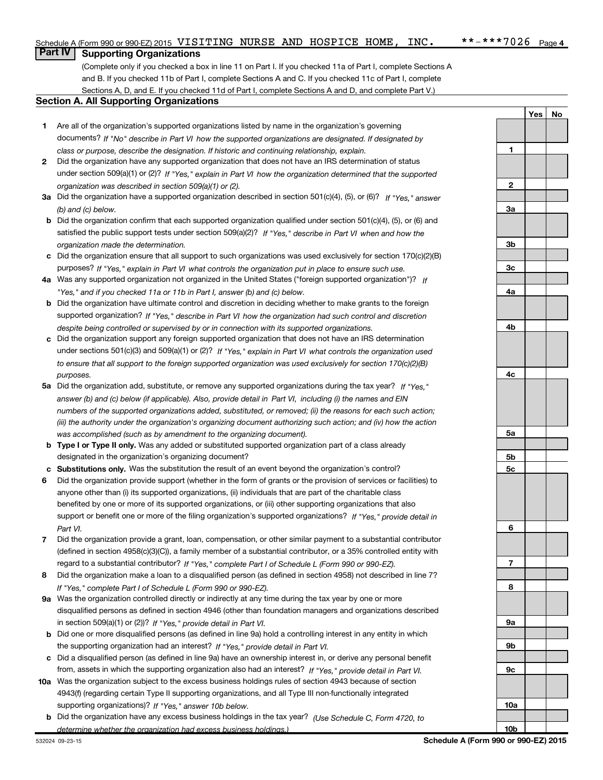**1**

**Yes No**

### **Part IV** Supporting Organizations

(Complete only if you checked a box in line 11 on Part I. If you checked 11a of Part I, complete Sections A and B. If you checked 11b of Part I, complete Sections A and C. If you checked 11c of Part I, complete Sections A, D, and E. If you checked 11d of Part I, complete Sections A and D, and complete Part V.)

#### **Section A. All Supporting Organizations**

- **1** Are all of the organization's supported organizations listed by name in the organization's governing documents? If "No" describe in Part VI how the supported organizations are designated. If designated by *class or purpose, describe the designation. If historic and continuing relationship, explain.*
- **2** Did the organization have any supported organization that does not have an IRS determination of status under section 509(a)(1) or (2)? If "Yes," explain in Part VI how the organization determined that the supported *organization was described in section 509(a)(1) or (2).*
- **3a** Did the organization have a supported organization described in section 501(c)(4), (5), or (6)? If "Yes," answer *(b) and (c) below.*
- **b** Did the organization confirm that each supported organization qualified under section 501(c)(4), (5), or (6) and satisfied the public support tests under section 509(a)(2)? If "Yes," describe in Part VI when and how the *organization made the determination.*
- **c** Did the organization ensure that all support to such organizations was used exclusively for section 170(c)(2)(B) purposes? If "Yes," explain in Part VI what controls the organization put in place to ensure such use.
- **4 a** *If* Was any supported organization not organized in the United States ("foreign supported organization")? *"Yes," and if you checked 11a or 11b in Part I, answer (b) and (c) below.*
- **b** Did the organization have ultimate control and discretion in deciding whether to make grants to the foreign supported organization? If "Yes," describe in Part VI how the organization had such control and discretion *despite being controlled or supervised by or in connection with its supported organizations.*
- **c** Did the organization support any foreign supported organization that does not have an IRS determination under sections 501(c)(3) and 509(a)(1) or (2)? If "Yes," explain in Part VI what controls the organization used *to ensure that all support to the foreign supported organization was used exclusively for section 170(c)(2)(B) purposes.*
- **5a** Did the organization add, substitute, or remove any supported organizations during the tax year? If "Yes," answer (b) and (c) below (if applicable). Also, provide detail in Part VI, including (i) the names and EIN *numbers of the supported organizations added, substituted, or removed; (ii) the reasons for each such action; (iii) the authority under the organization's organizing document authorizing such action; and (iv) how the action was accomplished (such as by amendment to the organizing document).*
- **b Type I or Type II only.** Was any added or substituted supported organization part of a class already designated in the organization's organizing document?
- **c Substitutions only.**  Was the substitution the result of an event beyond the organization's control?
- **6** Did the organization provide support (whether in the form of grants or the provision of services or facilities) to *If "Yes," provide detail in* support or benefit one or more of the filing organization's supported organizations? anyone other than (i) its supported organizations, (ii) individuals that are part of the charitable class benefited by one or more of its supported organizations, or (iii) other supporting organizations that also *Part VI.*
- **7** Did the organization provide a grant, loan, compensation, or other similar payment to a substantial contributor regard to a substantial contributor? If "Yes," complete Part I of Schedule L (Form 990 or 990-EZ). (defined in section 4958(c)(3)(C)), a family member of a substantial contributor, or a 35% controlled entity with
- **8** Did the organization make a loan to a disqualified person (as defined in section 4958) not described in line 7? *If "Yes," complete Part I of Schedule L (Form 990 or 990-EZ).*
- **9 a** Was the organization controlled directly or indirectly at any time during the tax year by one or more in section 509(a)(1) or (2))? If "Yes," provide detail in Part VI. disqualified persons as defined in section 4946 (other than foundation managers and organizations described
- **b** Did one or more disqualified persons (as defined in line 9a) hold a controlling interest in any entity in which the supporting organization had an interest? If "Yes," provide detail in Part VI.
- **c** Did a disqualified person (as defined in line 9a) have an ownership interest in, or derive any personal benefit from, assets in which the supporting organization also had an interest? If "Yes," provide detail in Part VI.
- **10 a** Was the organization subject to the excess business holdings rules of section 4943 because of section supporting organizations)? If "Yes," answer 10b below. 4943(f) (regarding certain Type II supporting organizations, and all Type III non-functionally integrated
	- **b** Did the organization have any excess business holdings in the tax year? (Use Schedule C, Form 4720, to *determine whether the organization had excess business holdings.)*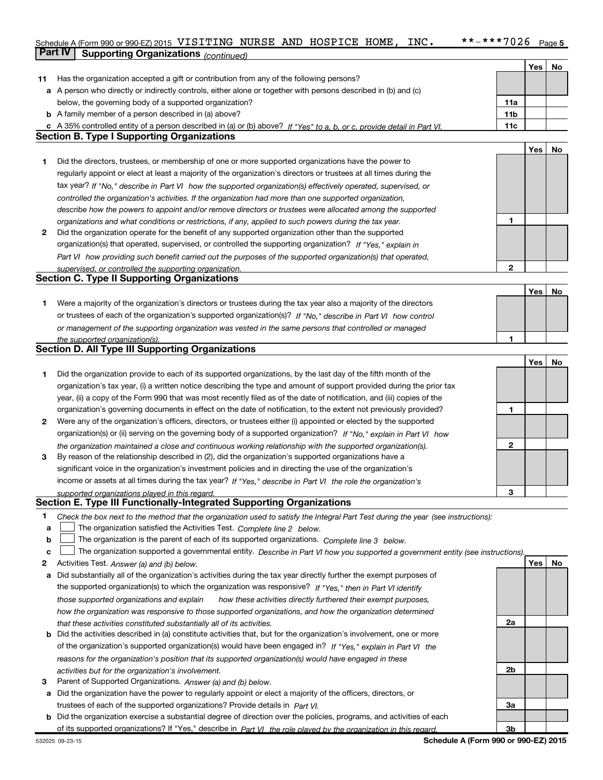#### $***$  -\*\*\* 7026 Page 5 Schedule A (Form 990 or 990-EZ) 2015 <code>VISITING</code> <code>NURSE AND HOSPICE HOME, <code>INC. \*\*-\*\*\*7026</code> <code>Page</code></code>

|    | <b>Part IV</b><br><b>Supporting Organizations (continued)</b>                                                                                                                                                        |                 |     |    |
|----|----------------------------------------------------------------------------------------------------------------------------------------------------------------------------------------------------------------------|-----------------|-----|----|
|    |                                                                                                                                                                                                                      |                 | Yes | No |
| 11 | Has the organization accepted a gift or contribution from any of the following persons?                                                                                                                              |                 |     |    |
|    | a A person who directly or indirectly controls, either alone or together with persons described in (b) and (c)                                                                                                       |                 |     |    |
|    | below, the governing body of a supported organization?                                                                                                                                                               | 11a             |     |    |
|    | <b>b</b> A family member of a person described in (a) above?                                                                                                                                                         | 11 <sub>b</sub> |     |    |
|    | c A 35% controlled entity of a person described in (a) or (b) above? If "Yes" to a, b, or c, provide detail in Part VI.                                                                                              | 11c             |     |    |
|    | <b>Section B. Type I Supporting Organizations</b>                                                                                                                                                                    |                 |     |    |
|    |                                                                                                                                                                                                                      |                 | Yes | No |
| 1  | Did the directors, trustees, or membership of one or more supported organizations have the power to                                                                                                                  |                 |     |    |
|    | regularly appoint or elect at least a majority of the organization's directors or trustees at all times during the                                                                                                   |                 |     |    |
|    | tax year? If "No," describe in Part VI how the supported organization(s) effectively operated, supervised, or                                                                                                        |                 |     |    |
|    | controlled the organization's activities. If the organization had more than one supported organization,                                                                                                              |                 |     |    |
|    | describe how the powers to appoint and/or remove directors or trustees were allocated among the supported                                                                                                            |                 |     |    |
|    | organizations and what conditions or restrictions, if any, applied to such powers during the tax year.                                                                                                               | 1               |     |    |
| 2  | Did the organization operate for the benefit of any supported organization other than the supported                                                                                                                  |                 |     |    |
|    | organization(s) that operated, supervised, or controlled the supporting organization? If "Yes," explain in                                                                                                           |                 |     |    |
|    | Part VI how providing such benefit carried out the purposes of the supported organization(s) that operated,                                                                                                          |                 |     |    |
|    | supervised, or controlled the supporting organization.                                                                                                                                                               | $\mathbf{2}$    |     |    |
|    | <b>Section C. Type II Supporting Organizations</b>                                                                                                                                                                   |                 |     |    |
|    |                                                                                                                                                                                                                      |                 | Yes | No |
| 1  | Were a majority of the organization's directors or trustees during the tax year also a majority of the directors                                                                                                     |                 |     |    |
|    | or trustees of each of the organization's supported organization(s)? If "No," describe in Part VI how control                                                                                                        |                 |     |    |
|    | or management of the supporting organization was vested in the same persons that controlled or managed                                                                                                               |                 |     |    |
|    | the supported organization(s).<br><b>Section D. All Type III Supporting Organizations</b>                                                                                                                            |                 |     |    |
|    |                                                                                                                                                                                                                      |                 |     |    |
|    |                                                                                                                                                                                                                      |                 | Yes | No |
| 1  | Did the organization provide to each of its supported organizations, by the last day of the fifth month of the                                                                                                       |                 |     |    |
|    | organization's tax year, (i) a written notice describing the type and amount of support provided during the prior tax                                                                                                |                 |     |    |
|    | year, (ii) a copy of the Form 990 that was most recently filed as of the date of notification, and (iii) copies of the                                                                                               |                 |     |    |
|    | organization's governing documents in effect on the date of notification, to the extent not previously provided?                                                                                                     | 1               |     |    |
| 2  | Were any of the organization's officers, directors, or trustees either (i) appointed or elected by the supported                                                                                                     |                 |     |    |
|    | organization(s) or (ii) serving on the governing body of a supported organization? If "No," explain in Part VI how                                                                                                   | $\mathbf{2}$    |     |    |
| 3  | the organization maintained a close and continuous working relationship with the supported organization(s).<br>By reason of the relationship described in (2), did the organization's supported organizations have a |                 |     |    |
|    | significant voice in the organization's investment policies and in directing the use of the organization's                                                                                                           |                 |     |    |
|    | income or assets at all times during the tax year? If "Yes," describe in Part VI the role the organization's                                                                                                         |                 |     |    |
|    | supported organizations played in this regard                                                                                                                                                                        | з               |     |    |
|    | Section E. Type III Functionally-Integrated Supporting Organizations                                                                                                                                                 |                 |     |    |
| 1  | Check the box next to the method that the organization used to satisfy the Integral Part Test during the year (see instructions):                                                                                    |                 |     |    |
| a  | The organization satisfied the Activities Test. Complete line 2 below.                                                                                                                                               |                 |     |    |
| b  | The organization is the parent of each of its supported organizations. Complete line 3 below.                                                                                                                        |                 |     |    |
| c  | The organization supported a governmental entity. Describe in Part VI how you supported a government entity (see instructions).                                                                                      |                 |     |    |
| 2  | Activities Test. Answer (a) and (b) below.                                                                                                                                                                           |                 | Yes | No |
| а  | Did substantially all of the organization's activities during the tax year directly further the exempt purposes of                                                                                                   |                 |     |    |
|    | the supported organization(s) to which the organization was responsive? If "Yes," then in Part VI identify                                                                                                           |                 |     |    |
|    |                                                                                                                                                                                                                      |                 |     |    |
|    | those supported organizations and explain<br>how these activities directly furthered their exempt purposes,                                                                                                          |                 |     |    |
|    | how the organization was responsive to those supported organizations, and how the organization determined                                                                                                            |                 |     |    |
|    | that these activities constituted substantially all of its activities.                                                                                                                                               | 2a              |     |    |

- **b** of the organization's supported organization(s) would have been engaged in? If "Yes," explain in Part VI the *reasons for the organization's position that its supported organization(s) would have engaged in these activities but for the organization's involvement.* Did the activities described in (a) constitute activities that, but for the organization's involvement, one or more
- **3** Parent of Supported Organizations. *Answer (a) and (b) below.*
- **a** Did the organization have the power to regularly appoint or elect a majority of the officers, directors, or trustees of each of the supported organizations? Provide details in *Part VI.*
- **b** Did the organization exercise a substantial degree of direction over the policies, programs, and activities of each of its supported organizations? If "Yes," describe in *Part VI the role played by the organization in this regard.*

**2b**

**3a**

**3b**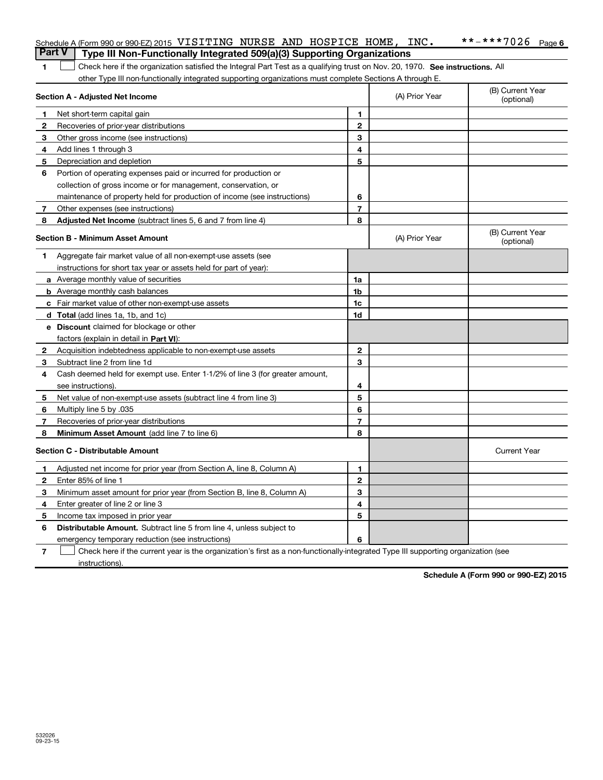|              | <b>Part V</b><br>Type III Non-Functionally Integrated 509(a)(3) Supporting Organizations                                      |                |                |                                |
|--------------|-------------------------------------------------------------------------------------------------------------------------------|----------------|----------------|--------------------------------|
| 1            | Check here if the organization satisfied the Integral Part Test as a qualifying trust on Nov. 20, 1970. See instructions. All |                |                |                                |
|              | other Type III non-functionally integrated supporting organizations must complete Sections A through E.                       |                |                |                                |
|              | <b>Section A - Adjusted Net Income</b>                                                                                        |                | (A) Prior Year | (B) Current Year<br>(optional) |
| 1            | Net short-term capital gain                                                                                                   | $\mathbf{1}$   |                |                                |
| $\mathbf{2}$ | Recoveries of prior-year distributions                                                                                        | $\mathbf{2}$   |                |                                |
| 3            | Other gross income (see instructions)                                                                                         | 3              |                |                                |
| 4            | Add lines 1 through 3                                                                                                         | 4              |                |                                |
| 5            | Depreciation and depletion                                                                                                    | 5              |                |                                |
| 6            | Portion of operating expenses paid or incurred for production or                                                              |                |                |                                |
|              | collection of gross income or for management, conservation, or                                                                |                |                |                                |
|              | maintenance of property held for production of income (see instructions)                                                      | 6              |                |                                |
| 7            | Other expenses (see instructions)                                                                                             | $\overline{7}$ |                |                                |
| 8            | Adjusted Net Income (subtract lines 5, 6 and 7 from line 4)                                                                   | 8              |                |                                |
|              | <b>Section B - Minimum Asset Amount</b>                                                                                       |                | (A) Prior Year | (B) Current Year<br>(optional) |
| 1            | Aggregate fair market value of all non-exempt-use assets (see                                                                 |                |                |                                |
|              | instructions for short tax year or assets held for part of year):                                                             |                |                |                                |
|              | <b>a</b> Average monthly value of securities                                                                                  | 1a             |                |                                |
|              | <b>b</b> Average monthly cash balances                                                                                        | 1 <sub>b</sub> |                |                                |
|              | <b>c</b> Fair market value of other non-exempt-use assets                                                                     | 1 <sub>c</sub> |                |                                |
|              | <b>d</b> Total (add lines 1a, 1b, and 1c)                                                                                     | 1d             |                |                                |
|              | e Discount claimed for blockage or other                                                                                      |                |                |                                |
|              | factors (explain in detail in Part VI):                                                                                       |                |                |                                |
| $\mathbf{2}$ | Acquisition indebtedness applicable to non-exempt-use assets                                                                  | $\mathbf{2}$   |                |                                |
| 3            | Subtract line 2 from line 1d                                                                                                  | 3              |                |                                |
| 4            | Cash deemed held for exempt use. Enter 1-1/2% of line 3 (for greater amount,                                                  |                |                |                                |
|              | see instructions).                                                                                                            | 4              |                |                                |
| 5            | Net value of non-exempt-use assets (subtract line 4 from line 3)                                                              | 5              |                |                                |
| 6            | Multiply line 5 by .035                                                                                                       | 6              |                |                                |
| 7            | Recoveries of prior-year distributions                                                                                        | $\overline{7}$ |                |                                |
| 8            | Minimum Asset Amount (add line 7 to line 6)                                                                                   | 8              |                |                                |
|              | <b>Section C - Distributable Amount</b>                                                                                       |                |                | <b>Current Year</b>            |
| 1            | Adjusted net income for prior year (from Section A, line 8, Column A)                                                         | 1              |                |                                |
| $\mathbf{2}$ | Enter 85% of line 1                                                                                                           | $\mathbf{2}$   |                |                                |
| 3            | Minimum asset amount for prior year (from Section B, line 8, Column A)                                                        | 3              |                |                                |
| 4            | Enter greater of line 2 or line 3                                                                                             | 4              |                |                                |
| 5            | Income tax imposed in prior year                                                                                              | 5              |                |                                |
| 6            | <b>Distributable Amount.</b> Subtract line 5 from line 4, unless subject to                                                   |                |                |                                |
|              | emergency temporary reduction (see instructions)                                                                              | 6              |                |                                |

Schedule A (Form 990 or 990-EZ) 2015 Page

VISITING NURSE AND HOSPICE HOME, INC. \*\*-\*\*\*7026

**7** Check here if the current year is the organization's first as a non-functionally-integrated Type III supporting organization (see instructions).

**Schedule A (Form 990 or 990-EZ) 2015**

 $***$   $-***$  7026 Page 6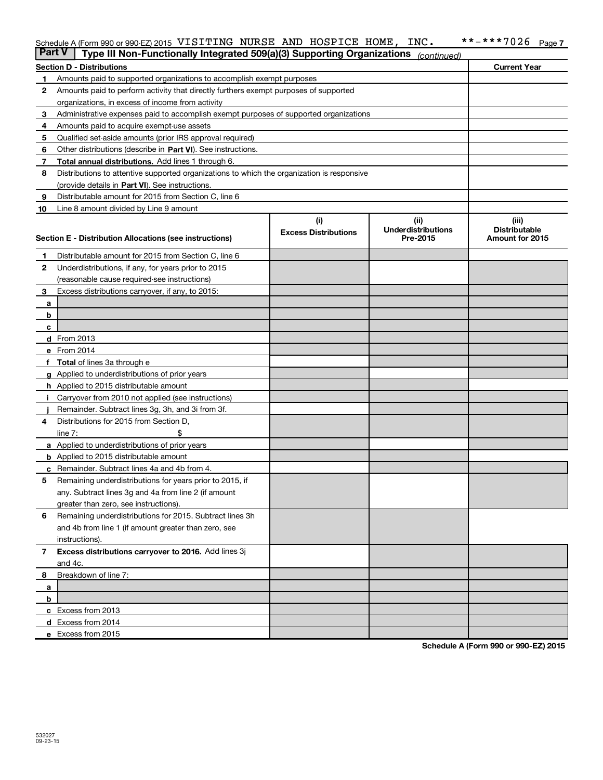#### $***$  \*\*\*\*7026 Page 7 Schedule A (Form 990 or 990-EZ) 2015 <code>VISITING</code> <code>NURSE AND HOSPICE HOME, <code>INC. \*\*-\*\*\*7026</code> <code>Page</code></code>

| <b>Part V</b> | Type III Non-Functionally Integrated 509(a)(3) Supporting Organizations                    |                             | (continued)                           |                                         |
|---------------|--------------------------------------------------------------------------------------------|-----------------------------|---------------------------------------|-----------------------------------------|
|               | <b>Section D - Distributions</b>                                                           |                             |                                       | <b>Current Year</b>                     |
| 1             | Amounts paid to supported organizations to accomplish exempt purposes                      |                             |                                       |                                         |
| 2             | Amounts paid to perform activity that directly furthers exempt purposes of supported       |                             |                                       |                                         |
|               | organizations, in excess of income from activity                                           |                             |                                       |                                         |
| 3             | Administrative expenses paid to accomplish exempt purposes of supported organizations      |                             |                                       |                                         |
| 4             | Amounts paid to acquire exempt-use assets                                                  |                             |                                       |                                         |
| 5             | Qualified set-aside amounts (prior IRS approval required)                                  |                             |                                       |                                         |
| 6             | Other distributions (describe in Part VI). See instructions.                               |                             |                                       |                                         |
| 7             | <b>Total annual distributions.</b> Add lines 1 through 6.                                  |                             |                                       |                                         |
| 8             | Distributions to attentive supported organizations to which the organization is responsive |                             |                                       |                                         |
|               | (provide details in Part VI). See instructions.                                            |                             |                                       |                                         |
| 9             | Distributable amount for 2015 from Section C, line 6                                       |                             |                                       |                                         |
| 10            | Line 8 amount divided by Line 9 amount                                                     |                             |                                       |                                         |
|               |                                                                                            | (i)                         | (iii)                                 | (iii)                                   |
|               | Section E - Distribution Allocations (see instructions)                                    | <b>Excess Distributions</b> | <b>Underdistributions</b><br>Pre-2015 | <b>Distributable</b><br>Amount for 2015 |
|               |                                                                                            |                             |                                       |                                         |
| 1             | Distributable amount for 2015 from Section C, line 6                                       |                             |                                       |                                         |
| 2             | Underdistributions, if any, for years prior to 2015                                        |                             |                                       |                                         |
|               | (reasonable cause required-see instructions)                                               |                             |                                       |                                         |
| 3             | Excess distributions carryover, if any, to 2015:                                           |                             |                                       |                                         |
| a             |                                                                                            |                             |                                       |                                         |
| b             |                                                                                            |                             |                                       |                                         |
| c             |                                                                                            |                             |                                       |                                         |
|               | d From 2013                                                                                |                             |                                       |                                         |
|               | e From 2014                                                                                |                             |                                       |                                         |
| f             | <b>Total</b> of lines 3a through e                                                         |                             |                                       |                                         |
|               | g Applied to underdistributions of prior years                                             |                             |                                       |                                         |
|               | <b>h</b> Applied to 2015 distributable amount                                              |                             |                                       |                                         |
|               | Carryover from 2010 not applied (see instructions)                                         |                             |                                       |                                         |
|               | Remainder. Subtract lines 3g, 3h, and 3i from 3f.                                          |                             |                                       |                                         |
| 4             | Distributions for 2015 from Section D,                                                     |                             |                                       |                                         |
|               | line $7:$<br>a Applied to underdistributions of prior years                                |                             |                                       |                                         |
|               | <b>b</b> Applied to 2015 distributable amount                                              |                             |                                       |                                         |
| c             | Remainder. Subtract lines 4a and 4b from 4.                                                |                             |                                       |                                         |
| 5             | Remaining underdistributions for years prior to 2015, if                                   |                             |                                       |                                         |
|               | any. Subtract lines 3g and 4a from line 2 (if amount                                       |                             |                                       |                                         |
|               | greater than zero, see instructions).                                                      |                             |                                       |                                         |
| 6             | Remaining underdistributions for 2015. Subtract lines 3h                                   |                             |                                       |                                         |
|               | and 4b from line 1 (if amount greater than zero, see                                       |                             |                                       |                                         |
|               | instructions).                                                                             |                             |                                       |                                         |
| 7             | Excess distributions carryover to 2016. Add lines 3j                                       |                             |                                       |                                         |
|               | and 4c.                                                                                    |                             |                                       |                                         |
| 8             | Breakdown of line 7:                                                                       |                             |                                       |                                         |
| а             |                                                                                            |                             |                                       |                                         |
| b             |                                                                                            |                             |                                       |                                         |
|               | c Excess from 2013                                                                         |                             |                                       |                                         |
|               | <b>d</b> Excess from 2014                                                                  |                             |                                       |                                         |
|               | e Excess from 2015                                                                         |                             |                                       |                                         |

**Schedule A (Form 990 or 990-EZ) 2015**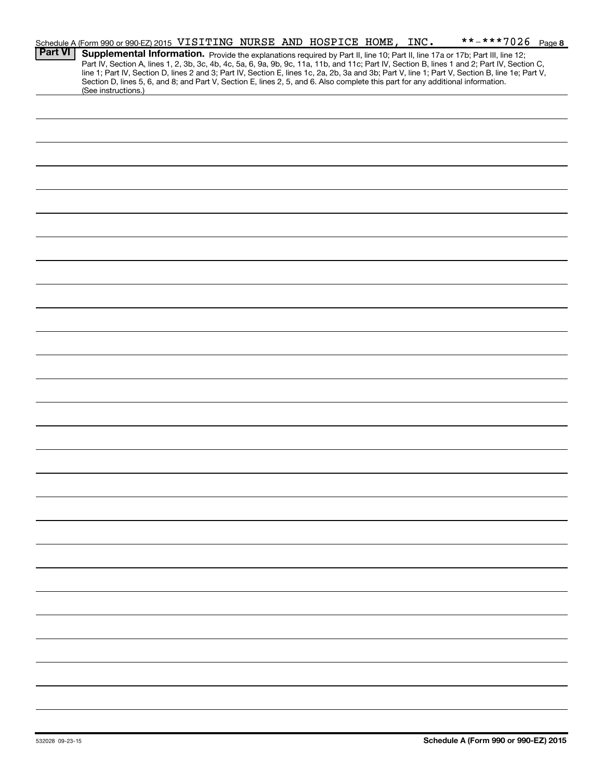|                | Schedule A (Form 990 or 990-EZ) 2015 VISITING NURSE AND HOSPICE HOME, INC.                                                                                                                                                                                                         |  |  | **-***7026 Page 8 |  |
|----------------|------------------------------------------------------------------------------------------------------------------------------------------------------------------------------------------------------------------------------------------------------------------------------------|--|--|-------------------|--|
| <b>Part VI</b> | Supplemental Information. Provide the explanations required by Part II, line 10; Part II, line 17a or 17b; Part III, line 12;                                                                                                                                                      |  |  |                   |  |
|                | Part IV, Section A, lines 1, 2, 3b, 3c, 4b, 4c, 5a, 6, 9a, 9b, 9c, 11a, 11b, and 11c; Part IV, Section B, lines 1 and 2; Part IV, Section C,                                                                                                                                       |  |  |                   |  |
|                | line 1; Part IV, Section D, lines 2 and 3; Part IV, Section E, lines 1c, 2a, 2b, 3a and 3b; Part V, line 1; Part V, Section B, line 1e; Part V,<br>Section D, lines 5, 6, and 8; and Part V, Section E, lines 2, 5, and 6. Also complete this part for any additional information. |  |  |                   |  |
|                | (See instructions.)                                                                                                                                                                                                                                                                |  |  |                   |  |
|                |                                                                                                                                                                                                                                                                                    |  |  |                   |  |
|                |                                                                                                                                                                                                                                                                                    |  |  |                   |  |
|                |                                                                                                                                                                                                                                                                                    |  |  |                   |  |
|                |                                                                                                                                                                                                                                                                                    |  |  |                   |  |
|                |                                                                                                                                                                                                                                                                                    |  |  |                   |  |
|                |                                                                                                                                                                                                                                                                                    |  |  |                   |  |
|                |                                                                                                                                                                                                                                                                                    |  |  |                   |  |
|                |                                                                                                                                                                                                                                                                                    |  |  |                   |  |
|                |                                                                                                                                                                                                                                                                                    |  |  |                   |  |
|                |                                                                                                                                                                                                                                                                                    |  |  |                   |  |
|                |                                                                                                                                                                                                                                                                                    |  |  |                   |  |
|                |                                                                                                                                                                                                                                                                                    |  |  |                   |  |
|                |                                                                                                                                                                                                                                                                                    |  |  |                   |  |
|                |                                                                                                                                                                                                                                                                                    |  |  |                   |  |
|                |                                                                                                                                                                                                                                                                                    |  |  |                   |  |
|                |                                                                                                                                                                                                                                                                                    |  |  |                   |  |
|                |                                                                                                                                                                                                                                                                                    |  |  |                   |  |
|                |                                                                                                                                                                                                                                                                                    |  |  |                   |  |
|                |                                                                                                                                                                                                                                                                                    |  |  |                   |  |
|                |                                                                                                                                                                                                                                                                                    |  |  |                   |  |
|                |                                                                                                                                                                                                                                                                                    |  |  |                   |  |
|                |                                                                                                                                                                                                                                                                                    |  |  |                   |  |
|                |                                                                                                                                                                                                                                                                                    |  |  |                   |  |
|                |                                                                                                                                                                                                                                                                                    |  |  |                   |  |
|                |                                                                                                                                                                                                                                                                                    |  |  |                   |  |
|                |                                                                                                                                                                                                                                                                                    |  |  |                   |  |
|                |                                                                                                                                                                                                                                                                                    |  |  |                   |  |
|                |                                                                                                                                                                                                                                                                                    |  |  |                   |  |
|                |                                                                                                                                                                                                                                                                                    |  |  |                   |  |
|                |                                                                                                                                                                                                                                                                                    |  |  |                   |  |
|                |                                                                                                                                                                                                                                                                                    |  |  |                   |  |
|                |                                                                                                                                                                                                                                                                                    |  |  |                   |  |
|                |                                                                                                                                                                                                                                                                                    |  |  |                   |  |
|                |                                                                                                                                                                                                                                                                                    |  |  |                   |  |
|                |                                                                                                                                                                                                                                                                                    |  |  |                   |  |
|                |                                                                                                                                                                                                                                                                                    |  |  |                   |  |
|                |                                                                                                                                                                                                                                                                                    |  |  |                   |  |
|                |                                                                                                                                                                                                                                                                                    |  |  |                   |  |
|                |                                                                                                                                                                                                                                                                                    |  |  |                   |  |
|                |                                                                                                                                                                                                                                                                                    |  |  |                   |  |
|                |                                                                                                                                                                                                                                                                                    |  |  |                   |  |
|                |                                                                                                                                                                                                                                                                                    |  |  |                   |  |
|                |                                                                                                                                                                                                                                                                                    |  |  |                   |  |
|                |                                                                                                                                                                                                                                                                                    |  |  |                   |  |
|                |                                                                                                                                                                                                                                                                                    |  |  |                   |  |
|                |                                                                                                                                                                                                                                                                                    |  |  |                   |  |
|                |                                                                                                                                                                                                                                                                                    |  |  |                   |  |
|                |                                                                                                                                                                                                                                                                                    |  |  |                   |  |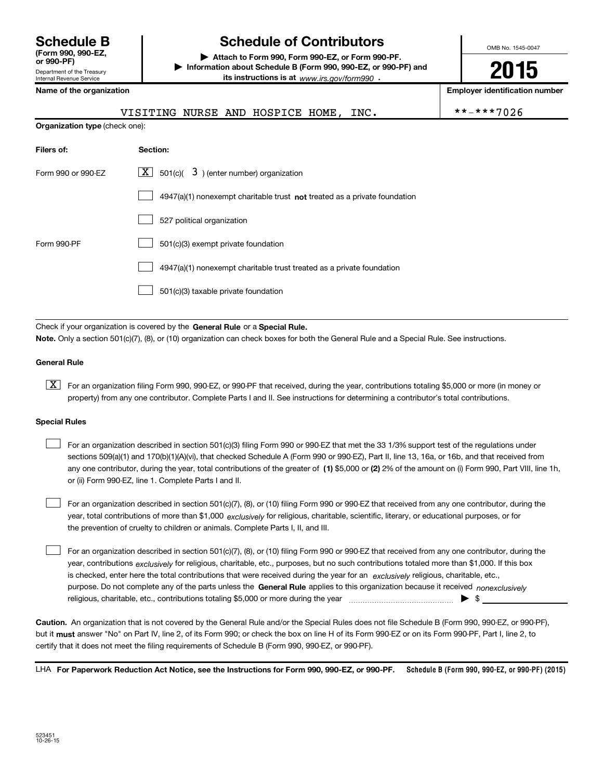Department of the Treasury Internal Revenue Service **(Form 990, 990-EZ,**

### **Schedule B Schedule of Contributors**

**or 990-PF) | Attach to Form 990, Form 990-EZ, or Form 990-PF. | Information about Schedule B (Form 990, 990-EZ, or 990-PF) and its instructions is at** www.irs.gov/form990  $\cdot$ 

**Name of the organization Employer identification number**

VISITING NURSE AND HOSPICE HOME, INC.  $* * * * * 7026$ 

OMB No. 1545-0047

**2015**

| <b>Organization type (check one):</b> |                                                                           |  |  |  |  |
|---------------------------------------|---------------------------------------------------------------------------|--|--|--|--|
| Filers of:                            | Section:                                                                  |  |  |  |  |
| Form 990 or 990-EZ                    | $\lfloor x \rfloor$ 501(c)( 3) (enter number) organization                |  |  |  |  |
|                                       | 4947(a)(1) nonexempt charitable trust not treated as a private foundation |  |  |  |  |
|                                       | 527 political organization                                                |  |  |  |  |
| Form 990-PF                           | 501(c)(3) exempt private foundation                                       |  |  |  |  |
|                                       | 4947(a)(1) nonexempt charitable trust treated as a private foundation     |  |  |  |  |
|                                       | 501(c)(3) taxable private foundation                                      |  |  |  |  |
|                                       |                                                                           |  |  |  |  |

Check if your organization is covered by the General Rule or a Special Rule. **Note.**  Only a section 501(c)(7), (8), or (10) organization can check boxes for both the General Rule and a Special Rule. See instructions.

#### **General Rule**

[X] For an organization filing Form 990, 990-EZ, or 990-PF that received, during the year, contributions totaling \$5,000 or more (in money or property) from any one contributor. Complete Parts I and II. See instructions for determining a contributor's total contributions.

#### **Special Rules**

 $\begin{array}{c} \hline \end{array}$ 

| For an organization described in section 501(c)(3) filing Form 990 or 990-EZ that met the 33 1/3% support test of the regulations under              |
|------------------------------------------------------------------------------------------------------------------------------------------------------|
| sections 509(a)(1) and 170(b)(1)(A)(vi), that checked Schedule A (Form 990 or 990-EZ), Part II, line 13, 16a, or 16b, and that received from         |
| any one contributor, during the year, total contributions of the greater of (1) \$5,000 or (2) 2% of the amount on (i) Form 990, Part VIII, line 1h, |
| or (ii) Form 990-EZ, line 1. Complete Parts I and II.                                                                                                |

year, total contributions of more than \$1,000 *exclusively* for religious, charitable, scientific, literary, or educational purposes, or for For an organization described in section 501(c)(7), (8), or (10) filing Form 990 or 990-EZ that received from any one contributor, during the the prevention of cruelty to children or animals. Complete Parts I, II, and III.  $\begin{array}{c} \hline \end{array}$ 

purpose. Do not complete any of the parts unless the General Rule applies to this organization because it received nonexclusively year, contributions <sub>exclusively</sub> for religious, charitable, etc., purposes, but no such contributions totaled more than \$1,000. If this box is checked, enter here the total contributions that were received during the year for an *exclusively* religious, charitable, etc., For an organization described in section 501(c)(7), (8), or (10) filing Form 990 or 990-EZ that received from any one contributor, during the religious, charitable, etc., contributions totaling \$5,000 or more during the year  $\ldots$  $\ldots$  $\ldots$  $\ldots$  $\ldots$  $\ldots$ 

**Caution.** An organization that is not covered by the General Rule and/or the Special Rules does not file Schedule B (Form 990, 990-EZ, or 990-PF),  **must** but it answer "No" on Part IV, line 2, of its Form 990; or check the box on line H of its Form 990-EZ or on its Form 990-PF, Part I, line 2, to certify that it does not meet the filing requirements of Schedule B (Form 990, 990-EZ, or 990-PF).

LHA For Paperwork Reduction Act Notice, see the Instructions for Form 990, 990-EZ, or 990-PF. Schedule B (Form 990, 990-EZ, or 990-PF) (2015)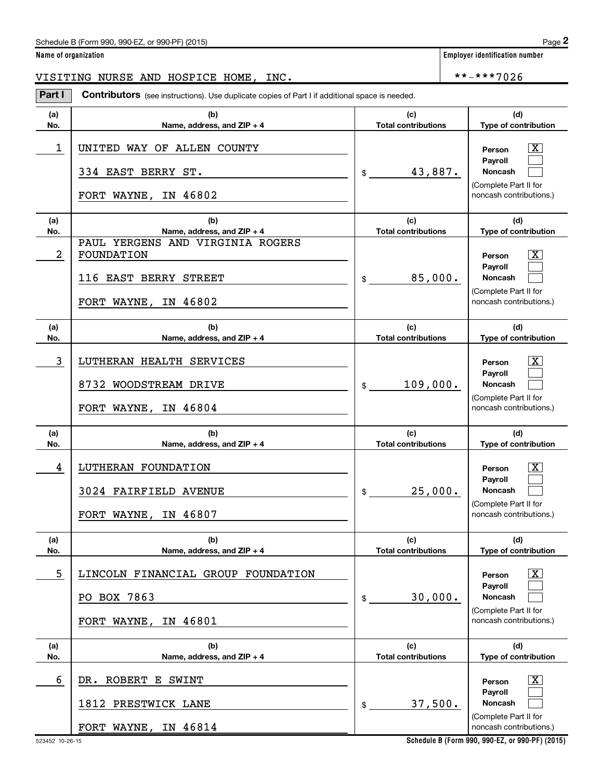**Employer identification number** 

VISITING NURSE AND HOSPICE HOME, INC.  $\left| \begin{array}{cc} * \ * \ * \ * \ * \ * \ * \ 7026 \end{array} \right|$ 

**Part I** Contributors (see instructions). Use duplicate copies of Part I if additional space is needed.

| (a)        | (b)                                                                          | (c)                               | (d)                                                                                                 |
|------------|------------------------------------------------------------------------------|-----------------------------------|-----------------------------------------------------------------------------------------------------|
| No.        | Name, address, and $ZIP + 4$                                                 | <b>Total contributions</b>        | Type of contribution                                                                                |
| 1          | UNITED WAY OF ALLEN COUNTY<br>334 EAST BERRY ST.<br>FORT WAYNE, IN 46802     | 43,887.<br>$\mathsf{\$}$          | x<br>Person<br><b>Payroll</b><br><b>Noncash</b><br>(Complete Part II for<br>noncash contributions.) |
| (a)<br>No. | (b)<br>Name, address, and ZIP + 4                                            | (c)<br><b>Total contributions</b> | (d)<br>Type of contribution                                                                         |
| 2          | PAUL YERGENS AND VIRGINIA ROGERS<br>FOUNDATION<br>116 EAST BERRY STREET      | 85,000.<br>$\mathfrak s$          | $\overline{\text{X}}$<br>Person<br>Payroll<br>Noncash                                               |
|            | FORT WAYNE, IN 46802                                                         |                                   | (Complete Part II for<br>noncash contributions.)                                                    |
| (a)<br>No. | (b)<br>Name, address, and $ZIP + 4$                                          | (c)<br><b>Total contributions</b> | (d)<br>Type of contribution                                                                         |
| 3          | LUTHERAN HEALTH SERVICES<br>8732 WOODSTREAM DRIVE<br>FORT WAYNE, IN 46804    | 109,000.<br>\$                    | x<br>Person<br><b>Pavroll</b><br><b>Noncash</b><br>(Complete Part II for<br>noncash contributions.) |
|            |                                                                              |                                   |                                                                                                     |
| (a)<br>No. | (b)<br>Name, address, and ZIP + 4                                            | (c)<br><b>Total contributions</b> | (d)<br>Type of contribution                                                                         |
| 4          | LUTHERAN FOUNDATION<br>3024 FAIRFIELD AVENUE<br>FORT WAYNE, IN 46807         | 25,000.<br>\$                     | x<br>Person<br><b>Payroll</b><br>Noncash<br>(Complete Part II for<br>noncash contributions.)        |
| (a)<br>No. | (b)<br>Name, address, and ZIP + 4                                            | (c)<br><b>Total contributions</b> | (d)<br>Type of contribution                                                                         |
| 5          | LINCOLN FINANCIAL GROUP FOUNDATION<br>PO BOX 7863<br>IN 46801<br>FORT WAYNE, | 30,000.<br>\$                     | X<br>Person<br>Payroll<br>Noncash<br>(Complete Part II for<br>noncash contributions.)               |
| (a)<br>No. | (b)<br>Name, address, and ZIP + 4                                            | (c)<br><b>Total contributions</b> | (d)<br>Type of contribution                                                                         |
| 6          | DR. ROBERT E SWINT<br>1812 PRESTWICK LANE<br>FORT WAYNE, IN 46814            | 37,500.<br>\$                     | $\overline{\mathbf{X}}$<br>Person<br>Payroll<br>Noncash<br>(Complete Part II for                    |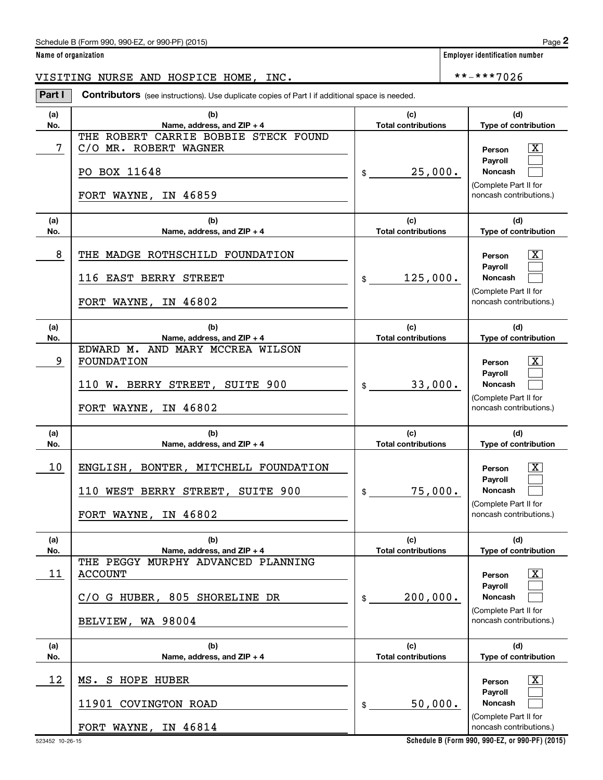**Name of organization Employer identification number**

VISITING NURSE AND HOSPICE HOME, INC. \*\*-\*\*\*7026

**Part I** Contributors (see instructions). Use duplicate copies of Part I if additional space is needed.

| (a)<br>No. | (b)<br>Name, address, and ZIP + 4                                                  | (c)<br><b>Total contributions</b> | (d)<br>Type of contribution                      |
|------------|------------------------------------------------------------------------------------|-----------------------------------|--------------------------------------------------|
| 7          | THE ROBERT CARRIE BOBBIE STECK FOUND<br>C/O MR. ROBERT WAGNER                      |                                   | X<br>Person                                      |
|            | PO BOX 11648                                                                       | 25,000.<br>\$                     | Payroll<br>Noncash                               |
|            | FORT WAYNE, IN 46859                                                               |                                   | (Complete Part II for<br>noncash contributions.) |
| (a)<br>No. | (b)<br>Name, address, and $ZIP + 4$                                                | (c)<br><b>Total contributions</b> | (d)<br>Type of contribution                      |
| 8          | THE MADGE ROTHSCHILD FOUNDATION                                                    |                                   | x<br>Person                                      |
|            | 116 EAST BERRY STREET                                                              | 125,000.<br>$$\mathbb{S}$$        | Payroll<br><b>Noncash</b>                        |
|            | FORT WAYNE, IN 46802                                                               |                                   | (Complete Part II for<br>noncash contributions.) |
| (a)<br>No. | (b)<br>Name, address, and ZIP + 4                                                  | (c)<br><b>Total contributions</b> | (d)<br>Type of contribution                      |
| 9          | EDWARD M. AND MARY MCCREA WILSON<br><b>FOUNDATION</b>                              |                                   | х<br>Person                                      |
|            | 110 W. BERRY STREET, SUITE 900                                                     | 33,000.<br>$\$$                   | Payroll<br>Noncash                               |
|            | FORT WAYNE, IN 46802                                                               |                                   | (Complete Part II for<br>noncash contributions.) |
| (a)<br>No. | (b)<br>Name, address, and ZIP + 4                                                  | (c)<br><b>Total contributions</b> | (d)<br>Type of contribution                      |
| 10         | ENGLISH, BONTER, MITCHELL FOUNDATION                                               |                                   | x<br>Person                                      |
|            |                                                                                    |                                   |                                                  |
|            | 110 WEST BERRY STREET, SUITE 900                                                   | 75,000.<br>\$                     | Payroll<br>Noncash                               |
|            | FORT WAYNE, IN 46802                                                               |                                   | (Complete Part II for<br>noncash contributions.) |
| (a)        | (b)                                                                                | (c)                               | (d)                                              |
| No.<br>11  | Name, address, and ZIP + 4<br>THE PEGGY MURPHY ADVANCED PLANNING<br><b>ACCOUNT</b> | <b>Total contributions</b>        | Type of contribution<br>X<br>Person              |
|            | C/O G HUBER, 805 SHORELINE DR                                                      | 200,000.<br>\$                    | Payroll<br>Noncash                               |
|            | BELVIEW, WA 98004                                                                  |                                   | (Complete Part II for<br>noncash contributions.) |
| (a)<br>No. | (b)<br>Name, address, and ZIP + 4                                                  | (c)<br><b>Total contributions</b> | (d)<br>Type of contribution                      |
| 12         | MS. S HOPE HUBER                                                                   |                                   | Х,<br>Person                                     |
|            | 11901 COVINGTON ROAD                                                               | 50,000.<br>\$                     | Payroll<br>Noncash                               |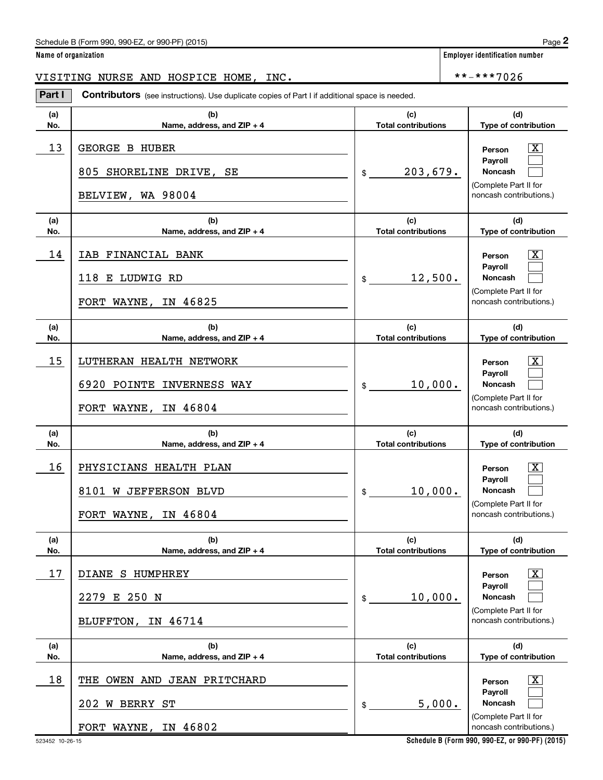**Employer identification number** 

VISITING NURSE AND HOSPICE HOME, INC.  $\vert$  \*\*-\*\*\*7026

**(a) No. (b) Name, address, and ZIP + 4 (c) Total contributions (d) Type of contribution Person Payroll Noncash (a) No. (b) Name, address, and ZIP + 4 (c) Total contributions (d) Type of contribution Person Payroll Noncash (a) No. (b) Name, address, and ZIP + 4 (c) Total contributions (d) Type of contribution Person Payroll Noncash (a) No. (b) Name, address, and ZIP + 4 (c) Total contributions (d) Type of contribution Person Payroll Noncash (a) No. (b) Name, address, and ZIP + 4 (c) Total contributions (d) Type of contribution Person Payroll Noncash (a) No. (b) Name, address, and ZIP + 4 (c) Total contributions (d) Type of contribution Person Payroll Noncash Part I** Contributors (see instructions). Use duplicate copies of Part I if additional space is needed. \$ (Complete Part II for noncash contributions.) \$ (Complete Part II for noncash contributions.) \$ (Complete Part II for noncash contributions.) \$ (Complete Part II for noncash contributions.) \$ (Complete Part II for noncash contributions.) \$ (Complete Part II for noncash contributions.)  $\lceil \text{X} \rceil$  $\begin{array}{c} \hline \end{array}$  $\begin{array}{c} \hline \end{array}$  $\boxed{\text{X}}$  $\begin{array}{c} \hline \end{array}$  $\begin{array}{c} \hline \end{array}$  $\vert X \vert$  $\begin{array}{c} \hline \end{array}$  $\begin{array}{c} \hline \end{array}$  $\vert X \vert$  $\begin{array}{c} \hline \end{array}$  $\begin{array}{c} \hline \end{array}$  $\vert X \vert$  $\begin{array}{c} \hline \end{array}$  $\begin{array}{c} \hline \end{array}$  $\boxed{\text{X}}$  $\begin{array}{c} \hline \end{array}$  $\begin{array}{c} \hline \end{array}$  $13$  GEORGE B HUBER  $\overline{\text{X}}$ 203,679. 805 SHORELINE DRIVE, SE BELVIEW, WA 98004  $14$  | IAB FINANCIAL BANK  $\qquad \qquad$  Person  $\qquad \overline{\text{X}}$ 12,500. 118 E LUDWIG RD FORT WAYNE, IN 46825  $15$  | LUTHERAN HEALTH NETWORK  $\overline{\text{X}}$ 10,000. 6920 POINTE INVERNESS WAY FORT WAYNE, IN 46804  $16$  PHYSICIANS HEALTH PLAN  $\qquad$   $\qquad$  Person  $\overline{\text{X}}$ 10,000. 8101 W JEFFERSON BLVD FORT WAYNE, IN 46804 17 X DIANE S HUMPHREY 10,000. 2279 E 250 N BLUFFTON, IN 46714  $18$  | THE OWEN AND JEAN PRITCHARD  $\qquad \qquad$  |  $\qquad \qquad$  Person  $\qquad \overline{\text{X}}$ 5,000. 202 W BERRY ST FORT WAYNE, IN 46802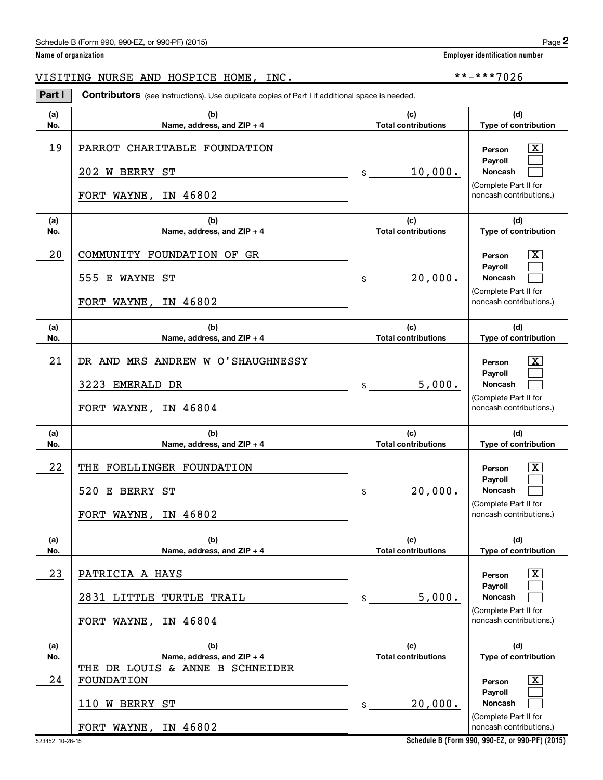**Employer identification number** 

VISITING NURSE AND HOSPICE HOME, INC.  $\vert$  \*\*-\*\*\*7026

**(a) No. (b) Name, address, and ZIP + 4 (c) Total contributions (d) Type of contribution Person Payroll Noncash (a) No. (b) Name, address, and ZIP + 4 (c) Total contributions (d) Type of contribution Person Payroll Noncash (a) No. (b) Name, address, and ZIP + 4 (c) Total contributions (d) Type of contribution Person Payroll Noncash (a) No. (b) Name, address, and ZIP + 4 (c) Total contributions (d) Type of contribution Person Payroll Noncash (a) No. (b) Name, address, and ZIP + 4 (c) Total contributions (d) Type of contribution Person Payroll Noncash (a) No. (b) Name, address, and ZIP + 4 (c) Total contributions (d) Type of contribution Person Payroll Noncash Part I** Contributors (see instructions). Use duplicate copies of Part I if additional space is needed. \$ (Complete Part II for noncash contributions.) \$ (Complete Part II for noncash contributions.) \$ (Complete Part II for noncash contributions.) \$ (Complete Part II for noncash contributions.) \$ (Complete Part II for noncash contributions.) \$ (Complete Part II for noncash contributions.)  $\lceil \text{X} \rceil$  $\begin{array}{c} \hline \end{array}$  $\begin{array}{c} \hline \end{array}$  $\boxed{\text{X}}$  $\begin{array}{c} \hline \end{array}$  $\begin{array}{c} \hline \end{array}$  $\vert X \vert$  $\begin{array}{c} \hline \end{array}$  $\begin{array}{c} \hline \end{array}$  $\vert X \vert$  $\begin{array}{c} \hline \end{array}$  $\begin{array}{c} \hline \end{array}$  $\vert X \vert$  $\begin{array}{c} \hline \end{array}$  $\begin{array}{c} \hline \end{array}$  $\boxed{\text{X}}$  $\begin{array}{c} \hline \end{array}$  $\begin{array}{c} \hline \end{array}$  $19$  | PARROT CHARITABLE FOUNDATION  $\qquad \qquad \qquad$  Person  $\qquad \overline{\text{X}}$ 10,000. 202 W BERRY ST FORT WAYNE, IN 46802 20 | COMMUNITY FOUNDATION OF GR<br>
and the community of the community of the community of the community of the community of the community of the community of the community of the community of the community of the community o 20,000. 555 E WAYNE ST FORT WAYNE, IN 46802 21 DR AND MRS ANDREW W O'SHAUGHNESSY NET RESOLUTION Rerson  $\overline{X}$ 5,000. 3223 EMERALD DR FORT WAYNE, IN 46804 22 THE FOELLINGER FOUNDATION THE RESERVE TO A RESONANCE THE RESONANCE OF THE RESONANCE OF THE RESONANCE OF THE RESONANCE OF THE RESONANCE OF THE RESONANCE OF THE RESONANCE OF THE RESONANCE OF THE RESONANCE OF THE RESONANCE 20,000. 520 E BERRY ST FORT WAYNE, IN 46802 23 X PATRICIA A HAYS 5,000. 2831 LITTLE TURTLE TRAIL FORT WAYNE, IN 46804 24 X FOUNDATION 20,000. THE DR LOUIS & ANNE B SCHNEIDER 110 W BERRY ST FORT WAYNE, IN 46802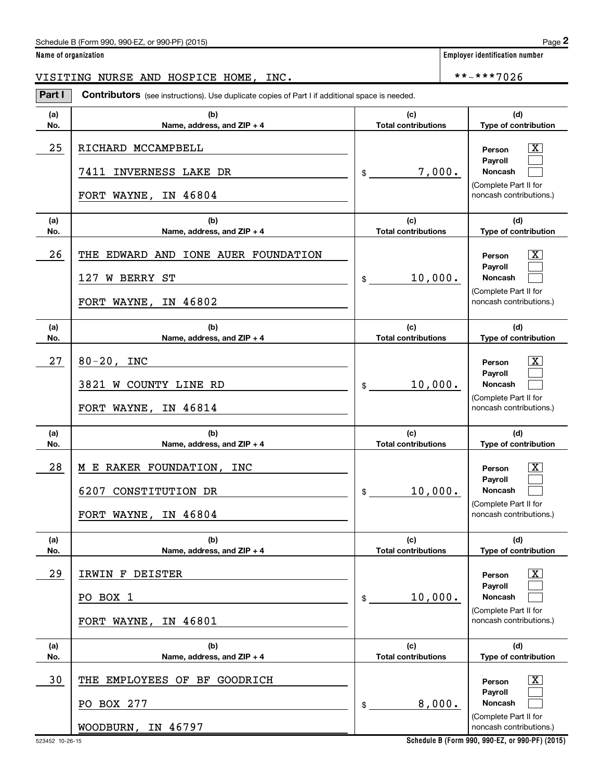**Employer identification number** 

VISITING NURSE AND HOSPICE HOME, INC.  $\vert$  \*\*-\*\*\*7026

**(a) No. (b) Name, address, and ZIP + 4 (c) Total contributions (d) Type of contribution Person Payroll Noncash (a) No. (b) Name, address, and ZIP + 4 (c) Total contributions (d) Type of contribution Person Payroll Noncash (a) No. (b) Name, address, and ZIP + 4 (c) Total contributions (d) Type of contribution Person Payroll Noncash (a) No. (b) Name, address, and ZIP + 4 (c) Total contributions (d) Type of contribution Person Payroll Noncash (a) No. (b) Name, address, and ZIP + 4 (c) Total contributions (d) Type of contribution Person Payroll Noncash (a) No. (b) Name, address, and ZIP + 4 (c) Total contributions (d) Type of contribution Person Payroll Noncash Part I** Contributors (see instructions). Use duplicate copies of Part I if additional space is needed. \$ (Complete Part II for noncash contributions.) \$ (Complete Part II for noncash contributions.) \$ (Complete Part II for noncash contributions.) \$ (Complete Part II for noncash contributions.) \$ (Complete Part II for noncash contributions.) \$ (Complete Part II for noncash contributions.)  $\lceil \text{X} \rceil$  $\begin{array}{c} \hline \end{array}$  $\begin{array}{c} \hline \end{array}$  $\boxed{\text{X}}$  $\begin{array}{c} \hline \end{array}$  $\begin{array}{c} \hline \end{array}$  $\vert X \vert$  $\begin{array}{c} \hline \end{array}$  $\begin{array}{c} \hline \end{array}$  $\vert X \vert$  $\begin{array}{c} \hline \end{array}$  $\begin{array}{c} \hline \end{array}$  $\vert X \vert$  $\begin{array}{c} \hline \end{array}$  $\begin{array}{c} \hline \end{array}$  $\boxed{\text{X}}$  $\begin{array}{c} \hline \end{array}$  $\begin{array}{c} \hline \end{array}$ 25 RICHARD MCCAMPBELL **And Contained Article Structure (SCS)** Person (X 7,000. 7411 INVERNESS LAKE DR FORT WAYNE, IN 46804 26 THE EDWARD AND IONE AUER FOUNDATION THE RESONALLY Person TO RESONALLY 10,000. 127 W BERRY ST FORT WAYNE, IN 46802  $27$  | 80-20, INC  $\overline{\text{X}}$ 10,000. 3821 W COUNTY LINE RD FORT WAYNE, IN 46814 28 | M E RAKER FOUNDATION, INC<br>  $\begin{array}{|c|c|c|c|c|c|}\hline \text{N} & \text{Person} & \text{X} \\\hline \end{array}$ 10,000. 6207 CONSTITUTION DR FORT WAYNE, IN 46804 29 X IRWIN F DEISTER 10,000. PO BOX 1 FORT WAYNE, IN 46801 30 THE EMPLOYEES OF BF GOODRICH THE RESOLUTION OF RESOLUTION OF RESOLUTION OF RESOLUTION OF RESOLUTION OF RESOLUTION OF  $\overline{X}$ 8,000. PO BOX 277 WOODBURN, IN 46797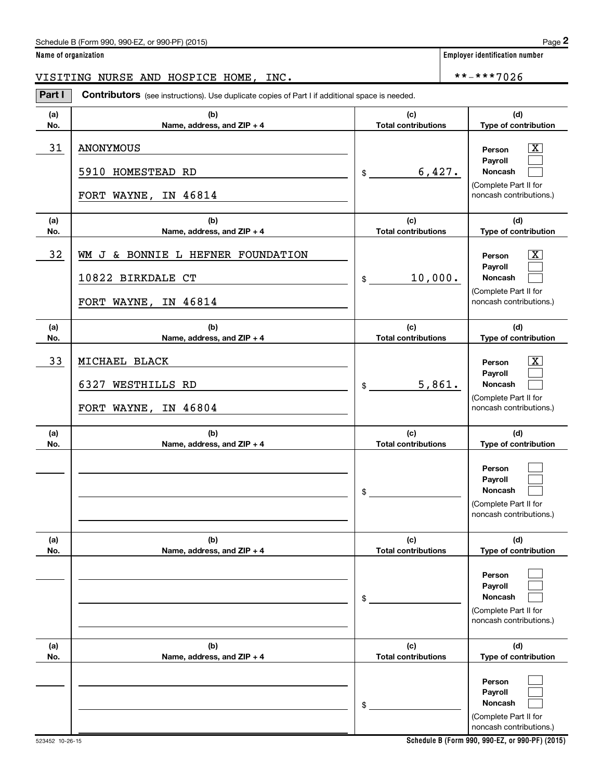**Employer identification number** 

VISITING NURSE AND HOSPICE HOME, INC.  $\vert$  \*\*-\*\*\*7026

**(a) No. (b) Name, address, and ZIP + 4 (c) Total contributions (d) Type of contribution Person Payroll Noncash (a) No. (b) Name, address, and ZIP + 4 (c) Total contributions (d) Type of contribution Person Payroll Noncash (a) No. (b) Name, address, and ZIP + 4 (c) Total contributions (d) Type of contribution Person Payroll Noncash (a) No. (b) Name, address, and ZIP + 4 (c) Total contributions (d) Type of contribution Person Payroll Noncash (a) No. (b) Name, address, and ZIP + 4 (c) Total contributions (d) Type of contribution Person Payroll Noncash (a) No. (b) Name, address, and ZIP + 4 (c) Total contributions (d) Type of contribution Person Payroll Noncash Part I** Contributors (see instructions). Use duplicate copies of Part I if additional space is needed. \$ (Complete Part II for noncash contributions.) \$ (Complete Part II for noncash contributions.) \$ (Complete Part II for noncash contributions.) \$ (Complete Part II for noncash contributions.) \$ (Complete Part II for noncash contributions.) \$ (Complete Part II for noncash contributions.)  $\lceil \text{X} \rceil$  $\begin{array}{c} \hline \end{array}$  $\begin{array}{c} \hline \end{array}$  $\boxed{\text{X}}$  $\begin{array}{c} \hline \end{array}$  $\begin{array}{c} \hline \end{array}$  $\vert X \vert$  $\begin{array}{c} \hline \end{array}$  $\begin{array}{c} \hline \end{array}$  $\begin{array}{c} \hline \end{array}$  $\begin{array}{c} \hline \end{array}$  $\begin{array}{c} \hline \end{array}$  $\begin{array}{c} \hline \end{array}$  $\begin{array}{c} \hline \end{array}$  $\begin{array}{c} \hline \end{array}$  $\begin{array}{c} \hline \end{array}$  $\begin{array}{c} \hline \end{array}$  $\begin{array}{c} \hline \end{array}$ 31 X ANONYMOUS 6,427. 5910 HOMESTEAD RD FORT WAYNE, IN 46814 32 X WM J & BONNIE L HEFNER FOUNDATION 10,000. 10822 BIRKDALE CT FORT WAYNE, IN 46814 33 X MICHAEL BLACK 5,861. 6327 WESTHILLS RD FORT WAYNE, IN 46804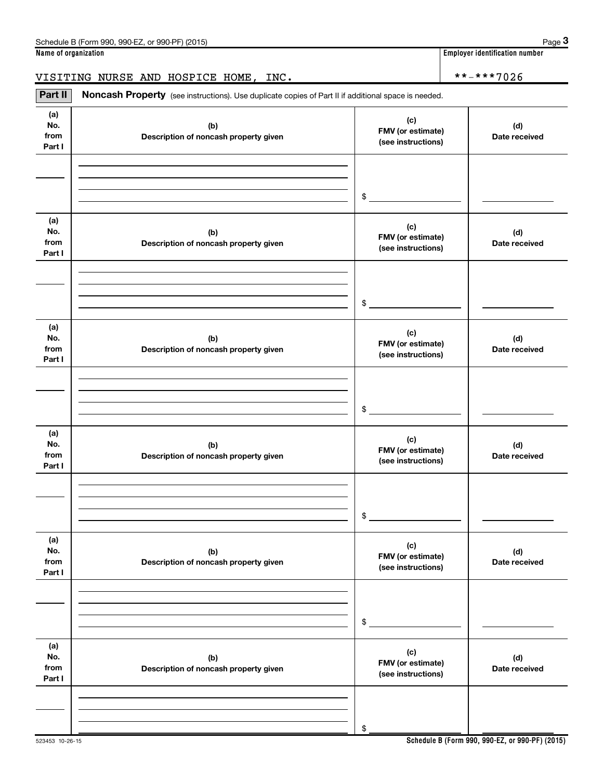**Name of organization Employer identification number**

### VISITING NURSE AND HOSPICE HOME, INC.  $\vert$  \*\*-\*\*\*7026

**(a) No. from Part I (c) FMV (or estimate) (see instructions) (b) Description of noncash property given (d) Date received (a) No. from Part I (c) FMV (or estimate) (see instructions) (b) Description of noncash property given (d) Date received (a) No. from Part I (c) FMV (or estimate) (see instructions) (b) Description of noncash property given (d) Date received (a) No. from Part I (c) FMV (or estimate) (see instructions) (b) Description of noncash property given (d) Date received (a) No. from Part I (c) FMV (or estimate) (see instructions) (b) Description of noncash property given (d) Date received (a) No. from Part I (c) FMV (or estimate) (see instructions) (b) Description of noncash property given (d) Date received** Part II | Noncash Property (see instructions). Use duplicate copies of Part II if additional space is needed. \$ \$ \$ \$ \$

\$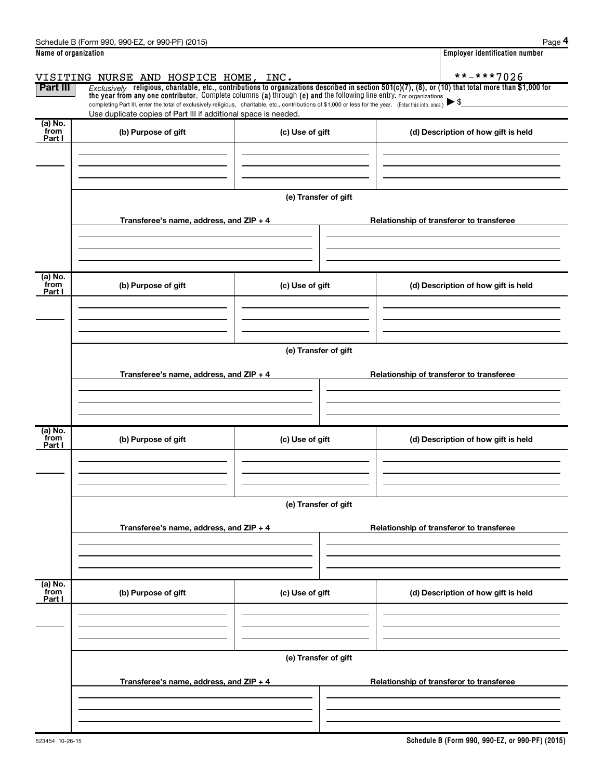|                           | Schedule B (Form 990, 990-EZ, or 990-PF) (2015)                                                                                                                                                                                                                                |                      |  | Page 4                                   |  |  |  |  |  |
|---------------------------|--------------------------------------------------------------------------------------------------------------------------------------------------------------------------------------------------------------------------------------------------------------------------------|----------------------|--|------------------------------------------|--|--|--|--|--|
| Name of organization      |                                                                                                                                                                                                                                                                                |                      |  | <b>Employer identification number</b>    |  |  |  |  |  |
|                           | VISITING NURSE AND HOSPICE HOME, INC.                                                                                                                                                                                                                                          |                      |  | **-***7026                               |  |  |  |  |  |
| Part III                  | $Exclusively$ religious, charitable, etc., contributions to organizations described in section 501(c)(7), (8), or (10) that total more than \$1,000 for<br>the year from any one contributor. Complete columns (a) through (e) and the following line entry. For organizations |                      |  |                                          |  |  |  |  |  |
|                           | completing Part III, enter the total of exclusively religious, charitable, etc., contributions of \$1,000 or less for the year. (Enter this info. once.) $\blacktriangleright$ \$<br>Use duplicate copies of Part III if additional space is needed.                           |                      |  |                                          |  |  |  |  |  |
| (a) No.<br>from<br>Part I | (b) Purpose of gift                                                                                                                                                                                                                                                            | (c) Use of gift      |  | (d) Description of how gift is held      |  |  |  |  |  |
|                           |                                                                                                                                                                                                                                                                                |                      |  |                                          |  |  |  |  |  |
|                           |                                                                                                                                                                                                                                                                                |                      |  |                                          |  |  |  |  |  |
|                           |                                                                                                                                                                                                                                                                                | (e) Transfer of gift |  |                                          |  |  |  |  |  |
|                           | Transferee's name, address, and ZIP + 4                                                                                                                                                                                                                                        |                      |  | Relationship of transferor to transferee |  |  |  |  |  |
|                           |                                                                                                                                                                                                                                                                                |                      |  |                                          |  |  |  |  |  |
| (a) No.<br>from<br>Part I | (b) Purpose of gift                                                                                                                                                                                                                                                            | (c) Use of gift      |  | (d) Description of how gift is held      |  |  |  |  |  |
|                           |                                                                                                                                                                                                                                                                                |                      |  |                                          |  |  |  |  |  |
|                           |                                                                                                                                                                                                                                                                                |                      |  |                                          |  |  |  |  |  |
|                           |                                                                                                                                                                                                                                                                                | (e) Transfer of gift |  |                                          |  |  |  |  |  |
|                           | Transferee's name, address, and ZIP + 4                                                                                                                                                                                                                                        |                      |  | Relationship of transferor to transferee |  |  |  |  |  |
|                           |                                                                                                                                                                                                                                                                                |                      |  |                                          |  |  |  |  |  |
| (a) No.<br>from<br>Part I | (b) Purpose of gift                                                                                                                                                                                                                                                            | (c) Use of gift      |  | (d) Description of how gift is held      |  |  |  |  |  |
|                           |                                                                                                                                                                                                                                                                                |                      |  |                                          |  |  |  |  |  |
|                           |                                                                                                                                                                                                                                                                                | (e) Transfer of gift |  |                                          |  |  |  |  |  |
|                           | Transferee's name, address, and $ZIP + 4$                                                                                                                                                                                                                                      |                      |  | Relationship of transferor to transferee |  |  |  |  |  |
|                           |                                                                                                                                                                                                                                                                                |                      |  |                                          |  |  |  |  |  |
| (a) No.<br>from           | (b) Purpose of gift                                                                                                                                                                                                                                                            | (c) Use of gift      |  | (d) Description of how gift is held      |  |  |  |  |  |
| Part I                    |                                                                                                                                                                                                                                                                                |                      |  |                                          |  |  |  |  |  |
|                           |                                                                                                                                                                                                                                                                                |                      |  |                                          |  |  |  |  |  |
|                           | (e) Transfer of gift                                                                                                                                                                                                                                                           |                      |  |                                          |  |  |  |  |  |
|                           | Transferee's name, address, and $ZIP + 4$                                                                                                                                                                                                                                      |                      |  | Relationship of transferor to transferee |  |  |  |  |  |
|                           |                                                                                                                                                                                                                                                                                |                      |  |                                          |  |  |  |  |  |
|                           |                                                                                                                                                                                                                                                                                |                      |  |                                          |  |  |  |  |  |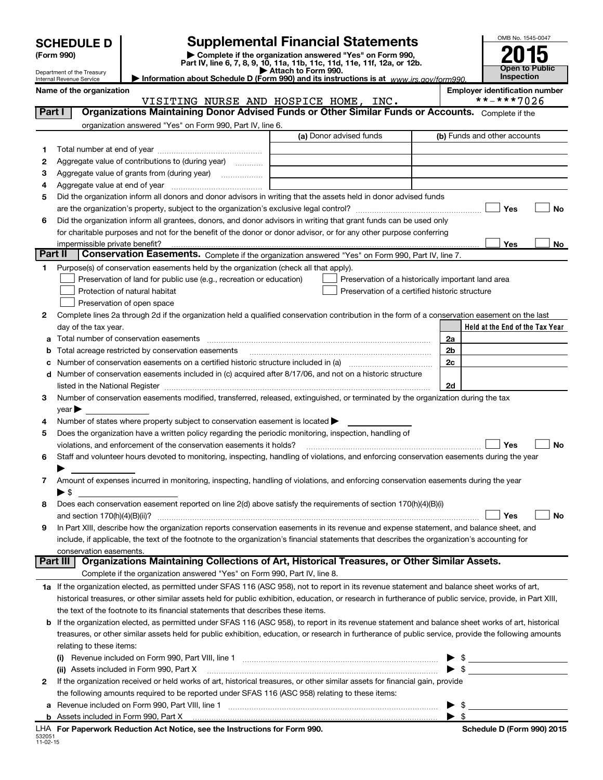| <b>SCHEDULE D</b> |
|-------------------|
|-------------------|

**(Form 990) | Complete if the organization answered "Yes" on Form 990, Part IV, line 6, 7, 8, 9, 10, 11a, 11b, 11c, 11d, 11e, 11f, 12a, or 12b. SCHEDULE D Supplemental Financial Statements**<br> **Form 990**<br>
Part IV, line 6, 7, 8, 9, 10, 11a, 11b, 11c, 11d, 11e, 11f, 12a, or 12b.



Department of the Treasury Internal Revenue Service

**| Attach to Form 990. | Information about Schedule D (Form 990) and its instructions is at**  *www.irs.gov/form990.*

Name of the organization<br> **Name of the organization**<br> **Employer identification number**<br> **Employer identification number**<br> **Employer identification number**<br> **Employer identification number** VISITING NURSE AND HOSPICE HOME, INC.

| Part I  | Organizations Maintaining Donor Advised Funds or Other Similar Funds or Accounts. Complete if the                                                                                                                                       |                         |                                                    |
|---------|-----------------------------------------------------------------------------------------------------------------------------------------------------------------------------------------------------------------------------------------|-------------------------|----------------------------------------------------|
|         | organization answered "Yes" on Form 990, Part IV, line 6.                                                                                                                                                                               | (a) Donor advised funds | (b) Funds and other accounts                       |
|         |                                                                                                                                                                                                                                         |                         |                                                    |
| 1       |                                                                                                                                                                                                                                         |                         |                                                    |
| 2       | Aggregate value of contributions to (during year)<br>1.1.1.1.1.1.1.1.1                                                                                                                                                                  |                         |                                                    |
| з       |                                                                                                                                                                                                                                         |                         |                                                    |
| 4       | Did the organization inform all donors and donor advisors in writing that the assets held in donor advised funds                                                                                                                        |                         |                                                    |
| 5       |                                                                                                                                                                                                                                         |                         | Yes<br>No                                          |
|         |                                                                                                                                                                                                                                         |                         |                                                    |
| 6       | Did the organization inform all grantees, donors, and donor advisors in writing that grant funds can be used only<br>for charitable purposes and not for the benefit of the donor or donor advisor, or for any other purpose conferring |                         |                                                    |
|         | impermissible private benefit?                                                                                                                                                                                                          |                         | Yes<br>No                                          |
| Part II | Conservation Easements. Complete if the organization answered "Yes" on Form 990, Part IV, line 7.                                                                                                                                       |                         |                                                    |
| 1.      | Purpose(s) of conservation easements held by the organization (check all that apply).                                                                                                                                                   |                         |                                                    |
|         | Preservation of land for public use (e.g., recreation or education)                                                                                                                                                                     |                         | Preservation of a historically important land area |
|         | Protection of natural habitat                                                                                                                                                                                                           |                         | Preservation of a certified historic structure     |
|         | Preservation of open space                                                                                                                                                                                                              |                         |                                                    |
| 2       | Complete lines 2a through 2d if the organization held a qualified conservation contribution in the form of a conservation easement on the last                                                                                          |                         |                                                    |
|         | day of the tax year.                                                                                                                                                                                                                    |                         | Held at the End of the Tax Year                    |
|         | Total number of conservation easements                                                                                                                                                                                                  |                         | 2a                                                 |
|         | Total acreage restricted by conservation easements                                                                                                                                                                                      |                         | 2 <sub>b</sub>                                     |
|         | Number of conservation easements on a certified historic structure included in (a) manufacture included in (a)                                                                                                                          |                         | 2c                                                 |
|         | Number of conservation easements included in (c) acquired after 8/17/06, and not on a historic structure                                                                                                                                |                         |                                                    |
|         |                                                                                                                                                                                                                                         |                         | 2d                                                 |
| 3       | Number of conservation easements modified, transferred, released, extinguished, or terminated by the organization during the tax                                                                                                        |                         |                                                    |
|         | $year \blacktriangleright$                                                                                                                                                                                                              |                         |                                                    |
| 4       | Number of states where property subject to conservation easement is located >                                                                                                                                                           |                         |                                                    |
| 5       | Does the organization have a written policy regarding the periodic monitoring, inspection, handling of                                                                                                                                  |                         |                                                    |
|         | violations, and enforcement of the conservation easements it holds?                                                                                                                                                                     |                         | Yes<br>No                                          |
| 6       | Staff and volunteer hours devoted to monitoring, inspecting, handling of violations, and enforcing conservation easements during the year                                                                                               |                         |                                                    |
|         |                                                                                                                                                                                                                                         |                         |                                                    |
| 7.      | Amount of expenses incurred in monitoring, inspecting, handling of violations, and enforcing conservation easements during the year                                                                                                     |                         |                                                    |
|         | $\blacktriangleright$ s                                                                                                                                                                                                                 |                         |                                                    |
| 8       | Does each conservation easement reported on line 2(d) above satisfy the requirements of section 170(h)(4)(B)(i)                                                                                                                         |                         |                                                    |
|         |                                                                                                                                                                                                                                         |                         | Yes<br>No                                          |
| 9       | In Part XIII, describe how the organization reports conservation easements in its revenue and expense statement, and balance sheet, and                                                                                                 |                         |                                                    |
|         | include, if applicable, the text of the footnote to the organization's financial statements that describes the organization's accounting for                                                                                            |                         |                                                    |
|         | conservation easements.<br>Organizations Maintaining Collections of Art, Historical Treasures, or Other Similar Assets.<br>Part III                                                                                                     |                         |                                                    |
|         | Complete if the organization answered "Yes" on Form 990, Part IV, line 8.                                                                                                                                                               |                         |                                                    |
|         | 1a If the organization elected, as permitted under SFAS 116 (ASC 958), not to report in its revenue statement and balance sheet works of art,                                                                                           |                         |                                                    |
|         | historical treasures, or other similar assets held for public exhibition, education, or research in furtherance of public service, provide, in Part XIII,                                                                               |                         |                                                    |
|         | the text of the footnote to its financial statements that describes these items.                                                                                                                                                        |                         |                                                    |
|         | <b>b</b> If the organization elected, as permitted under SFAS 116 (ASC 958), to report in its revenue statement and balance sheet works of art, historical                                                                              |                         |                                                    |
|         | treasures, or other similar assets held for public exhibition, education, or research in furtherance of public service, provide the following amounts                                                                                   |                         |                                                    |
|         | relating to these items:                                                                                                                                                                                                                |                         |                                                    |
|         | (i) Revenue included on Form 990, Part VIII, line 1 [1] [1] [1] [1] [1] [1] [1] Revenue included on Form 990, Part VIII, line 1                                                                                                         |                         |                                                    |
|         | (ii) Assets included in Form 990, Part X                                                                                                                                                                                                |                         | $\frac{1}{2}$<br>$\triangleright$ \$               |
| 2       | If the organization received or held works of art, historical treasures, or other similar assets for financial gain, provide                                                                                                            |                         |                                                    |
|         | the following amounts required to be reported under SFAS 116 (ASC 958) relating to these items:                                                                                                                                         |                         |                                                    |
|         |                                                                                                                                                                                                                                         |                         | \$                                                 |
|         | <b>b</b> Assets included in Form 990, Part X                                                                                                                                                                                            |                         | $\blacktriangleright$ s                            |
|         |                                                                                                                                                                                                                                         |                         |                                                    |

|  |  | Schedule D (Form 990) 2015 |
|--|--|----------------------------|
|--|--|----------------------------|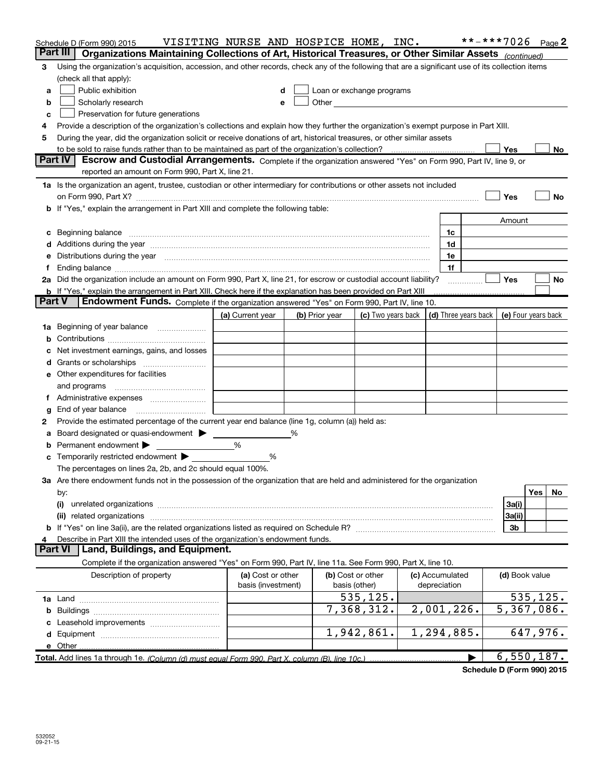|               | Schedule D (Form 990) 2015                                                                                                                                                                                                     | VISITING NURSE AND HOSPICE HOME, INC.   |                |                                    |                                 | **-***7026 Page 2        |           |    |
|---------------|--------------------------------------------------------------------------------------------------------------------------------------------------------------------------------------------------------------------------------|-----------------------------------------|----------------|------------------------------------|---------------------------------|--------------------------|-----------|----|
|               | Organizations Maintaining Collections of Art, Historical Treasures, or Other Similar Assets (continued)<br>Part III                                                                                                            |                                         |                |                                    |                                 |                          |           |    |
| З             | Using the organization's acquisition, accession, and other records, check any of the following that are a significant use of its collection items                                                                              |                                         |                |                                    |                                 |                          |           |    |
|               | (check all that apply):                                                                                                                                                                                                        |                                         |                |                                    |                                 |                          |           |    |
| a             | Public exhibition                                                                                                                                                                                                              |                                         |                | Loan or exchange programs          |                                 |                          |           |    |
| b             | Scholarly research                                                                                                                                                                                                             | е                                       |                |                                    |                                 |                          |           |    |
| c             | Preservation for future generations                                                                                                                                                                                            |                                         |                |                                    |                                 |                          |           |    |
|               | Provide a description of the organization's collections and explain how they further the organization's exempt purpose in Part XIII.                                                                                           |                                         |                |                                    |                                 |                          |           |    |
| 5             | During the year, did the organization solicit or receive donations of art, historical treasures, or other similar assets                                                                                                       |                                         |                |                                    |                                 |                          |           |    |
|               | to be sold to raise funds rather than to be maintained as part of the organization's collection?                                                                                                                               |                                         |                |                                    |                                 | Yes                      |           | No |
|               | Part IV<br>Escrow and Custodial Arrangements. Complete if the organization answered "Yes" on Form 990, Part IV, line 9, or                                                                                                     |                                         |                |                                    |                                 |                          |           |    |
|               | reported an amount on Form 990, Part X, line 21.                                                                                                                                                                               |                                         |                |                                    |                                 |                          |           |    |
|               | 1a Is the organization an agent, trustee, custodian or other intermediary for contributions or other assets not included                                                                                                       |                                         |                |                                    |                                 |                          |           |    |
|               |                                                                                                                                                                                                                                |                                         |                |                                    |                                 | Yes                      |           | No |
|               | b If "Yes," explain the arrangement in Part XIII and complete the following table:                                                                                                                                             |                                         |                |                                    |                                 |                          |           |    |
|               |                                                                                                                                                                                                                                |                                         |                |                                    |                                 | Amount                   |           |    |
| c             |                                                                                                                                                                                                                                |                                         |                |                                    | 1c                              |                          |           |    |
|               | Additions during the year manufactured and an annual contract of the year manufactured and a set of the year manufactured and a set of the year manufactured and a set of the year manufactured and a set of the set of the se |                                         |                |                                    | 1d                              |                          |           |    |
|               | Distributions during the year manufactured and continuum and contact the year manufactured and contact the year                                                                                                                |                                         |                |                                    | 1e                              |                          |           |    |
|               | 2a Did the organization include an amount on Form 990, Part X, line 21, for escrow or custodial account liability?                                                                                                             |                                         |                |                                    | 1f                              | Yes                      |           |    |
|               |                                                                                                                                                                                                                                |                                         |                |                                    |                                 |                          |           | No |
| <b>Part V</b> | <b>b</b> If "Yes," explain the arrangement in Part XIII. Check here if the explanation has been provided on Part XIII<br>Endowment Funds. Complete if the organization answered "Yes" on Form 990, Part IV, line 10.           |                                         |                |                                    |                                 |                          |           |    |
|               |                                                                                                                                                                                                                                | (a) Current year                        | (b) Prior year | (c) Two years back                 | (d) Three years back            | (e) Four years back      |           |    |
| 1a            | Beginning of year balance                                                                                                                                                                                                      |                                         |                |                                    |                                 |                          |           |    |
|               |                                                                                                                                                                                                                                |                                         |                |                                    |                                 |                          |           |    |
|               | Net investment earnings, gains, and losses                                                                                                                                                                                     |                                         |                |                                    |                                 |                          |           |    |
|               |                                                                                                                                                                                                                                |                                         |                |                                    |                                 |                          |           |    |
|               | e Other expenditures for facilities                                                                                                                                                                                            |                                         |                |                                    |                                 |                          |           |    |
|               | and programs                                                                                                                                                                                                                   |                                         |                |                                    |                                 |                          |           |    |
|               |                                                                                                                                                                                                                                |                                         |                |                                    |                                 |                          |           |    |
| g             | End of year balance                                                                                                                                                                                                            |                                         |                |                                    |                                 |                          |           |    |
| 2             | Provide the estimated percentage of the current year end balance (line 1g, column (a)) held as:                                                                                                                                |                                         |                |                                    |                                 |                          |           |    |
|               | Board designated or quasi-endowment >                                                                                                                                                                                          |                                         | %              |                                    |                                 |                          |           |    |
|               | Permanent endowment >                                                                                                                                                                                                          | %                                       |                |                                    |                                 |                          |           |    |
|               | Temporarily restricted endowment                                                                                                                                                                                               | %                                       |                |                                    |                                 |                          |           |    |
|               | The percentages on lines 2a, 2b, and 2c should equal 100%.                                                                                                                                                                     |                                         |                |                                    |                                 |                          |           |    |
|               | 3a Are there endowment funds not in the possession of the organization that are held and administered for the organization                                                                                                     |                                         |                |                                    |                                 |                          |           |    |
|               | by:                                                                                                                                                                                                                            |                                         |                |                                    |                                 |                          | Yes       | No |
|               | (i)                                                                                                                                                                                                                            |                                         |                |                                    |                                 | 3a(i)                    |           |    |
|               | related organizations<br>(ii)                                                                                                                                                                                                  |                                         |                |                                    |                                 | 3a(ii)                   |           |    |
|               |                                                                                                                                                                                                                                |                                         |                |                                    |                                 | 3b                       |           |    |
|               | Describe in Part XIII the intended uses of the organization's endowment funds.                                                                                                                                                 |                                         |                |                                    |                                 |                          |           |    |
|               | Land, Buildings, and Equipment.<br><b>Part VI</b>                                                                                                                                                                              |                                         |                |                                    |                                 |                          |           |    |
|               | Complete if the organization answered "Yes" on Form 990, Part IV, line 11a. See Form 990, Part X, line 10.                                                                                                                     |                                         |                |                                    |                                 |                          |           |    |
|               | Description of property                                                                                                                                                                                                        | (a) Cost or other<br>basis (investment) |                | (b) Cost or other<br>basis (other) | (c) Accumulated<br>depreciation | (d) Book value           |           |    |
|               |                                                                                                                                                                                                                                |                                         |                | 535,125.                           |                                 |                          | 535, 125. |    |
|               |                                                                                                                                                                                                                                |                                         |                | 7,368,312.                         | 2,001,226.                      | $\overline{5,367,086}$ . |           |    |
|               |                                                                                                                                                                                                                                |                                         |                |                                    |                                 |                          |           |    |
|               |                                                                                                                                                                                                                                |                                         |                | 1,942,861.                         | 1,294,885.                      |                          | 647,976.  |    |
|               | e Other                                                                                                                                                                                                                        |                                         |                |                                    |                                 |                          |           |    |
|               | Total. Add lines 1a through 1e. (Column (d) must equal Form 990. Part X, column (B), line 10c.)                                                                                                                                |                                         |                |                                    |                                 | <u>6,550,187.</u>        |           |    |

**Schedule D (Form 990) 2015**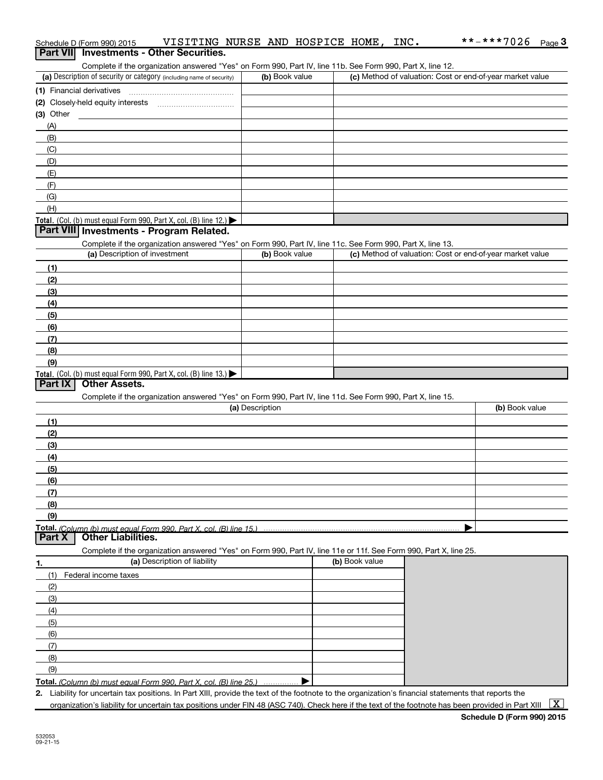|                 | Schedule D (Form 990) 2015    | VISITING NURSE AND HOSPICE HOME, INC.                                                                                                                |                 |                |  |                |  | **-***7026                                                | Page 3 |
|-----------------|-------------------------------|------------------------------------------------------------------------------------------------------------------------------------------------------|-----------------|----------------|--|----------------|--|-----------------------------------------------------------|--------|
| <b>Part VII</b> |                               | <b>Investments - Other Securities.</b>                                                                                                               |                 |                |  |                |  |                                                           |        |
|                 |                               | Complete if the organization answered "Yes" on Form 990, Part IV, line 11b. See Form 990, Part X, line 12.                                           |                 |                |  |                |  |                                                           |        |
|                 |                               | (a) Description of security or category (including name of security)                                                                                 |                 | (b) Book value |  |                |  | (c) Method of valuation: Cost or end-of-year market value |        |
|                 | (1) Financial derivatives     |                                                                                                                                                      |                 |                |  |                |  |                                                           |        |
|                 |                               | (2) Closely-held equity interests [111] Closely-held equity interests                                                                                |                 |                |  |                |  |                                                           |        |
| $(3)$ Other     |                               |                                                                                                                                                      |                 |                |  |                |  |                                                           |        |
| (A)             |                               |                                                                                                                                                      |                 |                |  |                |  |                                                           |        |
| (B)             |                               |                                                                                                                                                      |                 |                |  |                |  |                                                           |        |
| (C)             |                               |                                                                                                                                                      |                 |                |  |                |  |                                                           |        |
| (D)             |                               |                                                                                                                                                      |                 |                |  |                |  |                                                           |        |
| (E)<br>(F)      |                               |                                                                                                                                                      |                 |                |  |                |  |                                                           |        |
| (G)             |                               |                                                                                                                                                      |                 |                |  |                |  |                                                           |        |
| (H)             |                               |                                                                                                                                                      |                 |                |  |                |  |                                                           |        |
|                 |                               | <b>Total.</b> (Col. (b) must equal Form 990, Part X, col. (B) line $12$ .)                                                                           |                 |                |  |                |  |                                                           |        |
|                 |                               | Part VIII Investments - Program Related.                                                                                                             |                 |                |  |                |  |                                                           |        |
|                 |                               | Complete if the organization answered "Yes" on Form 990, Part IV, line 11c. See Form 990, Part X, line 13.                                           |                 |                |  |                |  |                                                           |        |
|                 | (a) Description of investment |                                                                                                                                                      |                 | (b) Book value |  |                |  | (c) Method of valuation: Cost or end-of-year market value |        |
| (1)             |                               |                                                                                                                                                      |                 |                |  |                |  |                                                           |        |
| (2)             |                               |                                                                                                                                                      |                 |                |  |                |  |                                                           |        |
| (3)             |                               |                                                                                                                                                      |                 |                |  |                |  |                                                           |        |
| (4)             |                               |                                                                                                                                                      |                 |                |  |                |  |                                                           |        |
| (5)             |                               |                                                                                                                                                      |                 |                |  |                |  |                                                           |        |
| (6)             |                               |                                                                                                                                                      |                 |                |  |                |  |                                                           |        |
| (7)             |                               |                                                                                                                                                      |                 |                |  |                |  |                                                           |        |
| (8)             |                               |                                                                                                                                                      |                 |                |  |                |  |                                                           |        |
| (9)             |                               |                                                                                                                                                      |                 |                |  |                |  |                                                           |        |
| <b>Part IX</b>  | <b>Other Assets.</b>          | Total. (Col. (b) must equal Form 990, Part X, col. (B) line $13.$                                                                                    |                 |                |  |                |  |                                                           |        |
|                 |                               |                                                                                                                                                      |                 |                |  |                |  |                                                           |        |
|                 |                               | Complete if the organization answered "Yes" on Form 990, Part IV, line 11d. See Form 990, Part X, line 15.                                           | (a) Description |                |  |                |  | (b) Book value                                            |        |
| (1)             |                               |                                                                                                                                                      |                 |                |  |                |  |                                                           |        |
| (2)             |                               |                                                                                                                                                      |                 |                |  |                |  |                                                           |        |
| (3)             |                               |                                                                                                                                                      |                 |                |  |                |  |                                                           |        |
| (4)             |                               |                                                                                                                                                      |                 |                |  |                |  |                                                           |        |
| (5)             |                               |                                                                                                                                                      |                 |                |  |                |  |                                                           |        |
| (6)             |                               |                                                                                                                                                      |                 |                |  |                |  |                                                           |        |
| (7)             |                               |                                                                                                                                                      |                 |                |  |                |  |                                                           |        |
| (8)             |                               |                                                                                                                                                      |                 |                |  |                |  |                                                           |        |
| (9)             |                               |                                                                                                                                                      |                 |                |  |                |  |                                                           |        |
|                 |                               | Total. (Column (b) must equal Form 990. Part X, col. (B) line 15.)                                                                                   |                 |                |  |                |  |                                                           |        |
| Part X          | <b>Other Liabilities.</b>     |                                                                                                                                                      |                 |                |  |                |  |                                                           |        |
|                 |                               | Complete if the organization answered "Yes" on Form 990, Part IV, line 11e or 11f. See Form 990, Part X, line 25.                                    |                 |                |  |                |  |                                                           |        |
| 1.              |                               | (a) Description of liability                                                                                                                         |                 |                |  | (b) Book value |  |                                                           |        |
| (1)             | Federal income taxes          |                                                                                                                                                      |                 |                |  |                |  |                                                           |        |
| (2)             |                               |                                                                                                                                                      |                 |                |  |                |  |                                                           |        |
| (3)             |                               |                                                                                                                                                      |                 |                |  |                |  |                                                           |        |
| (4)             |                               |                                                                                                                                                      |                 |                |  |                |  |                                                           |        |
| (5)             |                               |                                                                                                                                                      |                 |                |  |                |  |                                                           |        |
| (6)<br>(7)      |                               |                                                                                                                                                      |                 |                |  |                |  |                                                           |        |
| (8)             |                               |                                                                                                                                                      |                 |                |  |                |  |                                                           |        |
| (9)             |                               |                                                                                                                                                      |                 |                |  |                |  |                                                           |        |
|                 |                               | Total. (Column (b) must equal Form 990, Part X, col. (B) line 25.)                                                                                   |                 |                |  |                |  |                                                           |        |
|                 |                               | 2. Liability for uncertain tax positions. In Part XIII, provide the text of the footnote to the organization's financial statements that reports the |                 |                |  |                |  |                                                           |        |

organization's liability for uncertain tax positions under FIN 48 (ASC 740). Check here if the text of the footnote has been provided in Part XIII  $\sqrt{X}$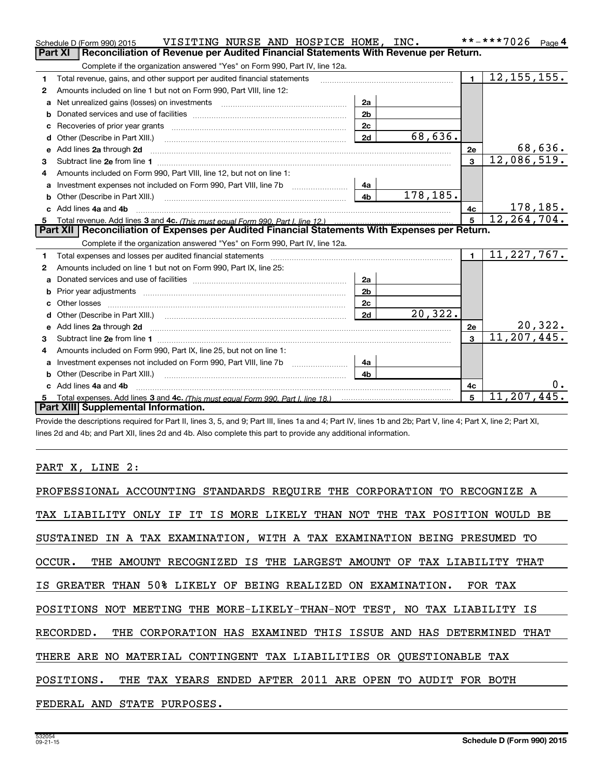|    | VISITING NURSE AND HOSPICE HOME, INC.<br>Schedule D (Form 990) 2015                                                                                                                                                                 |                |          |                | **-***7026<br>Page 4      |
|----|-------------------------------------------------------------------------------------------------------------------------------------------------------------------------------------------------------------------------------------|----------------|----------|----------------|---------------------------|
|    | Reconciliation of Revenue per Audited Financial Statements With Revenue per Return.<br><b>Part XI</b>                                                                                                                               |                |          |                |                           |
|    | Complete if the organization answered "Yes" on Form 990, Part IV, line 12a.                                                                                                                                                         |                |          |                |                           |
| 1  | Total revenue, gains, and other support per audited financial statements                                                                                                                                                            |                |          | $\blacksquare$ | $\overline{12,155,155}$ . |
| 2  | Amounts included on line 1 but not on Form 990, Part VIII, line 12:                                                                                                                                                                 |                |          |                |                           |
| a  |                                                                                                                                                                                                                                     | 2a             |          |                |                           |
|    |                                                                                                                                                                                                                                     | 2 <sub>b</sub> |          |                |                           |
|    |                                                                                                                                                                                                                                     | 2c             |          |                |                           |
| d  | Other (Describe in Part XIII.) <b>Construction Contract Construction</b> Chemistry Chemistry Chemistry Chemistry Chemistry                                                                                                          | 2d             | 68,636.  |                |                           |
| е  | Add lines 2a through 2d                                                                                                                                                                                                             |                |          | 2e             | 68,636.                   |
| 3  |                                                                                                                                                                                                                                     |                |          | $\mathbf{3}$   | 12,086,519.               |
| 4  | Amounts included on Form 990, Part VIII, line 12, but not on line 1:                                                                                                                                                                |                |          |                |                           |
|    |                                                                                                                                                                                                                                     | 4a             |          |                |                           |
|    |                                                                                                                                                                                                                                     | 4 <sub>b</sub> | 178,185. |                |                           |
| c. | Add lines 4a and 4b                                                                                                                                                                                                                 |                |          | 4c             | 178,185.                  |
|    |                                                                                                                                                                                                                                     |                |          | 5              | 12, 264, 704.             |
|    |                                                                                                                                                                                                                                     |                |          |                |                           |
|    | Part XII   Reconciliation of Expenses per Audited Financial Statements With Expenses per Return.                                                                                                                                    |                |          |                |                           |
|    | Complete if the organization answered "Yes" on Form 990, Part IV, line 12a.                                                                                                                                                         |                |          |                |                           |
| 1  | Total expenses and losses per audited financial statements [11] [11] Total expenses and losses per audited financial statements [11] [11] Total expenses and losses per audited financial statements                                |                |          | $\blacksquare$ | 11, 227, 767.             |
| 2  | Amounts included on line 1 but not on Form 990, Part IX, line 25:                                                                                                                                                                   |                |          |                |                           |
| a  |                                                                                                                                                                                                                                     | 2a             |          |                |                           |
| b  |                                                                                                                                                                                                                                     | 2 <sub>b</sub> |          |                |                           |
|    |                                                                                                                                                                                                                                     | 2c             |          |                |                           |
| d  |                                                                                                                                                                                                                                     | 2d             | 20,322.  |                |                           |
| е  | Add lines 2a through 2d <b>contained a contained a contained a contained a</b> contained a contact the state of the state of the state of the state of the state of the state of the state of the state of the state of the state o |                |          | 2e             | 20,322.                   |
| 3  |                                                                                                                                                                                                                                     |                |          | $\mathbf{3}$   | 11,207,445.               |
| 4  | Amounts included on Form 990, Part IX, line 25, but not on line 1:                                                                                                                                                                  |                |          |                |                           |
| a  |                                                                                                                                                                                                                                     | 4a             |          |                |                           |
|    | <b>b</b> Other (Describe in Part XIII.)                                                                                                                                                                                             | 4 <sub>b</sub> |          |                |                           |
| c. | Add lines 4a and 4b                                                                                                                                                                                                                 |                |          | 4c             |                           |
|    | Part XIII Supplemental Information.                                                                                                                                                                                                 |                |          | 5              | 11, 207, 445.             |

Provide the descriptions required for Part II, lines 3, 5, and 9; Part III, lines 1a and 4; Part IV, lines 1b and 2b; Part V, line 4; Part X, line 2; Part XI, lines 2d and 4b; and Part XII, lines 2d and 4b. Also complete this part to provide any additional information.

### PART X, LINE 2:

| PROFESSIONAL ACCOUNTING STANDARDS REQUIRE THE CORPORATION TO RECOGNIZE A   |
|----------------------------------------------------------------------------|
| TAX LIABILITY ONLY IF IT IS MORE LIKELY THAN NOT THE TAX POSITION WOULD BE |
| SUSTAINED IN A TAX EXAMINATION, WITH A TAX EXAMINATION BEING PRESUMED TO   |
| OCCUR. THE AMOUNT RECOGNIZED IS THE LARGEST AMOUNT OF TAX LIABILITY THAT   |
| IS GREATER THAN 50% LIKELY OF BEING REALIZED ON EXAMINATION. FOR TAX       |
| POSITIONS NOT MEETING THE MORE-LIKELY-THAN-NOT TEST, NO TAX LIABILITY IS   |
| RECORDED. THE CORPORATION HAS EXAMINED THIS ISSUE AND HAS DETERMINED THAT  |
| THERE ARE NO MATERIAL CONTINGENT TAX LIABILITIES OR OUESTIONABLE TAX       |
| POSITIONS. THE TAX YEARS ENDED AFTER 2011 ARE OPEN TO AUDIT FOR BOTH       |
| FEDERAL AND STATE PURPOSES.                                                |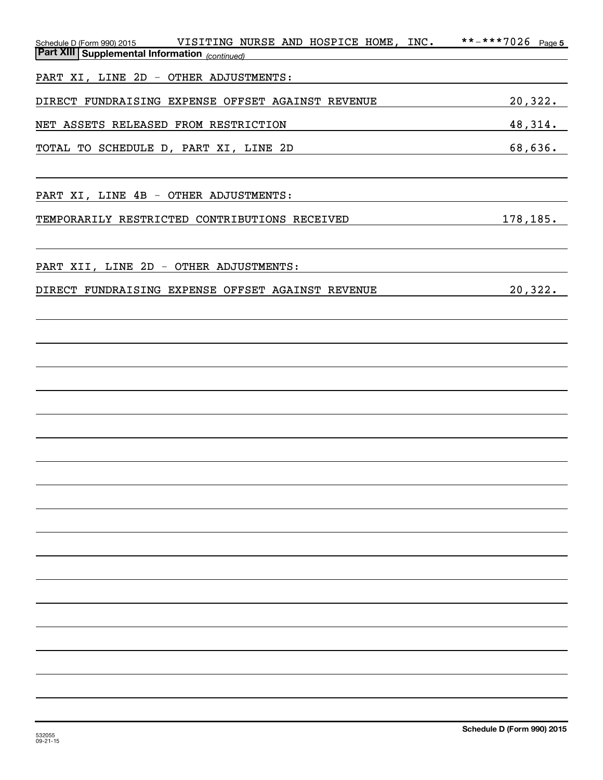| VISITING NURSE AND HOSPICE HOME, INC.<br>Schedule D (Form 990) 2015 | **-***7026<br>Page 5 |
|---------------------------------------------------------------------|----------------------|
| <b>Part XIII   Supplemental Information</b> (continued)             |                      |
| PART XI, LINE 2D - OTHER ADJUSTMENTS:                               |                      |
| DIRECT FUNDRAISING EXPENSE OFFSET AGAINST REVENUE                   | 20,322.              |
| NET ASSETS RELEASED FROM RESTRICTION                                | 48,314.              |
| TOTAL TO SCHEDULE D, PART XI, LINE 2D                               | 68,636.              |
|                                                                     |                      |
| PART XI, LINE 4B - OTHER ADJUSTMENTS:                               |                      |
| TEMPORARILY RESTRICTED CONTRIBUTIONS RECEIVED                       | 178,185.             |
|                                                                     |                      |
| PART XII, LINE 2D - OTHER ADJUSTMENTS:                              |                      |
| DIRECT FUNDRAISING EXPENSE OFFSET AGAINST REVENUE                   | 20,322.              |
|                                                                     |                      |
|                                                                     |                      |
|                                                                     |                      |
|                                                                     |                      |
|                                                                     |                      |
|                                                                     |                      |
|                                                                     |                      |
|                                                                     |                      |
|                                                                     |                      |
|                                                                     |                      |
|                                                                     |                      |
|                                                                     |                      |
|                                                                     |                      |
|                                                                     |                      |
|                                                                     |                      |
|                                                                     |                      |
|                                                                     |                      |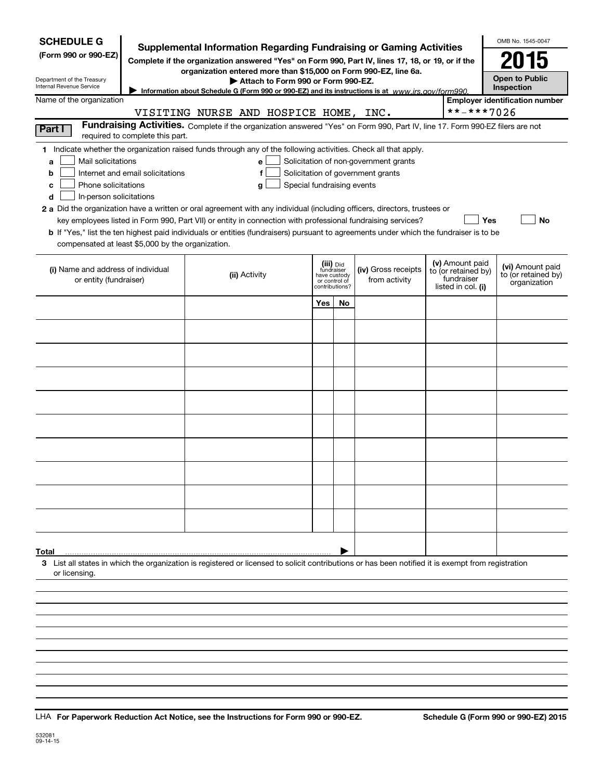| <b>SCHEDULE G</b><br>(Form 990 or 990-EZ)<br>Department of the Treasury<br>Internal Revenue Service                                                                                                                                                                                                                                                                                                                                                                                                                                                                                                                                                                                        | <b>Supplemental Information Regarding Fundraising or Gaming Activities</b><br>Complete if the organization answered "Yes" on Form 990, Part IV, lines 17, 18, or 19, or if the<br>organization entered more than \$15,000 on Form 990-EZ, line 6a.<br>Attach to Form 990 or Form 990-EZ.<br>Information about Schedule G (Form 990 or 990-EZ) and its instructions is at $www.irs. gov/form990$ . |                                                                            |    |                                                                            |                                                                            | OMB No. 1545-0047<br>2015<br><b>Open to Public</b><br>Inspection |
|--------------------------------------------------------------------------------------------------------------------------------------------------------------------------------------------------------------------------------------------------------------------------------------------------------------------------------------------------------------------------------------------------------------------------------------------------------------------------------------------------------------------------------------------------------------------------------------------------------------------------------------------------------------------------------------------|---------------------------------------------------------------------------------------------------------------------------------------------------------------------------------------------------------------------------------------------------------------------------------------------------------------------------------------------------------------------------------------------------|----------------------------------------------------------------------------|----|----------------------------------------------------------------------------|----------------------------------------------------------------------------|------------------------------------------------------------------|
| Name of the organization                                                                                                                                                                                                                                                                                                                                                                                                                                                                                                                                                                                                                                                                   |                                                                                                                                                                                                                                                                                                                                                                                                   |                                                                            |    |                                                                            |                                                                            | <b>Employer identification number</b>                            |
|                                                                                                                                                                                                                                                                                                                                                                                                                                                                                                                                                                                                                                                                                            | VISITING NURSE AND HOSPICE HOME, INC.                                                                                                                                                                                                                                                                                                                                                             |                                                                            |    |                                                                            | **-***7026                                                                 |                                                                  |
| Part I<br>required to complete this part.                                                                                                                                                                                                                                                                                                                                                                                                                                                                                                                                                                                                                                                  | Fundraising Activities. Complete if the organization answered "Yes" on Form 990, Part IV, line 17. Form 990-EZ filers are not                                                                                                                                                                                                                                                                     |                                                                            |    |                                                                            |                                                                            |                                                                  |
| 1 Indicate whether the organization raised funds through any of the following activities. Check all that apply.<br>Mail solicitations<br>a<br>Internet and email solicitations<br>b<br>Phone solicitations<br>с<br>In-person solicitations<br>d<br>2 a Did the organization have a written or oral agreement with any individual (including officers, directors, trustees or<br>key employees listed in Form 990, Part VII) or entity in connection with professional fundraising services?<br>b If "Yes," list the ten highest paid individuals or entities (fundraisers) pursuant to agreements under which the fundraiser is to be<br>compensated at least \$5,000 by the organization. | е<br>Special fundraising events<br>g                                                                                                                                                                                                                                                                                                                                                              |                                                                            |    | Solicitation of non-government grants<br>Solicitation of government grants |                                                                            | <b>Yes</b><br><b>No</b>                                          |
| (i) Name and address of individual<br>or entity (fundraiser)                                                                                                                                                                                                                                                                                                                                                                                                                                                                                                                                                                                                                               | (ii) Activity                                                                                                                                                                                                                                                                                                                                                                                     | (iii) Did<br>fundraiser<br>have custody<br>or control of<br>contributions? |    | (iv) Gross receipts<br>from activity                                       | (v) Amount paid<br>to (or retained by)<br>fundraiser<br>listed in col. (i) | (vi) Amount paid<br>to (or retained by)<br>organization          |
|                                                                                                                                                                                                                                                                                                                                                                                                                                                                                                                                                                                                                                                                                            |                                                                                                                                                                                                                                                                                                                                                                                                   | Yes                                                                        | No |                                                                            |                                                                            |                                                                  |
|                                                                                                                                                                                                                                                                                                                                                                                                                                                                                                                                                                                                                                                                                            |                                                                                                                                                                                                                                                                                                                                                                                                   |                                                                            |    |                                                                            |                                                                            |                                                                  |
|                                                                                                                                                                                                                                                                                                                                                                                                                                                                                                                                                                                                                                                                                            |                                                                                                                                                                                                                                                                                                                                                                                                   |                                                                            |    |                                                                            |                                                                            |                                                                  |
|                                                                                                                                                                                                                                                                                                                                                                                                                                                                                                                                                                                                                                                                                            |                                                                                                                                                                                                                                                                                                                                                                                                   |                                                                            |    |                                                                            |                                                                            |                                                                  |
|                                                                                                                                                                                                                                                                                                                                                                                                                                                                                                                                                                                                                                                                                            |                                                                                                                                                                                                                                                                                                                                                                                                   |                                                                            |    |                                                                            |                                                                            |                                                                  |
|                                                                                                                                                                                                                                                                                                                                                                                                                                                                                                                                                                                                                                                                                            |                                                                                                                                                                                                                                                                                                                                                                                                   |                                                                            |    |                                                                            |                                                                            |                                                                  |
|                                                                                                                                                                                                                                                                                                                                                                                                                                                                                                                                                                                                                                                                                            |                                                                                                                                                                                                                                                                                                                                                                                                   |                                                                            |    |                                                                            |                                                                            |                                                                  |
|                                                                                                                                                                                                                                                                                                                                                                                                                                                                                                                                                                                                                                                                                            |                                                                                                                                                                                                                                                                                                                                                                                                   |                                                                            |    |                                                                            |                                                                            |                                                                  |
|                                                                                                                                                                                                                                                                                                                                                                                                                                                                                                                                                                                                                                                                                            |                                                                                                                                                                                                                                                                                                                                                                                                   |                                                                            |    |                                                                            |                                                                            |                                                                  |
|                                                                                                                                                                                                                                                                                                                                                                                                                                                                                                                                                                                                                                                                                            |                                                                                                                                                                                                                                                                                                                                                                                                   |                                                                            |    |                                                                            |                                                                            |                                                                  |
|                                                                                                                                                                                                                                                                                                                                                                                                                                                                                                                                                                                                                                                                                            |                                                                                                                                                                                                                                                                                                                                                                                                   |                                                                            |    |                                                                            |                                                                            |                                                                  |
| Total                                                                                                                                                                                                                                                                                                                                                                                                                                                                                                                                                                                                                                                                                      |                                                                                                                                                                                                                                                                                                                                                                                                   |                                                                            |    |                                                                            |                                                                            |                                                                  |
| 3 List all states in which the organization is registered or licensed to solicit contributions or has been notified it is exempt from registration<br>or licensing.                                                                                                                                                                                                                                                                                                                                                                                                                                                                                                                        |                                                                                                                                                                                                                                                                                                                                                                                                   |                                                                            |    |                                                                            |                                                                            |                                                                  |
|                                                                                                                                                                                                                                                                                                                                                                                                                                                                                                                                                                                                                                                                                            |                                                                                                                                                                                                                                                                                                                                                                                                   |                                                                            |    |                                                                            |                                                                            |                                                                  |
|                                                                                                                                                                                                                                                                                                                                                                                                                                                                                                                                                                                                                                                                                            |                                                                                                                                                                                                                                                                                                                                                                                                   |                                                                            |    |                                                                            |                                                                            |                                                                  |
|                                                                                                                                                                                                                                                                                                                                                                                                                                                                                                                                                                                                                                                                                            |                                                                                                                                                                                                                                                                                                                                                                                                   |                                                                            |    |                                                                            |                                                                            |                                                                  |
|                                                                                                                                                                                                                                                                                                                                                                                                                                                                                                                                                                                                                                                                                            |                                                                                                                                                                                                                                                                                                                                                                                                   |                                                                            |    |                                                                            |                                                                            |                                                                  |

LHA For Paperwork Reduction Act Notice, see the Instructions for Form 990 or 990-EZ. Schedule G (Form 990 or 990-EZ) 2015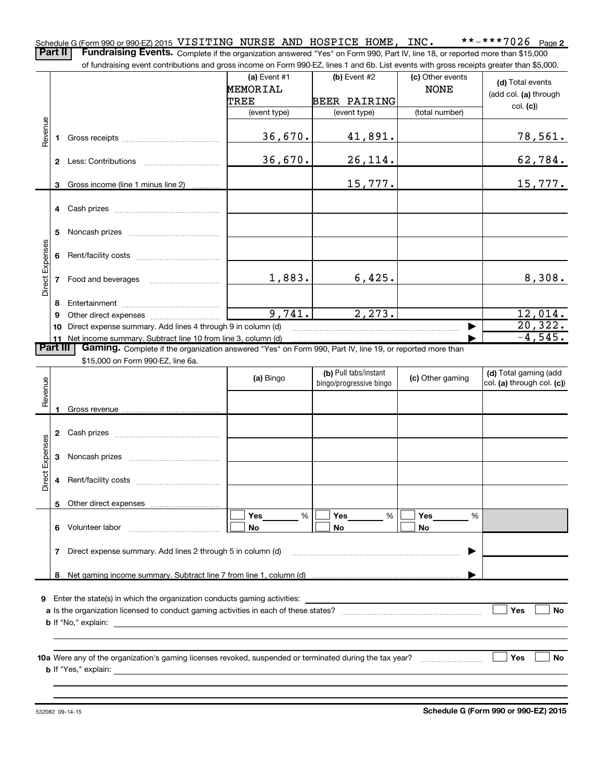$***$   $***$  7026 Page 2 Schedule G (Form 990 or 990-EZ) 2015 <code>VISITING NURSE AND HOSPICE HOME, INC. \*\*-\*\*\*7026 Page</code> Part II | Fundraising Events. Complete if the organization answered "Yes" on Form 990, Part IV, line 18, or reported more than \$15,000

of fundraising event contributions and gross income on Form 990-EZ, lines 1 and 6b. List events with gross receipts greater than \$5,000.

|                        |   |                                                                                                                                                                                                                                           |                 |                         | (c) Other events |                            |
|------------------------|---|-------------------------------------------------------------------------------------------------------------------------------------------------------------------------------------------------------------------------------------------|-----------------|-------------------------|------------------|----------------------------|
|                        |   |                                                                                                                                                                                                                                           | (a) Event $#1$  | (b) Event $#2$          |                  | (d) Total events           |
|                        |   |                                                                                                                                                                                                                                           | <b>MEMORIAL</b> |                         | <b>NONE</b>      | (add col. (a) through      |
|                        |   |                                                                                                                                                                                                                                           | TREE            | <b>BEER PAIRING</b>     |                  | col. (c)                   |
|                        |   |                                                                                                                                                                                                                                           | (event type)    | (event type)            | (total number)   |                            |
| Revenue                |   |                                                                                                                                                                                                                                           |                 |                         |                  |                            |
|                        |   |                                                                                                                                                                                                                                           | 36,670.         | 41,891.                 |                  | 78,561.                    |
|                        |   |                                                                                                                                                                                                                                           |                 |                         |                  |                            |
|                        |   |                                                                                                                                                                                                                                           | 36,670.         | 26, 114.                |                  | 62,784.                    |
|                        |   |                                                                                                                                                                                                                                           |                 |                         |                  |                            |
|                        |   |                                                                                                                                                                                                                                           |                 |                         |                  |                            |
|                        |   | 3 Gross income (line 1 minus line 2)                                                                                                                                                                                                      |                 | 15,777.                 |                  | 15,777.                    |
|                        |   |                                                                                                                                                                                                                                           |                 |                         |                  |                            |
|                        |   |                                                                                                                                                                                                                                           |                 |                         |                  |                            |
|                        |   |                                                                                                                                                                                                                                           |                 |                         |                  |                            |
|                        | 5 |                                                                                                                                                                                                                                           |                 |                         |                  |                            |
|                        |   |                                                                                                                                                                                                                                           |                 |                         |                  |                            |
|                        | 6 |                                                                                                                                                                                                                                           |                 |                         |                  |                            |
| Direct Expenses        |   |                                                                                                                                                                                                                                           |                 |                         |                  |                            |
|                        |   | 7 Food and beverages                                                                                                                                                                                                                      | 1,883.          | 6,425.                  |                  | 8,308.                     |
|                        |   |                                                                                                                                                                                                                                           |                 |                         |                  |                            |
|                        | 8 |                                                                                                                                                                                                                                           |                 |                         |                  |                            |
|                        | 9 |                                                                                                                                                                                                                                           | 9,741.          | 2, 273.                 |                  | 12,014.                    |
|                        |   | 10 Direct expense summary. Add lines 4 through 9 in column (d)                                                                                                                                                                            |                 |                         |                  | 20, 322.                   |
|                        |   | 11 Net income summary. Subtract line 10 from line 3, column (d)                                                                                                                                                                           |                 |                         |                  | $-4,545.$                  |
| <b>Part III</b>        |   | Gaming. Complete if the organization answered "Yes" on Form 990, Part IV, line 19, or reported more than                                                                                                                                  |                 |                         |                  |                            |
|                        |   | \$15,000 on Form 990-EZ, line 6a.                                                                                                                                                                                                         |                 |                         |                  |                            |
|                        |   |                                                                                                                                                                                                                                           |                 | (b) Pull tabs/instant   |                  | (d) Total gaming (add      |
|                        |   |                                                                                                                                                                                                                                           | (a) Bingo       | bingo/progressive bingo | (c) Other gaming | col. (a) through col. (c)) |
| Revenue                |   |                                                                                                                                                                                                                                           |                 |                         |                  |                            |
|                        |   |                                                                                                                                                                                                                                           |                 |                         |                  |                            |
|                        |   |                                                                                                                                                                                                                                           |                 |                         |                  |                            |
|                        |   |                                                                                                                                                                                                                                           |                 |                         |                  |                            |
|                        |   |                                                                                                                                                                                                                                           |                 |                         |                  |                            |
|                        |   |                                                                                                                                                                                                                                           |                 |                         |                  |                            |
| <b>Direct Expenses</b> | 3 |                                                                                                                                                                                                                                           |                 |                         |                  |                            |
|                        |   |                                                                                                                                                                                                                                           |                 |                         |                  |                            |
|                        | 4 |                                                                                                                                                                                                                                           |                 |                         |                  |                            |
|                        |   |                                                                                                                                                                                                                                           |                 |                         |                  |                            |
|                        |   |                                                                                                                                                                                                                                           |                 |                         |                  |                            |
|                        |   |                                                                                                                                                                                                                                           | Yes<br>%        | Yes<br>%                | Yes<br>%         |                            |
|                        | 6 | Volunteer labor                                                                                                                                                                                                                           | No              | No                      | No               |                            |
|                        |   |                                                                                                                                                                                                                                           |                 |                         |                  |                            |
|                        | 7 | Direct expense summary. Add lines 2 through 5 in column (d)                                                                                                                                                                               |                 |                         |                  |                            |
|                        |   |                                                                                                                                                                                                                                           |                 |                         |                  |                            |
|                        | 8 |                                                                                                                                                                                                                                           |                 |                         |                  |                            |
|                        |   |                                                                                                                                                                                                                                           |                 |                         |                  |                            |
|                        |   | 9 Enter the state(s) in which the organization conducts gaming activities:                                                                                                                                                                |                 |                         |                  |                            |
|                        |   |                                                                                                                                                                                                                                           |                 |                         |                  | Yes<br>No                  |
|                        |   |                                                                                                                                                                                                                                           |                 |                         |                  |                            |
|                        |   | <b>b</b> If "No," explain: <u>contract the set of the set of the set of the set of the set of the set of the set of the set of the set of the set of the set of the set of the set of the set of the set of the set of the set of the</u> |                 |                         |                  |                            |
|                        |   |                                                                                                                                                                                                                                           |                 |                         |                  |                            |
|                        |   |                                                                                                                                                                                                                                           |                 |                         |                  |                            |
|                        |   |                                                                                                                                                                                                                                           |                 |                         |                  | <b>Yes</b><br>No           |
|                        |   |                                                                                                                                                                                                                                           |                 |                         |                  |                            |
|                        |   |                                                                                                                                                                                                                                           |                 |                         |                  |                            |
|                        |   |                                                                                                                                                                                                                                           |                 |                         |                  |                            |

**Schedule G (Form 990 or 990-EZ) 2015**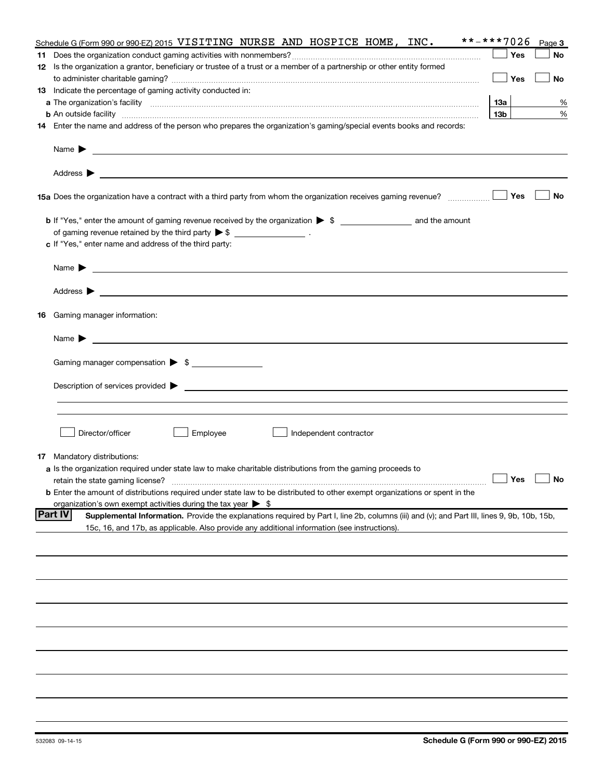| <b>Yes</b><br>No<br>12 Is the organization a grantor, beneficiary or trustee of a trust or a member of a partnership or other entity formed<br><b>Yes</b><br>No<br><b>13</b> Indicate the percentage of gaming activity conducted in:<br>13a<br>%<br>13 <sub>b</sub><br>%<br><b>b</b> An outside facility <i>www.communically.communically.communically.communically.communically.communically</i><br>14 Enter the name and address of the person who prepares the organization's gaming/special events books and records:<br>Name $\blacktriangleright$<br><u>state and the state of the state of the state of the state of the state of the state of the state of the state of the state of the state of the state of the state of the state of the state of the state of the state of the</u><br>Yes<br>No<br>15a Does the organization have a contract with a third party from whom the organization receives gaming revenue?<br>b If "Yes," enter the amount of gaming revenue received by the organization > \$ ____________________ and the amount<br>of gaming revenue retained by the third party $\triangleright$ \$ $\_\_\_\_\_\_\_\_\_\_\_\_\_$ .<br>c If "Yes," enter name and address of the third party:<br>Name $\blacktriangleright$<br><u>state and the state of the state of the state of the state of the state of the state of the state of the state of the state of the state of the state of the state of the state of the state of the state of the state of the</u><br><b>16</b> Gaming manager information:<br>Name $\blacktriangleright$<br><u> 1989 - Johann Harry Harry Harry Harry Harry Harry Harry Harry Harry Harry Harry Harry Harry Harry Harry Harry</u><br>Gaming manager compensation > \$<br>Director/officer<br>Employee<br>Independent contractor<br><b>17</b> Mandatory distributions:<br><b>a</b> Is the organization required under state law to make charitable distributions from the gaming proceeds to<br>$\overline{\phantom{a}}$ No<br><b>b</b> Enter the amount of distributions required under state law to be distributed to other exempt organizations or spent in the<br>organization's own exempt activities during the tax year $\triangleright$ \$<br><b>Part IV</b><br>Supplemental Information. Provide the explanations required by Part I, line 2b, columns (iii) and (v); and Part III, lines 9, 9b, 10b, 15b,<br>15c, 16, and 17b, as applicable. Also provide any additional information (see instructions). | **-***7026<br>Schedule G (Form 990 or 990-EZ) 2015 VISITING NURSE AND HOSPICE HOME, INC. |  | Page 3 |
|--------------------------------------------------------------------------------------------------------------------------------------------------------------------------------------------------------------------------------------------------------------------------------------------------------------------------------------------------------------------------------------------------------------------------------------------------------------------------------------------------------------------------------------------------------------------------------------------------------------------------------------------------------------------------------------------------------------------------------------------------------------------------------------------------------------------------------------------------------------------------------------------------------------------------------------------------------------------------------------------------------------------------------------------------------------------------------------------------------------------------------------------------------------------------------------------------------------------------------------------------------------------------------------------------------------------------------------------------------------------------------------------------------------------------------------------------------------------------------------------------------------------------------------------------------------------------------------------------------------------------------------------------------------------------------------------------------------------------------------------------------------------------------------------------------------------------------------------------------------------------------------------------------------------------------------------------------------------------------------------------------------------------------------------------------------------------------------------------------------------------------------------------------------------------------------------------------------------------------------------------------------------------------------------------------------------------------------------------------------------------------------------------------------------------------------------------------------------------------|------------------------------------------------------------------------------------------|--|--------|
|                                                                                                                                                                                                                                                                                                                                                                                                                                                                                                                                                                                                                                                                                                                                                                                                                                                                                                                                                                                                                                                                                                                                                                                                                                                                                                                                                                                                                                                                                                                                                                                                                                                                                                                                                                                                                                                                                                                                                                                                                                                                                                                                                                                                                                                                                                                                                                                                                                                                                |                                                                                          |  |        |
|                                                                                                                                                                                                                                                                                                                                                                                                                                                                                                                                                                                                                                                                                                                                                                                                                                                                                                                                                                                                                                                                                                                                                                                                                                                                                                                                                                                                                                                                                                                                                                                                                                                                                                                                                                                                                                                                                                                                                                                                                                                                                                                                                                                                                                                                                                                                                                                                                                                                                |                                                                                          |  |        |
|                                                                                                                                                                                                                                                                                                                                                                                                                                                                                                                                                                                                                                                                                                                                                                                                                                                                                                                                                                                                                                                                                                                                                                                                                                                                                                                                                                                                                                                                                                                                                                                                                                                                                                                                                                                                                                                                                                                                                                                                                                                                                                                                                                                                                                                                                                                                                                                                                                                                                |                                                                                          |  |        |
|                                                                                                                                                                                                                                                                                                                                                                                                                                                                                                                                                                                                                                                                                                                                                                                                                                                                                                                                                                                                                                                                                                                                                                                                                                                                                                                                                                                                                                                                                                                                                                                                                                                                                                                                                                                                                                                                                                                                                                                                                                                                                                                                                                                                                                                                                                                                                                                                                                                                                |                                                                                          |  |        |
|                                                                                                                                                                                                                                                                                                                                                                                                                                                                                                                                                                                                                                                                                                                                                                                                                                                                                                                                                                                                                                                                                                                                                                                                                                                                                                                                                                                                                                                                                                                                                                                                                                                                                                                                                                                                                                                                                                                                                                                                                                                                                                                                                                                                                                                                                                                                                                                                                                                                                |                                                                                          |  |        |
|                                                                                                                                                                                                                                                                                                                                                                                                                                                                                                                                                                                                                                                                                                                                                                                                                                                                                                                                                                                                                                                                                                                                                                                                                                                                                                                                                                                                                                                                                                                                                                                                                                                                                                                                                                                                                                                                                                                                                                                                                                                                                                                                                                                                                                                                                                                                                                                                                                                                                |                                                                                          |  |        |
|                                                                                                                                                                                                                                                                                                                                                                                                                                                                                                                                                                                                                                                                                                                                                                                                                                                                                                                                                                                                                                                                                                                                                                                                                                                                                                                                                                                                                                                                                                                                                                                                                                                                                                                                                                                                                                                                                                                                                                                                                                                                                                                                                                                                                                                                                                                                                                                                                                                                                |                                                                                          |  |        |
|                                                                                                                                                                                                                                                                                                                                                                                                                                                                                                                                                                                                                                                                                                                                                                                                                                                                                                                                                                                                                                                                                                                                                                                                                                                                                                                                                                                                                                                                                                                                                                                                                                                                                                                                                                                                                                                                                                                                                                                                                                                                                                                                                                                                                                                                                                                                                                                                                                                                                |                                                                                          |  |        |
|                                                                                                                                                                                                                                                                                                                                                                                                                                                                                                                                                                                                                                                                                                                                                                                                                                                                                                                                                                                                                                                                                                                                                                                                                                                                                                                                                                                                                                                                                                                                                                                                                                                                                                                                                                                                                                                                                                                                                                                                                                                                                                                                                                                                                                                                                                                                                                                                                                                                                |                                                                                          |  |        |
|                                                                                                                                                                                                                                                                                                                                                                                                                                                                                                                                                                                                                                                                                                                                                                                                                                                                                                                                                                                                                                                                                                                                                                                                                                                                                                                                                                                                                                                                                                                                                                                                                                                                                                                                                                                                                                                                                                                                                                                                                                                                                                                                                                                                                                                                                                                                                                                                                                                                                |                                                                                          |  |        |
|                                                                                                                                                                                                                                                                                                                                                                                                                                                                                                                                                                                                                                                                                                                                                                                                                                                                                                                                                                                                                                                                                                                                                                                                                                                                                                                                                                                                                                                                                                                                                                                                                                                                                                                                                                                                                                                                                                                                                                                                                                                                                                                                                                                                                                                                                                                                                                                                                                                                                |                                                                                          |  |        |
|                                                                                                                                                                                                                                                                                                                                                                                                                                                                                                                                                                                                                                                                                                                                                                                                                                                                                                                                                                                                                                                                                                                                                                                                                                                                                                                                                                                                                                                                                                                                                                                                                                                                                                                                                                                                                                                                                                                                                                                                                                                                                                                                                                                                                                                                                                                                                                                                                                                                                |                                                                                          |  |        |
|                                                                                                                                                                                                                                                                                                                                                                                                                                                                                                                                                                                                                                                                                                                                                                                                                                                                                                                                                                                                                                                                                                                                                                                                                                                                                                                                                                                                                                                                                                                                                                                                                                                                                                                                                                                                                                                                                                                                                                                                                                                                                                                                                                                                                                                                                                                                                                                                                                                                                |                                                                                          |  |        |
|                                                                                                                                                                                                                                                                                                                                                                                                                                                                                                                                                                                                                                                                                                                                                                                                                                                                                                                                                                                                                                                                                                                                                                                                                                                                                                                                                                                                                                                                                                                                                                                                                                                                                                                                                                                                                                                                                                                                                                                                                                                                                                                                                                                                                                                                                                                                                                                                                                                                                |                                                                                          |  |        |
|                                                                                                                                                                                                                                                                                                                                                                                                                                                                                                                                                                                                                                                                                                                                                                                                                                                                                                                                                                                                                                                                                                                                                                                                                                                                                                                                                                                                                                                                                                                                                                                                                                                                                                                                                                                                                                                                                                                                                                                                                                                                                                                                                                                                                                                                                                                                                                                                                                                                                |                                                                                          |  |        |
|                                                                                                                                                                                                                                                                                                                                                                                                                                                                                                                                                                                                                                                                                                                                                                                                                                                                                                                                                                                                                                                                                                                                                                                                                                                                                                                                                                                                                                                                                                                                                                                                                                                                                                                                                                                                                                                                                                                                                                                                                                                                                                                                                                                                                                                                                                                                                                                                                                                                                |                                                                                          |  |        |
|                                                                                                                                                                                                                                                                                                                                                                                                                                                                                                                                                                                                                                                                                                                                                                                                                                                                                                                                                                                                                                                                                                                                                                                                                                                                                                                                                                                                                                                                                                                                                                                                                                                                                                                                                                                                                                                                                                                                                                                                                                                                                                                                                                                                                                                                                                                                                                                                                                                                                |                                                                                          |  |        |
|                                                                                                                                                                                                                                                                                                                                                                                                                                                                                                                                                                                                                                                                                                                                                                                                                                                                                                                                                                                                                                                                                                                                                                                                                                                                                                                                                                                                                                                                                                                                                                                                                                                                                                                                                                                                                                                                                                                                                                                                                                                                                                                                                                                                                                                                                                                                                                                                                                                                                |                                                                                          |  |        |
|                                                                                                                                                                                                                                                                                                                                                                                                                                                                                                                                                                                                                                                                                                                                                                                                                                                                                                                                                                                                                                                                                                                                                                                                                                                                                                                                                                                                                                                                                                                                                                                                                                                                                                                                                                                                                                                                                                                                                                                                                                                                                                                                                                                                                                                                                                                                                                                                                                                                                |                                                                                          |  |        |
|                                                                                                                                                                                                                                                                                                                                                                                                                                                                                                                                                                                                                                                                                                                                                                                                                                                                                                                                                                                                                                                                                                                                                                                                                                                                                                                                                                                                                                                                                                                                                                                                                                                                                                                                                                                                                                                                                                                                                                                                                                                                                                                                                                                                                                                                                                                                                                                                                                                                                |                                                                                          |  |        |
|                                                                                                                                                                                                                                                                                                                                                                                                                                                                                                                                                                                                                                                                                                                                                                                                                                                                                                                                                                                                                                                                                                                                                                                                                                                                                                                                                                                                                                                                                                                                                                                                                                                                                                                                                                                                                                                                                                                                                                                                                                                                                                                                                                                                                                                                                                                                                                                                                                                                                |                                                                                          |  |        |
|                                                                                                                                                                                                                                                                                                                                                                                                                                                                                                                                                                                                                                                                                                                                                                                                                                                                                                                                                                                                                                                                                                                                                                                                                                                                                                                                                                                                                                                                                                                                                                                                                                                                                                                                                                                                                                                                                                                                                                                                                                                                                                                                                                                                                                                                                                                                                                                                                                                                                |                                                                                          |  |        |
|                                                                                                                                                                                                                                                                                                                                                                                                                                                                                                                                                                                                                                                                                                                                                                                                                                                                                                                                                                                                                                                                                                                                                                                                                                                                                                                                                                                                                                                                                                                                                                                                                                                                                                                                                                                                                                                                                                                                                                                                                                                                                                                                                                                                                                                                                                                                                                                                                                                                                |                                                                                          |  |        |
|                                                                                                                                                                                                                                                                                                                                                                                                                                                                                                                                                                                                                                                                                                                                                                                                                                                                                                                                                                                                                                                                                                                                                                                                                                                                                                                                                                                                                                                                                                                                                                                                                                                                                                                                                                                                                                                                                                                                                                                                                                                                                                                                                                                                                                                                                                                                                                                                                                                                                |                                                                                          |  |        |
|                                                                                                                                                                                                                                                                                                                                                                                                                                                                                                                                                                                                                                                                                                                                                                                                                                                                                                                                                                                                                                                                                                                                                                                                                                                                                                                                                                                                                                                                                                                                                                                                                                                                                                                                                                                                                                                                                                                                                                                                                                                                                                                                                                                                                                                                                                                                                                                                                                                                                |                                                                                          |  |        |
|                                                                                                                                                                                                                                                                                                                                                                                                                                                                                                                                                                                                                                                                                                                                                                                                                                                                                                                                                                                                                                                                                                                                                                                                                                                                                                                                                                                                                                                                                                                                                                                                                                                                                                                                                                                                                                                                                                                                                                                                                                                                                                                                                                                                                                                                                                                                                                                                                                                                                |                                                                                          |  |        |
|                                                                                                                                                                                                                                                                                                                                                                                                                                                                                                                                                                                                                                                                                                                                                                                                                                                                                                                                                                                                                                                                                                                                                                                                                                                                                                                                                                                                                                                                                                                                                                                                                                                                                                                                                                                                                                                                                                                                                                                                                                                                                                                                                                                                                                                                                                                                                                                                                                                                                |                                                                                          |  |        |
|                                                                                                                                                                                                                                                                                                                                                                                                                                                                                                                                                                                                                                                                                                                                                                                                                                                                                                                                                                                                                                                                                                                                                                                                                                                                                                                                                                                                                                                                                                                                                                                                                                                                                                                                                                                                                                                                                                                                                                                                                                                                                                                                                                                                                                                                                                                                                                                                                                                                                |                                                                                          |  |        |
|                                                                                                                                                                                                                                                                                                                                                                                                                                                                                                                                                                                                                                                                                                                                                                                                                                                                                                                                                                                                                                                                                                                                                                                                                                                                                                                                                                                                                                                                                                                                                                                                                                                                                                                                                                                                                                                                                                                                                                                                                                                                                                                                                                                                                                                                                                                                                                                                                                                                                |                                                                                          |  |        |
|                                                                                                                                                                                                                                                                                                                                                                                                                                                                                                                                                                                                                                                                                                                                                                                                                                                                                                                                                                                                                                                                                                                                                                                                                                                                                                                                                                                                                                                                                                                                                                                                                                                                                                                                                                                                                                                                                                                                                                                                                                                                                                                                                                                                                                                                                                                                                                                                                                                                                |                                                                                          |  |        |
|                                                                                                                                                                                                                                                                                                                                                                                                                                                                                                                                                                                                                                                                                                                                                                                                                                                                                                                                                                                                                                                                                                                                                                                                                                                                                                                                                                                                                                                                                                                                                                                                                                                                                                                                                                                                                                                                                                                                                                                                                                                                                                                                                                                                                                                                                                                                                                                                                                                                                |                                                                                          |  |        |
|                                                                                                                                                                                                                                                                                                                                                                                                                                                                                                                                                                                                                                                                                                                                                                                                                                                                                                                                                                                                                                                                                                                                                                                                                                                                                                                                                                                                                                                                                                                                                                                                                                                                                                                                                                                                                                                                                                                                                                                                                                                                                                                                                                                                                                                                                                                                                                                                                                                                                |                                                                                          |  |        |
|                                                                                                                                                                                                                                                                                                                                                                                                                                                                                                                                                                                                                                                                                                                                                                                                                                                                                                                                                                                                                                                                                                                                                                                                                                                                                                                                                                                                                                                                                                                                                                                                                                                                                                                                                                                                                                                                                                                                                                                                                                                                                                                                                                                                                                                                                                                                                                                                                                                                                |                                                                                          |  |        |
|                                                                                                                                                                                                                                                                                                                                                                                                                                                                                                                                                                                                                                                                                                                                                                                                                                                                                                                                                                                                                                                                                                                                                                                                                                                                                                                                                                                                                                                                                                                                                                                                                                                                                                                                                                                                                                                                                                                                                                                                                                                                                                                                                                                                                                                                                                                                                                                                                                                                                |                                                                                          |  |        |
|                                                                                                                                                                                                                                                                                                                                                                                                                                                                                                                                                                                                                                                                                                                                                                                                                                                                                                                                                                                                                                                                                                                                                                                                                                                                                                                                                                                                                                                                                                                                                                                                                                                                                                                                                                                                                                                                                                                                                                                                                                                                                                                                                                                                                                                                                                                                                                                                                                                                                |                                                                                          |  |        |
|                                                                                                                                                                                                                                                                                                                                                                                                                                                                                                                                                                                                                                                                                                                                                                                                                                                                                                                                                                                                                                                                                                                                                                                                                                                                                                                                                                                                                                                                                                                                                                                                                                                                                                                                                                                                                                                                                                                                                                                                                                                                                                                                                                                                                                                                                                                                                                                                                                                                                |                                                                                          |  |        |
|                                                                                                                                                                                                                                                                                                                                                                                                                                                                                                                                                                                                                                                                                                                                                                                                                                                                                                                                                                                                                                                                                                                                                                                                                                                                                                                                                                                                                                                                                                                                                                                                                                                                                                                                                                                                                                                                                                                                                                                                                                                                                                                                                                                                                                                                                                                                                                                                                                                                                |                                                                                          |  |        |
|                                                                                                                                                                                                                                                                                                                                                                                                                                                                                                                                                                                                                                                                                                                                                                                                                                                                                                                                                                                                                                                                                                                                                                                                                                                                                                                                                                                                                                                                                                                                                                                                                                                                                                                                                                                                                                                                                                                                                                                                                                                                                                                                                                                                                                                                                                                                                                                                                                                                                |                                                                                          |  |        |
|                                                                                                                                                                                                                                                                                                                                                                                                                                                                                                                                                                                                                                                                                                                                                                                                                                                                                                                                                                                                                                                                                                                                                                                                                                                                                                                                                                                                                                                                                                                                                                                                                                                                                                                                                                                                                                                                                                                                                                                                                                                                                                                                                                                                                                                                                                                                                                                                                                                                                |                                                                                          |  |        |
|                                                                                                                                                                                                                                                                                                                                                                                                                                                                                                                                                                                                                                                                                                                                                                                                                                                                                                                                                                                                                                                                                                                                                                                                                                                                                                                                                                                                                                                                                                                                                                                                                                                                                                                                                                                                                                                                                                                                                                                                                                                                                                                                                                                                                                                                                                                                                                                                                                                                                |                                                                                          |  |        |
|                                                                                                                                                                                                                                                                                                                                                                                                                                                                                                                                                                                                                                                                                                                                                                                                                                                                                                                                                                                                                                                                                                                                                                                                                                                                                                                                                                                                                                                                                                                                                                                                                                                                                                                                                                                                                                                                                                                                                                                                                                                                                                                                                                                                                                                                                                                                                                                                                                                                                |                                                                                          |  |        |
|                                                                                                                                                                                                                                                                                                                                                                                                                                                                                                                                                                                                                                                                                                                                                                                                                                                                                                                                                                                                                                                                                                                                                                                                                                                                                                                                                                                                                                                                                                                                                                                                                                                                                                                                                                                                                                                                                                                                                                                                                                                                                                                                                                                                                                                                                                                                                                                                                                                                                |                                                                                          |  |        |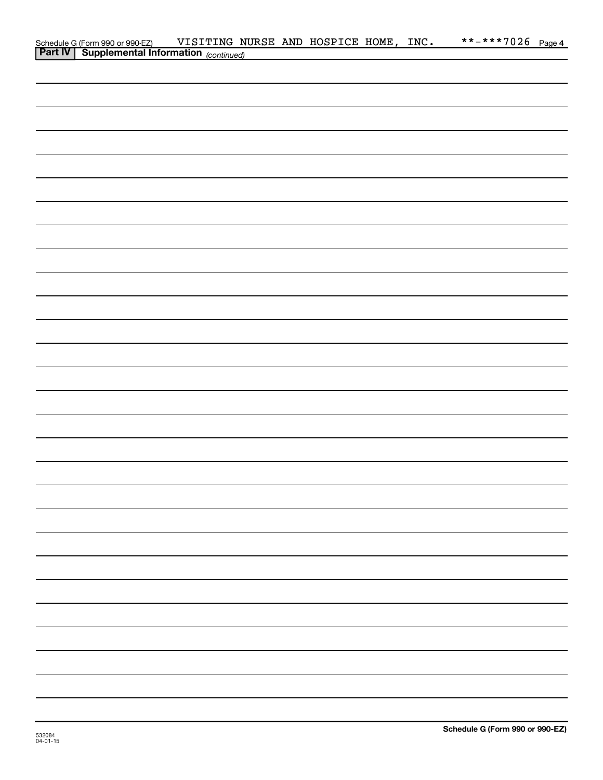|                                                                                             | VISITING NURSE AND HOSPICE HOME, INC. |  |  | **-***7026 Page 4 |  |
|---------------------------------------------------------------------------------------------|---------------------------------------|--|--|-------------------|--|
| Schedule G (Form 990 or 990-EZ) VISITING NU<br>Part IV Supplemental Information (continued) |                                       |  |  |                   |  |
|                                                                                             |                                       |  |  |                   |  |
|                                                                                             |                                       |  |  |                   |  |
|                                                                                             |                                       |  |  |                   |  |
|                                                                                             |                                       |  |  |                   |  |
|                                                                                             |                                       |  |  |                   |  |
|                                                                                             |                                       |  |  |                   |  |
|                                                                                             |                                       |  |  |                   |  |
|                                                                                             |                                       |  |  |                   |  |
|                                                                                             |                                       |  |  |                   |  |
|                                                                                             |                                       |  |  |                   |  |
|                                                                                             |                                       |  |  |                   |  |
|                                                                                             |                                       |  |  |                   |  |
|                                                                                             |                                       |  |  |                   |  |
|                                                                                             |                                       |  |  |                   |  |
|                                                                                             |                                       |  |  |                   |  |
|                                                                                             |                                       |  |  |                   |  |
|                                                                                             |                                       |  |  |                   |  |
|                                                                                             |                                       |  |  |                   |  |
|                                                                                             |                                       |  |  |                   |  |
|                                                                                             |                                       |  |  |                   |  |
|                                                                                             |                                       |  |  |                   |  |
|                                                                                             |                                       |  |  |                   |  |
|                                                                                             |                                       |  |  |                   |  |
|                                                                                             |                                       |  |  |                   |  |
|                                                                                             |                                       |  |  |                   |  |
|                                                                                             |                                       |  |  |                   |  |
|                                                                                             |                                       |  |  |                   |  |
|                                                                                             |                                       |  |  |                   |  |
|                                                                                             |                                       |  |  |                   |  |
|                                                                                             |                                       |  |  |                   |  |
|                                                                                             |                                       |  |  |                   |  |
|                                                                                             |                                       |  |  |                   |  |
|                                                                                             |                                       |  |  |                   |  |
|                                                                                             |                                       |  |  |                   |  |
|                                                                                             |                                       |  |  |                   |  |
|                                                                                             |                                       |  |  |                   |  |
|                                                                                             |                                       |  |  |                   |  |
|                                                                                             |                                       |  |  |                   |  |
|                                                                                             |                                       |  |  |                   |  |
|                                                                                             |                                       |  |  |                   |  |
|                                                                                             |                                       |  |  |                   |  |
|                                                                                             |                                       |  |  |                   |  |
|                                                                                             |                                       |  |  |                   |  |
|                                                                                             |                                       |  |  |                   |  |
|                                                                                             |                                       |  |  |                   |  |
|                                                                                             |                                       |  |  |                   |  |
|                                                                                             |                                       |  |  |                   |  |
|                                                                                             |                                       |  |  |                   |  |
|                                                                                             |                                       |  |  |                   |  |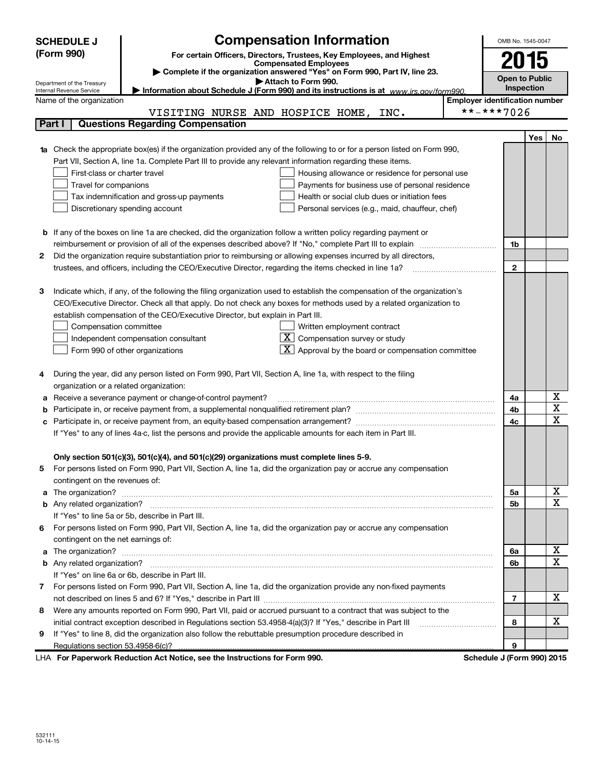|    | <b>Compensation Information</b><br><b>SCHEDULE J</b>                                                                                              | OMB No. 1545-0047     |     |    |
|----|---------------------------------------------------------------------------------------------------------------------------------------------------|-----------------------|-----|----|
|    | (Form 990)<br>For certain Officers, Directors, Trustees, Key Employees, and Highest                                                               |                       |     |    |
|    | <b>Compensated Employees</b>                                                                                                                      | 2015                  |     |    |
|    | Complete if the organization answered "Yes" on Form 990, Part IV, line 23.<br>Attach to Form 990.                                                 | <b>Open to Public</b> |     |    |
|    | Department of the Treasury<br>Information about Schedule J (Form 990) and its instructions is at www.irs.gov/form990.<br>Internal Revenue Service | Inspection            |     |    |
|    | <b>Employer identification number</b><br>Name of the organization                                                                                 |                       |     |    |
|    | **-***7026<br>VISITING NURSE AND HOSPICE HOME,<br>INC.                                                                                            |                       |     |    |
|    | <b>Questions Regarding Compensation</b><br>Part I                                                                                                 |                       |     |    |
|    |                                                                                                                                                   |                       | Yes | No |
|    | Check the appropriate box(es) if the organization provided any of the following to or for a person listed on Form 990,                            |                       |     |    |
|    | Part VII, Section A, line 1a. Complete Part III to provide any relevant information regarding these items.                                        |                       |     |    |
|    | First-class or charter travel<br>Housing allowance or residence for personal use                                                                  |                       |     |    |
|    | Travel for companions<br>Payments for business use of personal residence                                                                          |                       |     |    |
|    | Health or social club dues or initiation fees<br>Tax indemnification and gross-up payments                                                        |                       |     |    |
|    | Discretionary spending account<br>Personal services (e.g., maid, chauffeur, chef)                                                                 |                       |     |    |
|    |                                                                                                                                                   |                       |     |    |
|    | <b>b</b> If any of the boxes on line 1a are checked, did the organization follow a written policy regarding payment or                            |                       |     |    |
|    | Did the organization require substantiation prior to reimbursing or allowing expenses incurred by all directors,                                  | 1b                    |     |    |
| 2  |                                                                                                                                                   | $\mathbf{2}$          |     |    |
|    |                                                                                                                                                   |                       |     |    |
| з  | Indicate which, if any, of the following the filing organization used to establish the compensation of the organization's                         |                       |     |    |
|    | CEO/Executive Director. Check all that apply. Do not check any boxes for methods used by a related organization to                                |                       |     |    |
|    | establish compensation of the CEO/Executive Director, but explain in Part III.                                                                    |                       |     |    |
|    | Compensation committee<br>Written employment contract                                                                                             |                       |     |    |
|    | $\mathbf{X}$<br>Compensation survey or study<br>Independent compensation consultant                                                               |                       |     |    |
|    | Approval by the board or compensation committee<br>Form 990 of other organizations                                                                |                       |     |    |
|    |                                                                                                                                                   |                       |     |    |
| 4  | During the year, did any person listed on Form 990, Part VII, Section A, line 1a, with respect to the filing                                      |                       |     |    |
|    | organization or a related organization:                                                                                                           |                       |     |    |
| а  | Receive a severance payment or change-of-control payment?                                                                                         | 4a                    |     | х  |
|    |                                                                                                                                                   | 4b                    |     | X  |
|    |                                                                                                                                                   | 4c                    |     | X  |
|    | If "Yes" to any of lines 4a-c, list the persons and provide the applicable amounts for each item in Part III.                                     |                       |     |    |
|    |                                                                                                                                                   |                       |     |    |
|    | Only section 501(c)(3), 501(c)(4), and 501(c)(29) organizations must complete lines 5-9.                                                          |                       |     |    |
|    | For persons listed on Form 990, Part VII, Section A, line 1a, did the organization pay or accrue any compensation                                 |                       |     |    |
| a  | contingent on the revenues of:                                                                                                                    | 5а                    |     | Х  |
|    |                                                                                                                                                   | 5b                    |     | x  |
|    | If "Yes" to line 5a or 5b, describe in Part III.                                                                                                  |                       |     |    |
| 6. | For persons listed on Form 990, Part VII, Section A, line 1a, did the organization pay or accrue any compensation                                 |                       |     |    |
|    | contingent on the net earnings of:                                                                                                                |                       |     |    |
| a  |                                                                                                                                                   | 6a                    |     | Х  |
|    |                                                                                                                                                   | 6b                    |     | Χ  |
|    | If "Yes" on line 6a or 6b, describe in Part III.                                                                                                  |                       |     |    |
|    | 7 For persons listed on Form 990, Part VII, Section A, line 1a, did the organization provide any non-fixed payments                               |                       |     |    |
|    |                                                                                                                                                   | $\overline{7}$        |     | Χ  |
| 8  | Were any amounts reported on Form 990, Part VII, paid or accrued pursuant to a contract that was subject to the                                   |                       |     |    |
|    | initial contract exception described in Regulations section 53.4958-4(a)(3)? If "Yes," describe in Part III                                       | 8                     |     | х  |
| 9  | If "Yes" to line 8, did the organization also follow the rebuttable presumption procedure described in                                            |                       |     |    |
|    |                                                                                                                                                   | 9                     |     |    |

LHA For Paperwork Reduction Act Notice, see the Instructions for Form 990. Schedule J (Form 990) 2015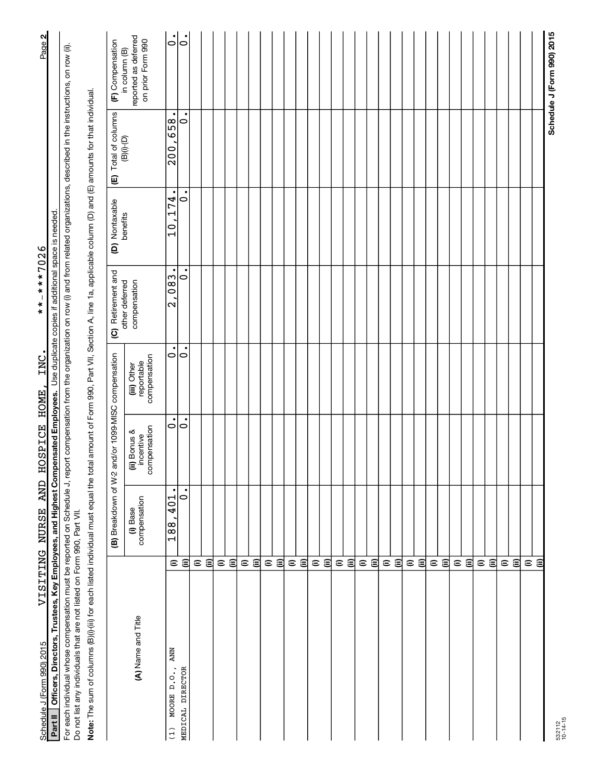| Schedule J (Form 990) 2015                                                                                                                                                                                                                                                        |                         | <b>AND</b><br>VISITING NURSE | <b>HOSPICE</b>                            | INC<br>HOME                               | $-***7026$<br>$* *$                        |                                                              |                                                                         | Page 2                                    |
|-----------------------------------------------------------------------------------------------------------------------------------------------------------------------------------------------------------------------------------------------------------------------------------|-------------------------|------------------------------|-------------------------------------------|-------------------------------------------|--------------------------------------------|--------------------------------------------------------------|-------------------------------------------------------------------------|-------------------------------------------|
| Officers, Directors, Trustees, Key Employees, and Highest Compensated Employees. Use duplicate copies if additional space is needed<br>Partll                                                                                                                                     |                         |                              |                                           |                                           |                                            |                                                              |                                                                         |                                           |
| For each individual whose compensation must be reported on Schedule J, report compensation from the organization on row (i) and from related organizations, described in the instructions, on row (ii).<br>Do not list any individuals that are not listed on Form 990, Part VII. |                         |                              |                                           |                                           |                                            |                                                              |                                                                         |                                           |
| Note: The sum of columns (B)(i)-(iii) for each listed individual must equal the total amount of Form 990, Part VII, Section A, line 1a, applicable column (D) and (E) amounts for that individual.                                                                                |                         |                              |                                           |                                           |                                            |                                                              |                                                                         |                                           |
|                                                                                                                                                                                                                                                                                   |                         | (B) Breakdown of W-2         |                                           | and/or 1099-MISC compensation             | (C) Retirement and<br>other deferred       | (D) Nontaxable<br>benefits                                   | (E) Total of columns                                                    | (F) Compensation<br>in column (B)         |
| (A) Name and Title                                                                                                                                                                                                                                                                |                         | compensation<br>(i) Base     | compensation<br>(ii) Bonus &<br>incentive | compensation<br>reportable<br>(iii) Other | compensation                               |                                                              | $\left(\mathsf{B}\right)\left(\mathsf{I}\right)\left(\mathsf{D}\right)$ | reported as deferred<br>on prior Form 990 |
| <b>ANN</b><br>MOORE D.O.,<br>(1)                                                                                                                                                                                                                                                  | $\mathrel{\widehat{=}}$ | $\bullet$<br>401<br>188      | 0                                         | 0                                         | $\bullet$<br>,083<br>$\mathbf{\mathsf{C}}$ | $\bullet$<br>74<br>$\overline{\phantom{0}}$<br>$\frac{0}{1}$ | 658<br>200                                                              | $\bullet$<br>$\circ$                      |
| MEDICAL DIRECTOR                                                                                                                                                                                                                                                                  | €                       | ٠<br>$\circ$                 | ٠<br>$\circ$                              | ٠<br>$\circ$                              | $\circ$                                    | $\circ$                                                      | $\bullet$<br>0                                                          | $\circ$                                   |
|                                                                                                                                                                                                                                                                                   | $\mathrel{\widehat{=}}$ |                              |                                           |                                           |                                            |                                                              |                                                                         |                                           |
|                                                                                                                                                                                                                                                                                   | $\widehat{\equiv}$      |                              |                                           |                                           |                                            |                                                              |                                                                         |                                           |
|                                                                                                                                                                                                                                                                                   | $\mathrel{\widehat{=}}$ |                              |                                           |                                           |                                            |                                                              |                                                                         |                                           |
|                                                                                                                                                                                                                                                                                   | $\widehat{=}$           |                              |                                           |                                           |                                            |                                                              |                                                                         |                                           |
|                                                                                                                                                                                                                                                                                   | $\mathrel{\widehat{=}}$ |                              |                                           |                                           |                                            |                                                              |                                                                         |                                           |
|                                                                                                                                                                                                                                                                                   | $\widehat{=}$           |                              |                                           |                                           |                                            |                                                              |                                                                         |                                           |
|                                                                                                                                                                                                                                                                                   | $\mathrel{\widehat{=}}$ |                              |                                           |                                           |                                            |                                                              |                                                                         |                                           |
|                                                                                                                                                                                                                                                                                   | 闾                       |                              |                                           |                                           |                                            |                                                              |                                                                         |                                           |
|                                                                                                                                                                                                                                                                                   | $\widehat{\phantom{a}}$ |                              |                                           |                                           |                                            |                                                              |                                                                         |                                           |
|                                                                                                                                                                                                                                                                                   | $\widehat{\Xi}$         |                              |                                           |                                           |                                            |                                                              |                                                                         |                                           |
|                                                                                                                                                                                                                                                                                   |                         |                              |                                           |                                           |                                            |                                                              |                                                                         |                                           |
|                                                                                                                                                                                                                                                                                   | εê                      |                              |                                           |                                           |                                            |                                                              |                                                                         |                                           |
|                                                                                                                                                                                                                                                                                   | $\widehat{=}$           |                              |                                           |                                           |                                            |                                                              |                                                                         |                                           |
|                                                                                                                                                                                                                                                                                   | 闾                       |                              |                                           |                                           |                                            |                                                              |                                                                         |                                           |
|                                                                                                                                                                                                                                                                                   |                         |                              |                                           |                                           |                                            |                                                              |                                                                         |                                           |
|                                                                                                                                                                                                                                                                                   | ⊜ ⊜                     |                              |                                           |                                           |                                            |                                                              |                                                                         |                                           |
|                                                                                                                                                                                                                                                                                   | $\mathrel{\widehat{=}}$ |                              |                                           |                                           |                                            |                                                              |                                                                         |                                           |
|                                                                                                                                                                                                                                                                                   | $\widehat{=}$           |                              |                                           |                                           |                                            |                                                              |                                                                         |                                           |
|                                                                                                                                                                                                                                                                                   | $\mathrel{\widehat{=}}$ |                              |                                           |                                           |                                            |                                                              |                                                                         |                                           |
|                                                                                                                                                                                                                                                                                   | $\widehat{\equiv}$      |                              |                                           |                                           |                                            |                                                              |                                                                         |                                           |
|                                                                                                                                                                                                                                                                                   |                         |                              |                                           |                                           |                                            |                                                              |                                                                         |                                           |
|                                                                                                                                                                                                                                                                                   | $\widehat{\Xi}$         |                              |                                           |                                           |                                            |                                                              |                                                                         |                                           |
|                                                                                                                                                                                                                                                                                   | $\mathrel{\widehat{=}}$ |                              |                                           |                                           |                                            |                                                              |                                                                         |                                           |
|                                                                                                                                                                                                                                                                                   | 闫                       |                              |                                           |                                           |                                            |                                                              |                                                                         |                                           |
|                                                                                                                                                                                                                                                                                   |                         |                              |                                           |                                           |                                            |                                                              |                                                                         |                                           |
|                                                                                                                                                                                                                                                                                   | $\widehat{\Xi}$         |                              |                                           |                                           |                                            |                                                              |                                                                         |                                           |
|                                                                                                                                                                                                                                                                                   | $\mathrel{\widehat{=}}$ |                              |                                           |                                           |                                            |                                                              |                                                                         |                                           |
|                                                                                                                                                                                                                                                                                   | €                       |                              |                                           |                                           |                                            |                                                              |                                                                         |                                           |
|                                                                                                                                                                                                                                                                                   | @                       |                              |                                           |                                           |                                            |                                                              |                                                                         |                                           |
|                                                                                                                                                                                                                                                                                   |                         |                              |                                           |                                           |                                            |                                                              |                                                                         |                                           |
|                                                                                                                                                                                                                                                                                   |                         |                              |                                           |                                           |                                            |                                                              |                                                                         | Schedule J (Form 990) 2015                |

532112 10-14-15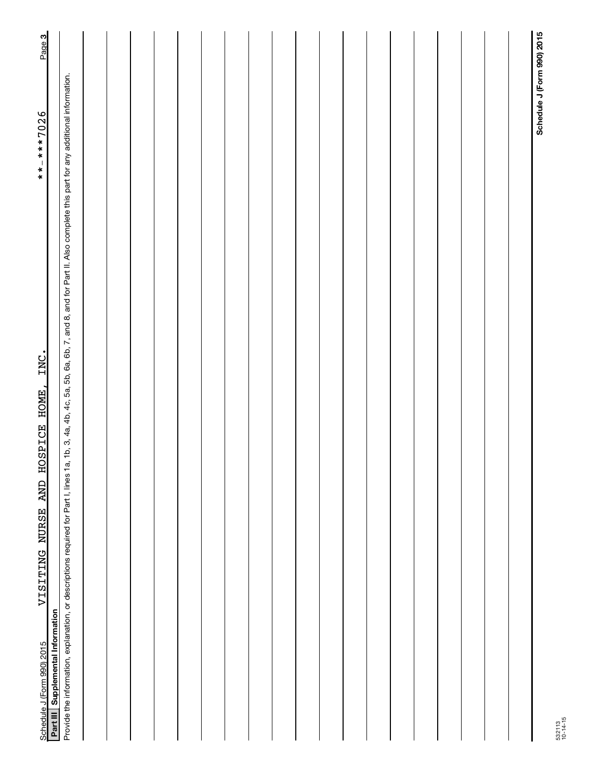| VISITING NURSE AND HOSPICE HOME, INC.<br>Schedule J (Form 990) 2015                                                                                                                                        | Page 3<br>**-***7026       |
|------------------------------------------------------------------------------------------------------------------------------------------------------------------------------------------------------------|----------------------------|
| Part III Supplemental Information                                                                                                                                                                          |                            |
| Provide the information, explanation, or descriptions required for Part I, lines 1a, 1b, 3, 4a, 4b, 4c, 5a, 5b, 6a, 6b, 7, and 8, and for Part II. Also complete this part for any additional information. |                            |
|                                                                                                                                                                                                            |                            |
|                                                                                                                                                                                                            |                            |
|                                                                                                                                                                                                            |                            |
|                                                                                                                                                                                                            |                            |
|                                                                                                                                                                                                            |                            |
|                                                                                                                                                                                                            |                            |
|                                                                                                                                                                                                            |                            |
|                                                                                                                                                                                                            |                            |
|                                                                                                                                                                                                            |                            |
|                                                                                                                                                                                                            |                            |
|                                                                                                                                                                                                            |                            |
|                                                                                                                                                                                                            |                            |
|                                                                                                                                                                                                            |                            |
|                                                                                                                                                                                                            |                            |
|                                                                                                                                                                                                            |                            |
|                                                                                                                                                                                                            |                            |
|                                                                                                                                                                                                            |                            |
|                                                                                                                                                                                                            |                            |
|                                                                                                                                                                                                            |                            |
|                                                                                                                                                                                                            | Schedule J (Form 990) 2015 |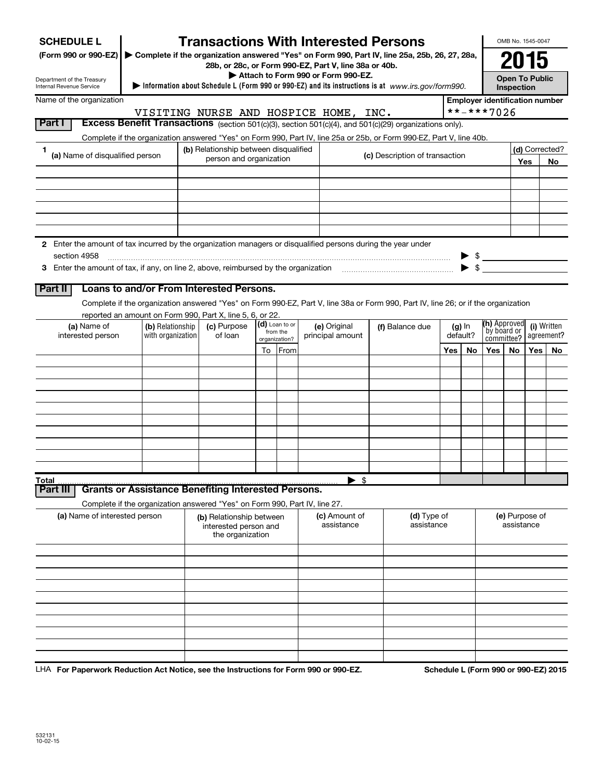| <b>SCHEDULE L</b>                                                                                                  |                   |                                                                            |                            | <b>Transactions With Interested Persons</b>                                                                                             |                                |     |                         |                                       |            | OMB No. 1545-0047 |                |
|--------------------------------------------------------------------------------------------------------------------|-------------------|----------------------------------------------------------------------------|----------------------------|-----------------------------------------------------------------------------------------------------------------------------------------|--------------------------------|-----|-------------------------|---------------------------------------|------------|-------------------|----------------|
| (Form 990 or 990-EZ) Complete if the organization answered "Yes" on Form 990, Part IV, line 25a, 25b, 26, 27, 28a, |                   |                                                                            |                            | 28b, or 28c, or Form 990-EZ, Part V, line 38a or 40b.                                                                                   |                                |     |                         |                                       |            | 2015              |                |
| Department of the Treasury<br>Internal Revenue Service                                                             |                   |                                                                            |                            | Attach to Form 990 or Form 990-EZ.<br>Information about Schedule L (Form 990 or 990-EZ) and its instructions is at www.irs.gov/form990. |                                |     |                         |                                       | Inspection | Open To Public    |                |
| Name of the organization                                                                                           |                   |                                                                            |                            |                                                                                                                                         |                                |     |                         | <b>Employer identification number</b> |            |                   |                |
|                                                                                                                    |                   |                                                                            |                            | VISITING NURSE AND HOSPICE HOME, INC.                                                                                                   |                                |     |                         | **-***7026                            |            |                   |                |
| Part I                                                                                                             |                   |                                                                            |                            | Excess Benefit Transactions (section 501(c)(3), section 501(c)(4), and 501(c)(29) organizations only).                                  |                                |     |                         |                                       |            |                   |                |
|                                                                                                                    |                   |                                                                            |                            | Complete if the organization answered "Yes" on Form 990, Part IV, line 25a or 25b, or Form 990-EZ, Part V, line 40b.                    |                                |     |                         |                                       |            |                   |                |
| 1<br>(a) Name of disqualified person                                                                               |                   | (b) Relationship between disqualified<br>person and organization           |                            |                                                                                                                                         | (c) Description of transaction |     |                         |                                       |            |                   | (d) Corrected? |
|                                                                                                                    |                   |                                                                            |                            |                                                                                                                                         |                                |     |                         |                                       |            | Yes               | No             |
|                                                                                                                    |                   |                                                                            |                            |                                                                                                                                         |                                |     |                         |                                       |            |                   |                |
|                                                                                                                    |                   |                                                                            |                            |                                                                                                                                         |                                |     |                         |                                       |            |                   |                |
|                                                                                                                    |                   |                                                                            |                            |                                                                                                                                         |                                |     |                         |                                       |            |                   |                |
|                                                                                                                    |                   |                                                                            |                            |                                                                                                                                         |                                |     |                         |                                       |            |                   |                |
| 2 Enter the amount of tax incurred by the organization managers or disqualified persons during the year under      |                   |                                                                            |                            |                                                                                                                                         |                                |     |                         |                                       |            |                   |                |
| section 4958                                                                                                       |                   |                                                                            |                            |                                                                                                                                         |                                |     |                         |                                       |            |                   |                |
|                                                                                                                    |                   |                                                                            |                            |                                                                                                                                         |                                |     | $\blacktriangleright$ s |                                       |            |                   |                |
| Part II                                                                                                            |                   | Loans to and/or From Interested Persons.                                   |                            |                                                                                                                                         |                                |     |                         |                                       |            |                   |                |
|                                                                                                                    |                   |                                                                            |                            | Complete if the organization answered "Yes" on Form 990-EZ, Part V, line 38a or Form 990, Part IV, line 26; or if the organization      |                                |     |                         |                                       |            |                   |                |
|                                                                                                                    |                   | reported an amount on Form 990, Part X, line 5, 6, or 22.                  |                            |                                                                                                                                         |                                |     |                         |                                       |            |                   |                |
| (a) Name of                                                                                                        | (b) Relationship  | (c) Purpose                                                                | (d) Loan to or<br>from the | (e) Original                                                                                                                            | (f) Balance due                |     | $(g)$ In                | (h) Approved<br>by board or           |            |                   | (i) Written    |
| interested person                                                                                                  | with organization | of loan                                                                    | organization?              | principal amount                                                                                                                        |                                |     | default?                | committee?                            |            |                   | agreement?     |
|                                                                                                                    |                   |                                                                            | To From                    |                                                                                                                                         |                                | Yes | No                      | Yes                                   | No         | Yes               | No.            |
|                                                                                                                    |                   |                                                                            |                            |                                                                                                                                         |                                |     |                         |                                       |            |                   |                |
|                                                                                                                    |                   |                                                                            |                            |                                                                                                                                         |                                |     |                         |                                       |            |                   |                |
|                                                                                                                    |                   |                                                                            |                            |                                                                                                                                         |                                |     |                         |                                       |            |                   |                |
|                                                                                                                    |                   |                                                                            |                            |                                                                                                                                         |                                |     |                         |                                       |            |                   |                |
|                                                                                                                    |                   |                                                                            |                            |                                                                                                                                         |                                |     |                         |                                       |            |                   |                |
|                                                                                                                    |                   |                                                                            |                            |                                                                                                                                         |                                |     |                         |                                       |            |                   |                |
|                                                                                                                    |                   |                                                                            |                            |                                                                                                                                         |                                |     |                         |                                       |            |                   |                |
|                                                                                                                    |                   |                                                                            |                            |                                                                                                                                         |                                |     |                         |                                       |            |                   |                |
| Total                                                                                                              |                   |                                                                            |                            | $\blacktriangleright$ \$                                                                                                                |                                |     |                         |                                       |            |                   |                |
| Part III                                                                                                           |                   | <b>Grants or Assistance Benefiting Interested Persons.</b>                 |                            |                                                                                                                                         |                                |     |                         |                                       |            |                   |                |
|                                                                                                                    |                   | Complete if the organization answered "Yes" on Form 990, Part IV, line 27. |                            |                                                                                                                                         |                                |     |                         |                                       |            |                   |                |
| (a) Name of interested person                                                                                      |                   | (b) Relationship between<br>interested person and<br>the organization      |                            | (c) Amount of<br>assistance                                                                                                             | (d) Type of<br>assistance      |     |                         |                                       | assistance | (e) Purpose of    |                |
|                                                                                                                    |                   |                                                                            |                            |                                                                                                                                         |                                |     |                         |                                       |            |                   |                |
|                                                                                                                    |                   |                                                                            |                            |                                                                                                                                         |                                |     |                         |                                       |            |                   |                |
|                                                                                                                    |                   |                                                                            |                            |                                                                                                                                         |                                |     |                         |                                       |            |                   |                |
|                                                                                                                    |                   |                                                                            |                            |                                                                                                                                         |                                |     |                         |                                       |            |                   |                |
|                                                                                                                    |                   |                                                                            |                            |                                                                                                                                         |                                |     |                         |                                       |            |                   |                |
|                                                                                                                    |                   |                                                                            |                            |                                                                                                                                         |                                |     |                         |                                       |            |                   |                |
|                                                                                                                    |                   |                                                                            |                            |                                                                                                                                         |                                |     |                         |                                       |            |                   |                |
|                                                                                                                    |                   |                                                                            |                            |                                                                                                                                         |                                |     |                         |                                       |            |                   |                |
|                                                                                                                    |                   |                                                                            |                            |                                                                                                                                         |                                |     |                         |                                       |            |                   |                |

LHA For Paperwork Reduction Act Notice, see the Instructions for Form 990 or 990-EZ. Schedule L (Form 990 or 990-EZ) 2015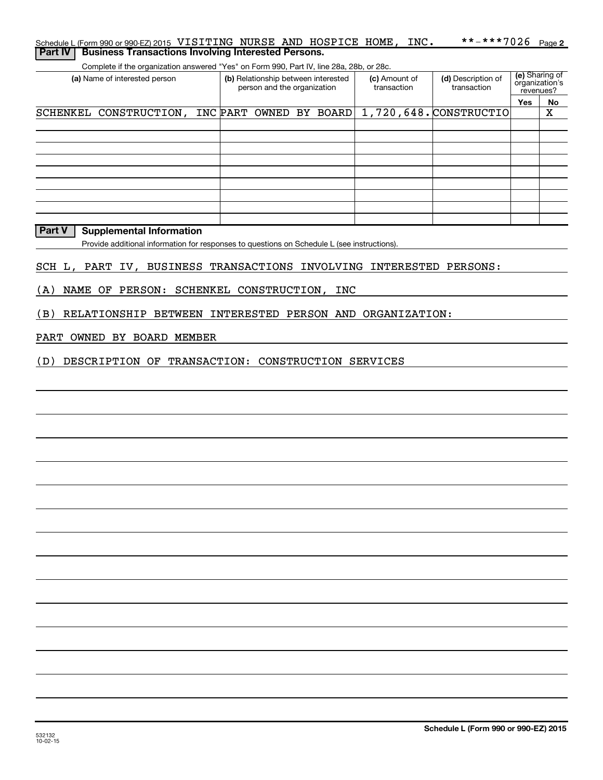| Schedule L (Form 990 or 990-EZ) 2015 VISITING NURSE AND HOSPICE HOME, INC.               |                                                                    |                              | **-***7026                        |                                               | Page 2 |
|------------------------------------------------------------------------------------------|--------------------------------------------------------------------|------------------------------|-----------------------------------|-----------------------------------------------|--------|
| <b>Business Transactions Involving Interested Persons.</b><br><b>Part IV</b>             |                                                                    |                              |                                   |                                               |        |
| Complete if the organization answered "Yes" on Form 990, Part IV, line 28a, 28b, or 28c. |                                                                    |                              |                                   |                                               |        |
| (a) Name of interested person                                                            | (b) Relationship between interested<br>person and the organization | (c) Amount of<br>transaction | (d) Description of<br>transaction | (e) Sharing of<br>organization's<br>revenues? |        |
|                                                                                          |                                                                    |                              |                                   | <b>Yes</b>                                    | No.    |
| SCHENKEL CONSTRUCTION,                                                                   | INC PART OWNED BY BOARD                                            |                              | 1,720,648. CONSTRUCTIO            |                                               | х      |
|                                                                                          |                                                                    |                              |                                   |                                               |        |
|                                                                                          |                                                                    |                              |                                   |                                               |        |
|                                                                                          |                                                                    |                              |                                   |                                               |        |
|                                                                                          |                                                                    |                              |                                   |                                               |        |
|                                                                                          |                                                                    |                              |                                   |                                               |        |
|                                                                                          |                                                                    |                              |                                   |                                               |        |
|                                                                                          |                                                                    |                              |                                   |                                               |        |
|                                                                                          |                                                                    |                              |                                   |                                               |        |
|                                                                                          |                                                                    |                              |                                   |                                               |        |

### **Part V Supplemental Information**

Provide additional information for responses to questions on Schedule L (see instructions).

### SCH L, PART IV, BUSINESS TRANSACTIONS INVOLVING INTERESTED PERSONS:

### (A) NAME OF PERSON: SCHENKEL CONSTRUCTION, INC

(B) RELATIONSHIP BETWEEN INTERESTED PERSON AND ORGANIZATION:

#### PART OWNED BY BOARD MEMBER

(D) DESCRIPTION OF TRANSACTION: CONSTRUCTION SERVICES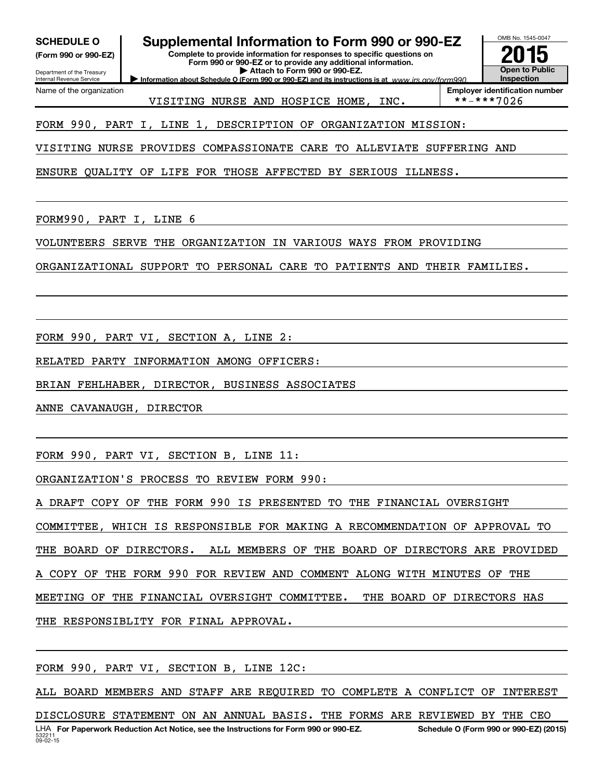OMB No. 1545-0047 Department of the Treasury Internal Revenue Service **Information about Schedule O (Form 990 or 990-EZ) and its instructions is at** *www.irs.gov/form990.* **Complete to provide information for responses to specific questions on Form 990 or 990-EZ or to provide any additional information. | Attach to Form 990 or 990-EZ. (Form 990 or 990-EZ) Open to Public Inspection Employer identification number**<br>\* \* - \* \* \* 7 0 2 6 Name of the organization SCHEDULE O **Supplemental Information to Form 990 or 990-EZ**<br>(Form 990 or 990-EZ)<br>**2015**<br>Eorm 990 or 990-EZ or to provide any additional information FORM 990, PART I, LINE 1, DESCRIPTION OF ORGANIZATION MISSION: VISITING NURSE PROVIDES COMPASSIONATE CARE TO ALLEVIATE SUFFERING AND ENSURE QUALITY OF LIFE FOR THOSE AFFECTED BY SERIOUS ILLNESS. FORM990, PART I, LINE 6 VOLUNTEERS SERVE THE ORGANIZATION IN VARIOUS WAYS FROM PROVIDING ORGANIZATIONAL SUPPORT TO PERSONAL CARE TO PATIENTS AND THEIR FAMILIES. VISITING NURSE AND HOSPICE HOME, INC.

FORM 990, PART VI, SECTION A, LINE 2:

RELATED PARTY INFORMATION AMONG OFFICERS:

BRIAN FEHLHABER, DIRECTOR, BUSINESS ASSOCIATES

ANNE CAVANAUGH, DIRECTOR

FORM 990, PART VI, SECTION B, LINE 11:

ORGANIZATION'S PROCESS TO REVIEW FORM 990:

A DRAFT COPY OF THE FORM 990 IS PRESENTED TO THE FINANCIAL OVERSIGHT

COMMITTEE, WHICH IS RESPONSIBLE FOR MAKING A RECOMMENDATION OF APPROVAL TO

THE BOARD OF DIRECTORS. ALL MEMBERS OF THE BOARD OF DIRECTORS ARE PROVIDED

A COPY OF THE FORM 990 FOR REVIEW AND COMMENT ALONG WITH MINUTES OF THE

MEETING OF THE FINANCIAL OVERSIGHT COMMITTEE. THE BOARD OF DIRECTORS HAS

THE RESPONSIBLITY FOR FINAL APPROVAL.

FORM 990, PART VI, SECTION B, LINE 12C:

ALL BOARD MEMBERS AND STAFF ARE REQUIRED TO COMPLETE A CONFLICT OF INTEREST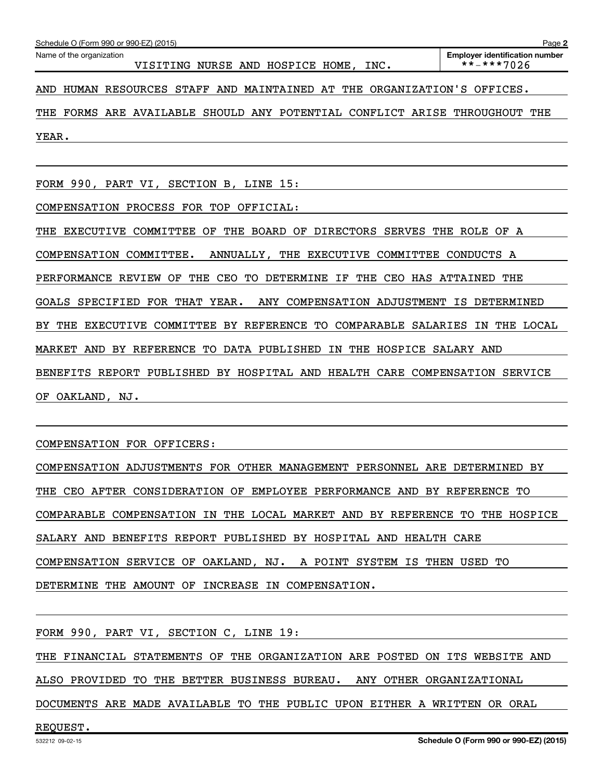Name of the organization

VISITING NURSE AND HOSPICE HOME, INC. \*\*-\*\*\*7026

AND HUMAN RESOURCES STAFF AND MAINTAINED AT THE ORGANIZATION'S OFFICES.

THE FORMS ARE AVAILABLE SHOULD ANY POTENTIAL CONFLICT ARISE THROUGHOUT THE YEAR.

FORM 990, PART VI, SECTION B, LINE 15:

COMPENSATION PROCESS FOR TOP OFFICIAL:

THE EXECUTIVE COMMITTEE OF THE BOARD OF DIRECTORS SERVES THE ROLE OF A COMPENSATION COMMITTEE. ANNUALLY, THE EXECUTIVE COMMITTEE CONDUCTS A PERFORMANCE REVIEW OF THE CEO TO DETERMINE IF THE CEO HAS ATTAINED THE GOALS SPECIFIED FOR THAT YEAR. ANY COMPENSATION ADJUSTMENT IS DETERMINED BY THE EXECUTIVE COMMITTEE BY REFERENCE TO COMPARABLE SALARIES IN THE LOCAL MARKET AND BY REFERENCE TO DATA PUBLISHED IN THE HOSPICE SALARY AND BENEFITS REPORT PUBLISHED BY HOSPITAL AND HEALTH CARE COMPENSATION SERVICE OF OAKLAND, NJ.

COMPENSATION FOR OFFICERS:

COMPENSATION ADJUSTMENTS FOR OTHER MANAGEMENT PERSONNEL ARE DETERMINED BY THE CEO AFTER CONSIDERATION OF EMPLOYEE PERFORMANCE AND BY REFERENCE TO COMPARABLE COMPENSATION IN THE LOCAL MARKET AND BY REFERENCE TO THE HOSPICE SALARY AND BENEFITS REPORT PUBLISHED BY HOSPITAL AND HEALTH CARE COMPENSATION SERVICE OF OAKLAND, NJ. A POINT SYSTEM IS THEN USED TO DETERMINE THE AMOUNT OF INCREASE IN COMPENSATION.

FORM 990, PART VI, SECTION C, LINE 19:

THE FINANCIAL STATEMENTS OF THE ORGANIZATION ARE POSTED ON ITS WEBSITE AND

ALSO PROVIDED TO THE BETTER BUSINESS BUREAU. ANY OTHER ORGANIZATIONAL

DOCUMENTS ARE MADE AVAILABLE TO THE PUBLIC UPON EITHER A WRITTEN OR ORAL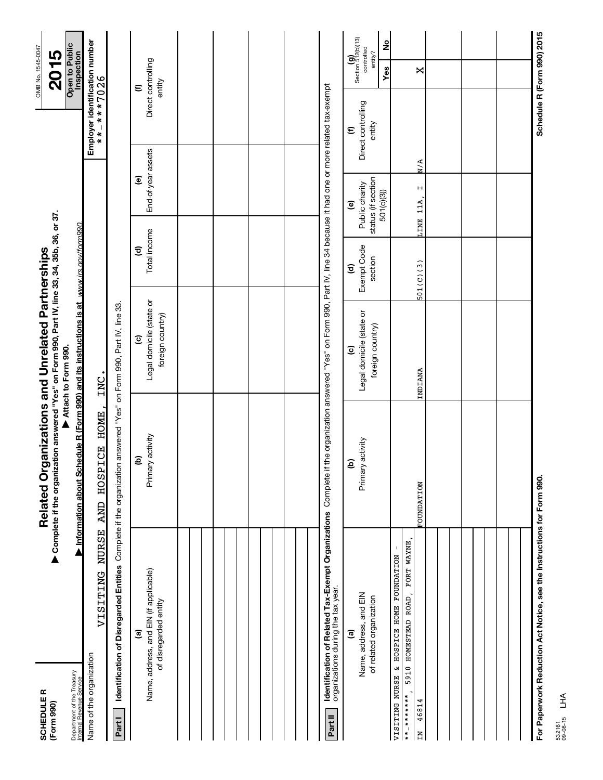| <b>SCHEDULE R</b><br>(Form 990)                                                                                               | ▶ Complete if the organization answered "Yes" on Form 990, Part IV, line 33, 34, 35b, 36, or 37.<br>Related Organizations and Unrelated Partnerships |                                                                                                             |                                                  |                                                                              |                                                 | OMB No. 1545-0047<br>2015                               |
|-------------------------------------------------------------------------------------------------------------------------------|------------------------------------------------------------------------------------------------------------------------------------------------------|-------------------------------------------------------------------------------------------------------------|--------------------------------------------------|------------------------------------------------------------------------------|-------------------------------------------------|---------------------------------------------------------|
| Department of the Treasury<br>Internal Revenue Service                                                                        | Information about Schedule R (Form 990) and its instructions is at www.irs.gov/form990                                                               | Attach to Form 990.                                                                                         |                                                  |                                                                              |                                                 | <b>Open to Public</b><br>Inspection                     |
| <b>NURSE</b><br>VISITING<br>Name of the organization                                                                          | <b>HOME</b><br><b>ICE</b><br><b>HOSP</b><br><b>AND</b>                                                                                               | INC                                                                                                         |                                                  |                                                                              | Employer identification number<br>$******7026$  |                                                         |
| Identification of Disregarded Entities Complete if the organization answered "Yes" on Form 990, Part IV, line 33.<br>Part I   |                                                                                                                                                      |                                                                                                             |                                                  |                                                                              |                                                 |                                                         |
| Name, address, and EIN (if applicable)<br>of disregarded entity<br>$\widehat{a}$                                              | Primary activity<br>ව                                                                                                                                | Legal domicile (state or<br>foreign country)<br>$\widehat{\mathbf{c}}$                                      | Total income<br>$\mathbf{E}$                     | End-of-year assets<br>$\widehat{\mathbf{e}}$                                 |                                                 | Direct controlling<br>entity<br>$\epsilon$              |
|                                                                                                                               |                                                                                                                                                      |                                                                                                             |                                                  |                                                                              |                                                 |                                                         |
|                                                                                                                               |                                                                                                                                                      |                                                                                                             |                                                  |                                                                              |                                                 |                                                         |
|                                                                                                                               |                                                                                                                                                      |                                                                                                             |                                                  |                                                                              |                                                 |                                                         |
|                                                                                                                               |                                                                                                                                                      |                                                                                                             |                                                  |                                                                              |                                                 |                                                         |
| Identification of Related Tax-Exempt Organizations Complete if<br>organizations during the tax year.<br>Part II               |                                                                                                                                                      | the organization answered "Yes" on Form 990, Part IV, line 34 because it had one or more related tax-exempt |                                                  |                                                                              |                                                 |                                                         |
| Name, address, and EIN<br>of related organization<br>ම                                                                        | Primary activity<br>ව                                                                                                                                | Legal domicile (state or<br>foreign country)<br>$\widehat{\mathbf{c}}$                                      | Exempt Code<br>section<br>$\widehat{\mathbf{c}}$ | status (if section<br>Public charity<br>501(c)(3))<br>$\widehat{\mathbf{e}}$ | Direct controlling<br>entity<br>$\bm{\epsilon}$ | Section 512(b)(13)<br>controlled<br>ş<br>entity?<br>Yes |
| FORT WAYNE<br>HOSPICE HOME FOUNDATION<br>HOMESTEAD ROAD<br>$\infty$<br>5910<br>VISITING NURSE<br>*************<br>46814<br>ΣN | <b>FOUNDATION</b>                                                                                                                                    | INDIANA                                                                                                     | 501(C)(3)                                        | $\blacksquare$<br>LINE 11A,                                                  | N/A                                             | ×                                                       |
|                                                                                                                               |                                                                                                                                                      |                                                                                                             |                                                  |                                                                              |                                                 |                                                         |
|                                                                                                                               |                                                                                                                                                      |                                                                                                             |                                                  |                                                                              |                                                 |                                                         |
|                                                                                                                               |                                                                                                                                                      |                                                                                                             |                                                  |                                                                              |                                                 |                                                         |
| For Paperwork Reduction Act Notice, see the Instructions for Form 990.                                                        |                                                                                                                                                      |                                                                                                             |                                                  |                                                                              |                                                 | Schedule R (Form 990) 2015                              |

532161 09-08-15 LHA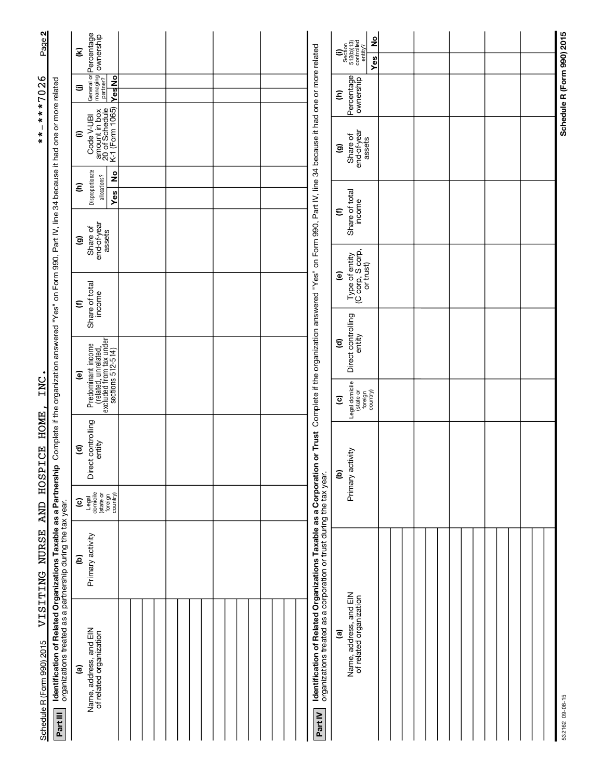| Page 2                     |                                                                                                                                            | $\widehat{\mathbf{z}}$                                                                     |  |  |                                                                                                                                                              | °<br>$\begin{array}{c} \textbf{(i)}\\ \text{Section}\\ 512\text{(b)(13)}\\ \text{Controlved}\\ \text{controlved}\\ \text{entity?} \end{array}$<br>Yes |  |  |                            |
|----------------------------|--------------------------------------------------------------------------------------------------------------------------------------------|--------------------------------------------------------------------------------------------|--|--|--------------------------------------------------------------------------------------------------------------------------------------------------------------|-------------------------------------------------------------------------------------------------------------------------------------------------------|--|--|----------------------------|
| $***7026$                  |                                                                                                                                            | General or <b>Percentage</b><br>managing <b>ownership</b><br>partner?<br>YesNo<br>⊜        |  |  |                                                                                                                                                              | Percentage<br>Ξ                                                                                                                                       |  |  | Schedule R (Form 990) 2015 |
| $\mathbf{I}$<br>$* * *$    | $\mathsf p$ Complete if the organization answered "Yes" on Form 990, Part IV, line 34 because it had one or more related                   | amount in box<br>20 of Schedule<br>K-1 (Form 1065)<br>Code V-UBI<br>Ξ                      |  |  | Complete if the organization answered "Yes" on Form 990, Part IV, line 34 because it had one or more related                                                 | end-of-year<br>Share of<br>assets<br>ම                                                                                                                |  |  |                            |
|                            |                                                                                                                                            | Disproportionate<br>2<br>allocations?<br>ε<br>Yes                                          |  |  |                                                                                                                                                              |                                                                                                                                                       |  |  |                            |
|                            |                                                                                                                                            | end-of-year<br>assets<br>Share of<br>ම                                                     |  |  |                                                                                                                                                              | Share of total<br>income<br>$\bm{\epsilon}$                                                                                                           |  |  |                            |
|                            |                                                                                                                                            |                                                                                            |  |  |                                                                                                                                                              | Type of entity<br>(C corp, S corp,<br>or trust)<br>©                                                                                                  |  |  |                            |
|                            |                                                                                                                                            | Share of total<br>income<br>$\bm{\epsilon}$                                                |  |  |                                                                                                                                                              |                                                                                                                                                       |  |  |                            |
|                            |                                                                                                                                            |                                                                                            |  |  |                                                                                                                                                              | Direct controlling<br>entity<br>$\widehat{\mathbf{c}}$                                                                                                |  |  |                            |
|                            |                                                                                                                                            | $\widehat{\mathbf{e}}$                                                                     |  |  |                                                                                                                                                              |                                                                                                                                                       |  |  |                            |
| INC                        |                                                                                                                                            | Predominant income<br>(related, unrelated,<br>excluded from tax under<br>sections 512-514) |  |  |                                                                                                                                                              | Legal domicile<br>(state or<br>foreign<br>country)<br>$\overline{c}$                                                                                  |  |  |                            |
| <b>HOME</b><br>AND HOSPICE |                                                                                                                                            | Direct controlling<br>entity<br>$\widehat{\mathbf{c}}$                                     |  |  |                                                                                                                                                              | Primary activity<br>ව                                                                                                                                 |  |  |                            |
|                            |                                                                                                                                            | Legal<br>domicile<br>(state or<br>foreign<br>country)<br>$\widehat{\mathbf{c}}$            |  |  |                                                                                                                                                              |                                                                                                                                                       |  |  |                            |
| VISITENG NURSE             |                                                                                                                                            | Primary activity<br>ව                                                                      |  |  |                                                                                                                                                              |                                                                                                                                                       |  |  |                            |
| Schedule R (Form 990) 2015 | Identification of Related Organizations Taxable as a Partnershi<br>organizations treated as a partnership during the tax year.<br>Part III | Name, address, and EIN<br>of related organization<br>$\widehat{\mathbf{e}}$                |  |  | Identification of Related Organizations Taxable as a Corporation or Trust<br>organizations treated as a corporation or trust during the tax year.<br>Part IV | Name, address, and EIN<br>of related organization<br>ම                                                                                                |  |  | 532162 09-08-15            |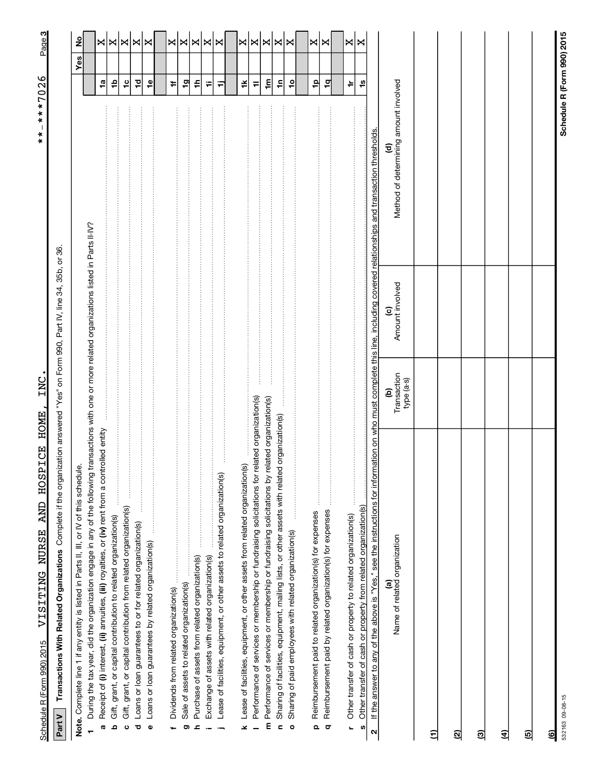Schedule R (Form 990) 2015 - VISITING NUKSE AND HOSPICE HOME, INC. THE SAME SAME SAME RADIO PAGE PAGE PAGE REG Schedule R (Form 990) 2015 VISITING NURSE AND HOSPICE HOME, INC. VISITING NURSE AND HOSPICE HOMES AND HOSPICE HOMES

**3**\*\*-\*\*\*7026 \*\*-\*\*\*7026

> Part V Transactions With Related Organizations Complete if the organization answered "Yes" on Form 990, Part IV, line 34, 35b, or 36. Complete if the organization answered "Yes" on Form 990, Part IV, line 34, 35b, or 36. **Part V Transactions With Related Organizations**

| Note. Complete line 1 if any entity is listed in Parts II, III, or IV of this schedule.                                                                                                             |                                 |                                           |                                       |                | Yes | $\frac{1}{2}$ |
|-----------------------------------------------------------------------------------------------------------------------------------------------------------------------------------------------------|---------------------------------|-------------------------------------------|---------------------------------------|----------------|-----|---------------|
| During the tax year, did the organization engage in any of the following transactions with one or more related organizations listed in Parts II-IV?                                                 |                                 |                                           |                                       |                |     |               |
| Receipt of (i) interest, (ii) annuities, (iii) royalties, or (iv) rent from a controlled entity<br>a                                                                                                |                                 |                                           |                                       | $\overline{a}$ |     | ×             |
| Gift, grant, or capital contribution to related organization(s)<br>ە                                                                                                                                |                                 |                                           |                                       | 윾              |     | X             |
| Gift, grant, or capital contribution from related organization(s)<br>ပ                                                                                                                              |                                 |                                           |                                       | $\frac{1}{2}$  |     | $\bowtie$     |
| Loans or loan guarantees to or for related organization(s)<br>ರ                                                                                                                                     |                                 |                                           |                                       | P              |     | $\bowtie$     |
|                                                                                                                                                                                                     |                                 |                                           |                                       |                |     |               |
| Loans or loan guarantees by related organization(s)<br>$\mathbf{o}$                                                                                                                                 |                                 |                                           |                                       | $\frac{6}{1}$  |     | X             |
|                                                                                                                                                                                                     |                                 |                                           |                                       |                |     |               |
| Dividends from related organization(s)                                                                                                                                                              |                                 |                                           |                                       | $\ddot{}$      |     |               |
| Sale of assets to related organization(s)<br>ō                                                                                                                                                      |                                 |                                           |                                       | $\overline{9}$ |     | ×∣×           |
| Purchase of assets from related organization(s)<br>£,                                                                                                                                               |                                 |                                           |                                       | ≑              |     | $\bowtie$     |
|                                                                                                                                                                                                     |                                 |                                           |                                       |                |     |               |
| Exchange of assets with related organization(s)                                                                                                                                                     |                                 |                                           |                                       | ₩              |     | X             |
| Lease of facilities, equipment, or other assets to related organization(s)                                                                                                                          |                                 |                                           |                                       | Ξ              |     | ×             |
|                                                                                                                                                                                                     |                                 |                                           |                                       |                |     |               |
| Lease of facilities, equipment, or other assets from related organization(s)<br>¥                                                                                                                   |                                 |                                           |                                       | ¥              |     | ×             |
| Performance of services or membership or fundraising solicitations for related organization(s)                                                                                                      |                                 |                                           |                                       | $\equiv$       |     | ×             |
| Performance of services or membership or fundraising solicitations by<br>E                                                                                                                          | related organization(s)         |                                           |                                       | $\mathbf{m}$   |     | X             |
| ed organization(s)<br>Sharing of facilities, equipment, mailing lists, or other assets with relat<br>c                                                                                              |                                 |                                           |                                       | $\tilde{=}$    |     | $\mathbf{x}$  |
|                                                                                                                                                                                                     |                                 |                                           |                                       |                |     | X             |
| Sharing of paid employees with related organization(s)<br>$\circ$                                                                                                                                   |                                 |                                           |                                       | $\frac{1}{2}$  |     |               |
|                                                                                                                                                                                                     |                                 |                                           |                                       |                |     |               |
| .<br>.<br>.<br>.<br>.<br>.<br>.<br>Reimbursement paid to related organization(s) for expenses<br>$\Omega$                                                                                           |                                 |                                           |                                       | 유              |     | X             |
| Reimbursement paid by related organization(s) for expenses<br>$\circ$                                                                                                                               |                                 |                                           |                                       | $\frac{1}{2}$  |     | ×             |
|                                                                                                                                                                                                     |                                 |                                           |                                       |                |     |               |
| Other transfer of cash or property to related organization(s)<br>L                                                                                                                                  |                                 |                                           |                                       | ÷              |     | X             |
| Other transfer of cash or property from related organization(s)                                                                                                                                     |                                 |                                           |                                       |                |     | ×             |
| S)                                                                                                                                                                                                  |                                 |                                           |                                       | مبر<br>ب       |     |               |
| If the answer to any of the above is "Yes," see the instructions for information on who must complete this line, including covered relationships and transaction thresholds.<br>$\boldsymbol{\sim}$ |                                 |                                           |                                       |                |     |               |
| Name of related organization<br>ම                                                                                                                                                                   | Transaction<br>type (a-s)<br>වු | Amount involved<br>$\widehat{\mathbf{c}}$ | Method of determining amount involved |                |     |               |
| Ξ                                                                                                                                                                                                   |                                 |                                           |                                       |                |     |               |
| ଷ୍ର                                                                                                                                                                                                 |                                 |                                           |                                       |                |     |               |
| මු                                                                                                                                                                                                  |                                 |                                           |                                       |                |     |               |
| E                                                                                                                                                                                                   |                                 |                                           |                                       |                |     |               |
| ඔ                                                                                                                                                                                                   |                                 |                                           |                                       |                |     |               |
| මු                                                                                                                                                                                                  |                                 |                                           |                                       |                |     |               |
| 532163 09-08-15                                                                                                                                                                                     |                                 |                                           | Schedule R (Form 990) 2015            |                |     |               |

**Schedule R (Form 990) 2015**

Schedule R (Form 990) 2015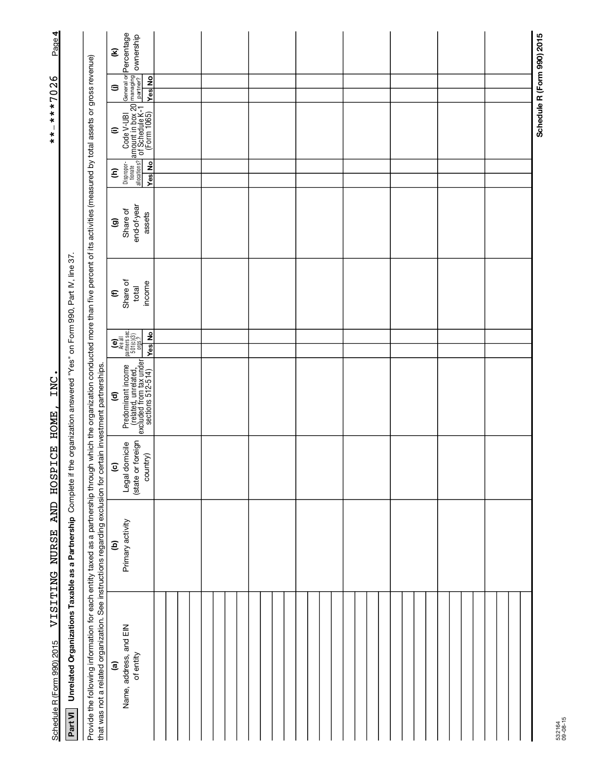| General or Percentage<br>managing<br>partner? Ownership<br>Ξ<br>Provide the following information for each entity taxed as a partnership through through which the organization conducted more than five percent of its activities (measured by total assets or gross revenue)<br><b>Yes</b> No<br>$\Rightarrow$<br>$\frac{1}{2}$ Code V-UBI<br>$\frac{1}{2}$ of Schedule K-1<br>(Form 1065)<br>$\widehat{=}$<br>tionate<br>allocations?<br>Dispropor-<br><b>Yes</b> No<br>ε<br>end-of-year<br>Share of<br>assets<br>ම<br>the organization answered "Yes" on Form 990, Part IV, line 37<br>Share of<br>income<br>total<br>$\boldsymbol{\epsilon}$<br>$\begin{bmatrix} \mathbf{c} \\ \mathbf{e} \\ \mathbf{a} \\ \mathbf{b} \\ \mathbf{b} \\ \mathbf{b} \\ \mathbf{b} \\ \mathbf{b} \\ \mathbf{b} \\ \mathbf{b} \\ \mathbf{b} \\ \mathbf{b} \\ \mathbf{b} \\ \mathbf{b} \\ \mathbf{b} \\ \mathbf{b} \\ \mathbf{b} \\ \mathbf{b} \\ \mathbf{b} \\ \mathbf{b} \\ \mathbf{b} \\ \mathbf{b} \\ \mathbf{b} \\ \mathbf{b} \\ \mathbf{b} \\ \mathbf{b} \\ \mathbf{b} \\ \mathbf{b} \\ \mathbf{b} \\ \mathbf{b} \\ \mathbf{$<br><b>Yes</b> No<br>$\begin{tabular}{ p_{\footnotesize \it redominant income} } \hline \textcolor{red}{\textcolor{black}{\mathsf{Predominant income}}}\textcolor{red}{\uparrow}} \\ & (\textcolor{red}{\textcolor{red}{\mathsf{related}}}, \textcolor{red}{\textcolor{red}{\mathsf{unrelated}}}, \textcolor{red}{\uparrow}} \\ \textcolor{red}{\textcolor{red}{\mathsf{exculated from tax under}}}\textcolor{red}{\textcolor{red}{\mathsf{For}}}\textcolor{red}{\uparrow}} \\ \hline \end{tabular}$<br>that was not a related organization. See instructions regarding exclusion for certain investment partnerships.<br>$\widehat{\mathbf{c}}$<br>(state or foreign<br>Legal domicile<br>country)<br>$\overline{c}$<br>Unrelated Organizations Taxable as a Partnership Complete if<br>Primary activity<br>$\widehat{e}$ |  | VISITING NURSE | AND HOSPICE | INC<br><b>HOME</b> |  |  | $\overline{\phantom{a}}$<br>$* * *$ | $***7026$ | Page 4 |
|-----------------------------------------------------------------------------------------------------------------------------------------------------------------------------------------------------------------------------------------------------------------------------------------------------------------------------------------------------------------------------------------------------------------------------------------------------------------------------------------------------------------------------------------------------------------------------------------------------------------------------------------------------------------------------------------------------------------------------------------------------------------------------------------------------------------------------------------------------------------------------------------------------------------------------------------------------------------------------------------------------------------------------------------------------------------------------------------------------------------------------------------------------------------------------------------------------------------------------------------------------------------------------------------------------------------------------------------------------------------------------------------------------------------------------------------------------------------------------------------------------------------------------------------------------------------------------------------------------------------------------------------------------------------------------------------------------------------------------------------------------------------------------------------------------------------------------------------------------------------------------------------------------------------------------------------------|--|----------------|-------------|--------------------|--|--|-------------------------------------|-----------|--------|
|                                                                                                                                                                                                                                                                                                                                                                                                                                                                                                                                                                                                                                                                                                                                                                                                                                                                                                                                                                                                                                                                                                                                                                                                                                                                                                                                                                                                                                                                                                                                                                                                                                                                                                                                                                                                                                                                                                                                               |  |                |             |                    |  |  |                                     |           |        |
|                                                                                                                                                                                                                                                                                                                                                                                                                                                                                                                                                                                                                                                                                                                                                                                                                                                                                                                                                                                                                                                                                                                                                                                                                                                                                                                                                                                                                                                                                                                                                                                                                                                                                                                                                                                                                                                                                                                                               |  |                |             |                    |  |  |                                     |           |        |
|                                                                                                                                                                                                                                                                                                                                                                                                                                                                                                                                                                                                                                                                                                                                                                                                                                                                                                                                                                                                                                                                                                                                                                                                                                                                                                                                                                                                                                                                                                                                                                                                                                                                                                                                                                                                                                                                                                                                               |  |                |             |                    |  |  |                                     |           |        |
|                                                                                                                                                                                                                                                                                                                                                                                                                                                                                                                                                                                                                                                                                                                                                                                                                                                                                                                                                                                                                                                                                                                                                                                                                                                                                                                                                                                                                                                                                                                                                                                                                                                                                                                                                                                                                                                                                                                                               |  |                |             |                    |  |  |                                     |           |        |
|                                                                                                                                                                                                                                                                                                                                                                                                                                                                                                                                                                                                                                                                                                                                                                                                                                                                                                                                                                                                                                                                                                                                                                                                                                                                                                                                                                                                                                                                                                                                                                                                                                                                                                                                                                                                                                                                                                                                               |  |                |             |                    |  |  |                                     |           |        |
|                                                                                                                                                                                                                                                                                                                                                                                                                                                                                                                                                                                                                                                                                                                                                                                                                                                                                                                                                                                                                                                                                                                                                                                                                                                                                                                                                                                                                                                                                                                                                                                                                                                                                                                                                                                                                                                                                                                                               |  |                |             |                    |  |  |                                     |           |        |
|                                                                                                                                                                                                                                                                                                                                                                                                                                                                                                                                                                                                                                                                                                                                                                                                                                                                                                                                                                                                                                                                                                                                                                                                                                                                                                                                                                                                                                                                                                                                                                                                                                                                                                                                                                                                                                                                                                                                               |  |                |             |                    |  |  |                                     |           |        |
|                                                                                                                                                                                                                                                                                                                                                                                                                                                                                                                                                                                                                                                                                                                                                                                                                                                                                                                                                                                                                                                                                                                                                                                                                                                                                                                                                                                                                                                                                                                                                                                                                                                                                                                                                                                                                                                                                                                                               |  |                |             |                    |  |  |                                     |           |        |
|                                                                                                                                                                                                                                                                                                                                                                                                                                                                                                                                                                                                                                                                                                                                                                                                                                                                                                                                                                                                                                                                                                                                                                                                                                                                                                                                                                                                                                                                                                                                                                                                                                                                                                                                                                                                                                                                                                                                               |  |                |             |                    |  |  |                                     |           |        |
|                                                                                                                                                                                                                                                                                                                                                                                                                                                                                                                                                                                                                                                                                                                                                                                                                                                                                                                                                                                                                                                                                                                                                                                                                                                                                                                                                                                                                                                                                                                                                                                                                                                                                                                                                                                                                                                                                                                                               |  |                |             |                    |  |  |                                     |           |        |
|                                                                                                                                                                                                                                                                                                                                                                                                                                                                                                                                                                                                                                                                                                                                                                                                                                                                                                                                                                                                                                                                                                                                                                                                                                                                                                                                                                                                                                                                                                                                                                                                                                                                                                                                                                                                                                                                                                                                               |  |                |             |                    |  |  |                                     |           |        |
|                                                                                                                                                                                                                                                                                                                                                                                                                                                                                                                                                                                                                                                                                                                                                                                                                                                                                                                                                                                                                                                                                                                                                                                                                                                                                                                                                                                                                                                                                                                                                                                                                                                                                                                                                                                                                                                                                                                                               |  |                |             |                    |  |  |                                     |           |        |
|                                                                                                                                                                                                                                                                                                                                                                                                                                                                                                                                                                                                                                                                                                                                                                                                                                                                                                                                                                                                                                                                                                                                                                                                                                                                                                                                                                                                                                                                                                                                                                                                                                                                                                                                                                                                                                                                                                                                               |  |                |             |                    |  |  |                                     |           |        |
|                                                                                                                                                                                                                                                                                                                                                                                                                                                                                                                                                                                                                                                                                                                                                                                                                                                                                                                                                                                                                                                                                                                                                                                                                                                                                                                                                                                                                                                                                                                                                                                                                                                                                                                                                                                                                                                                                                                                               |  |                |             |                    |  |  |                                     |           |        |
|                                                                                                                                                                                                                                                                                                                                                                                                                                                                                                                                                                                                                                                                                                                                                                                                                                                                                                                                                                                                                                                                                                                                                                                                                                                                                                                                                                                                                                                                                                                                                                                                                                                                                                                                                                                                                                                                                                                                               |  |                |             |                    |  |  |                                     |           |        |
|                                                                                                                                                                                                                                                                                                                                                                                                                                                                                                                                                                                                                                                                                                                                                                                                                                                                                                                                                                                                                                                                                                                                                                                                                                                                                                                                                                                                                                                                                                                                                                                                                                                                                                                                                                                                                                                                                                                                               |  |                |             |                    |  |  |                                     |           |        |
|                                                                                                                                                                                                                                                                                                                                                                                                                                                                                                                                                                                                                                                                                                                                                                                                                                                                                                                                                                                                                                                                                                                                                                                                                                                                                                                                                                                                                                                                                                                                                                                                                                                                                                                                                                                                                                                                                                                                               |  |                |             |                    |  |  |                                     |           |        |
|                                                                                                                                                                                                                                                                                                                                                                                                                                                                                                                                                                                                                                                                                                                                                                                                                                                                                                                                                                                                                                                                                                                                                                                                                                                                                                                                                                                                                                                                                                                                                                                                                                                                                                                                                                                                                                                                                                                                               |  |                |             |                    |  |  |                                     |           |        |
|                                                                                                                                                                                                                                                                                                                                                                                                                                                                                                                                                                                                                                                                                                                                                                                                                                                                                                                                                                                                                                                                                                                                                                                                                                                                                                                                                                                                                                                                                                                                                                                                                                                                                                                                                                                                                                                                                                                                               |  |                |             |                    |  |  |                                     |           |        |
|                                                                                                                                                                                                                                                                                                                                                                                                                                                                                                                                                                                                                                                                                                                                                                                                                                                                                                                                                                                                                                                                                                                                                                                                                                                                                                                                                                                                                                                                                                                                                                                                                                                                                                                                                                                                                                                                                                                                               |  |                |             |                    |  |  |                                     |           |        |
|                                                                                                                                                                                                                                                                                                                                                                                                                                                                                                                                                                                                                                                                                                                                                                                                                                                                                                                                                                                                                                                                                                                                                                                                                                                                                                                                                                                                                                                                                                                                                                                                                                                                                                                                                                                                                                                                                                                                               |  |                |             |                    |  |  |                                     |           |        |
|                                                                                                                                                                                                                                                                                                                                                                                                                                                                                                                                                                                                                                                                                                                                                                                                                                                                                                                                                                                                                                                                                                                                                                                                                                                                                                                                                                                                                                                                                                                                                                                                                                                                                                                                                                                                                                                                                                                                               |  |                |             |                    |  |  |                                     |           |        |
|                                                                                                                                                                                                                                                                                                                                                                                                                                                                                                                                                                                                                                                                                                                                                                                                                                                                                                                                                                                                                                                                                                                                                                                                                                                                                                                                                                                                                                                                                                                                                                                                                                                                                                                                                                                                                                                                                                                                               |  |                |             |                    |  |  |                                     |           |        |
|                                                                                                                                                                                                                                                                                                                                                                                                                                                                                                                                                                                                                                                                                                                                                                                                                                                                                                                                                                                                                                                                                                                                                                                                                                                                                                                                                                                                                                                                                                                                                                                                                                                                                                                                                                                                                                                                                                                                               |  |                |             |                    |  |  |                                     |           |        |
|                                                                                                                                                                                                                                                                                                                                                                                                                                                                                                                                                                                                                                                                                                                                                                                                                                                                                                                                                                                                                                                                                                                                                                                                                                                                                                                                                                                                                                                                                                                                                                                                                                                                                                                                                                                                                                                                                                                                               |  |                |             |                    |  |  |                                     |           |        |
|                                                                                                                                                                                                                                                                                                                                                                                                                                                                                                                                                                                                                                                                                                                                                                                                                                                                                                                                                                                                                                                                                                                                                                                                                                                                                                                                                                                                                                                                                                                                                                                                                                                                                                                                                                                                                                                                                                                                               |  |                |             |                    |  |  |                                     |           |        |
|                                                                                                                                                                                                                                                                                                                                                                                                                                                                                                                                                                                                                                                                                                                                                                                                                                                                                                                                                                                                                                                                                                                                                                                                                                                                                                                                                                                                                                                                                                                                                                                                                                                                                                                                                                                                                                                                                                                                               |  |                |             |                    |  |  |                                     |           |        |
|                                                                                                                                                                                                                                                                                                                                                                                                                                                                                                                                                                                                                                                                                                                                                                                                                                                                                                                                                                                                                                                                                                                                                                                                                                                                                                                                                                                                                                                                                                                                                                                                                                                                                                                                                                                                                                                                                                                                               |  |                |             |                    |  |  |                                     |           |        |

**4**\*\*-\*\*\*7026 \*\*-\*\*\*7026

532164 09-08-15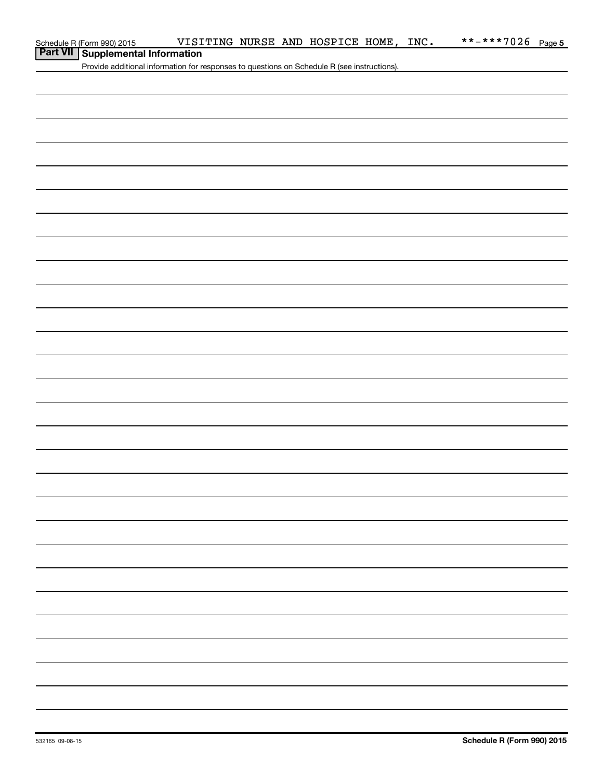### **Part VII Supplemental Information**

Provide additional information for responses to questions on Schedule R (see instructions).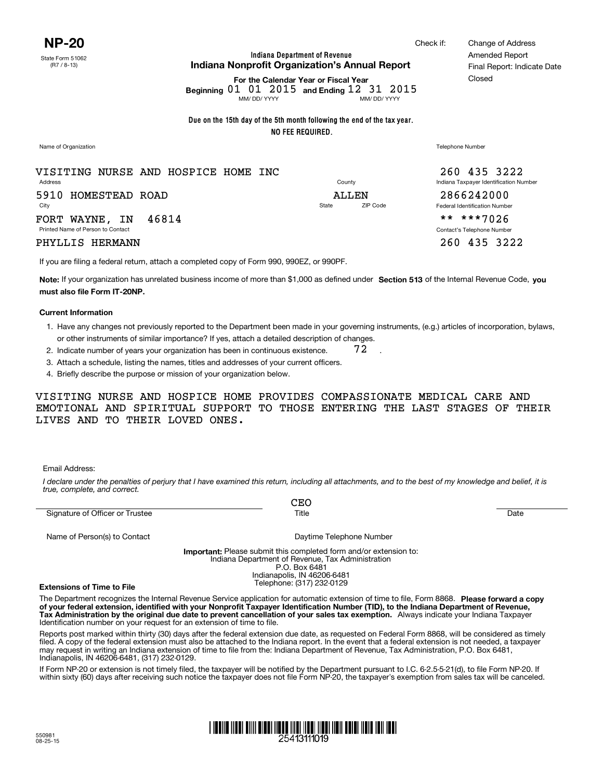**Indiana Department of Revenue Indiana Nonprofit Organization's Annual Report**

**For the Calendar Year or Fiscal Year**

MM/ DD/ YYYY MM/ DD/ YYYY Beginning 01 01 2015 and Ending 12 31 2015

**Due on the 15th day of the 5th month following the end of the tax year. NO FEE REQUIRED.**

Name of Organization Telephone Number

Address County Indiana Taxpayer Identification Number City State ZIP Code Federal Identification Number Printed Name of Person to Contact Contact Contact Contact Contact Contact Contact Contact Contact Contact Contact Contact Contact Contact Contact Contact Contact Contact Contact Contact Contact Contact Contact Contact Cont VISITING NURSE AND HOSPICE HOME INC 5910 HOMESTEAD ROAD FORT WAYNE, IN 46814

#### PHYLLIS HERMANN 260 2002 2003 2222

If you are filing a federal return, attach a completed copy of Form 990, 990EZ, or 990PF.

Note: If your organization has unrelated business income of more than \$1,000 as defined under Section 513 of the Internal Revenue Code, you **must also file Form IT-20NP.**

#### **Current Information**

1. Have any changes not previously reported to the Department been made in your governing instruments, (e.g.) articles of incorporation, bylaws, or other instruments of similar importance? If yes, attach a detailed description of changes.

.

- 2. Indicate number of years your organization has been in continuous existence. 72
- 3. Attach a schedule, listing the names, titles and addresses of your current officers.
- 4. Briefly describe the purpose or mission of your organization below.

VISITING NURSE AND HOSPICE HOME PROVIDES COMPASSIONATE MEDICAL CARE AND EMOTIONAL AND SPIRITUAL SUPPORT TO THOSE ENTERING THE LAST STAGES OF THEIR LIVES AND TO THEIR LOVED ONES.

Email Address:

*I declare under the penalties of perjury that I have examined this return, including all attachments, and to the best of my knowledge and belief, it is true, complete, and correct.*

|                                 | CEO                                                                                                                           |      |
|---------------------------------|-------------------------------------------------------------------------------------------------------------------------------|------|
| Signature of Officer or Trustee | Title                                                                                                                         | Date |
| Name of Person(s) to Contact    | Daytime Telephone Number                                                                                                      |      |
|                                 | <b>Important:</b> Please submit this completed form and/or extension to:<br>Indiana Department of Revenue, Tax Administration |      |
|                                 | P.O. Box 6481                                                                                                                 |      |
|                                 | Indianapolis, IN 46206-6481                                                                                                   |      |
| Eytonoione of Time to Eile      | Telephone: (317) 232-0129                                                                                                     |      |

**Extensions of Time to File**

The Department recognizes the Internal Revenue Service application for automatic extension of time to file, Form 8868. Please forward a copy **of your federal extension, identified with your Nonprofit Taxpayer Identification Number (TID), to the Indiana Department of Revenue, Tax Administration by the original due date to prevent cancellation of your sales tax exemption.**  Always indicate your Indiana Taxpayer Identification number on your request for an extension of time to file.

Reports post marked within thirty (30) days after the federal extension due date, as requested on Federal Form 8868, will be considered as timely filed. A copy of the federal extension must also be attached to the Indiana report. In the event that a federal extension is not needed, a taxpayer may request in writing an Indiana extension of time to file from the: Indiana Department of Revenue, Tax Administration, P.O. Box 6481, Indianapolis, IN 46206-6481, (317) 232-0129.

If Form NP-20 or extension is not timely filed, the taxpayer will be notified by the Department pursuant to I.C. 6-2.5-5-21(d), to file Form NP-20. If within sixty (60) days after receiving such notice the taxpayer does not file Form NP-20, the taxpayer's exemption from sales tax will be canceled.

# <u>T ITENIE NEEL ENII EIEEN HETE HIJT ALAN AAN ALAN HEIL HEIL HEIL HET</u>

Check if: Change of Address Amended Report Final Report: Indicate Date Closed

260 435 3222

ALLEN 2866242000

\*\* \*\*\*7026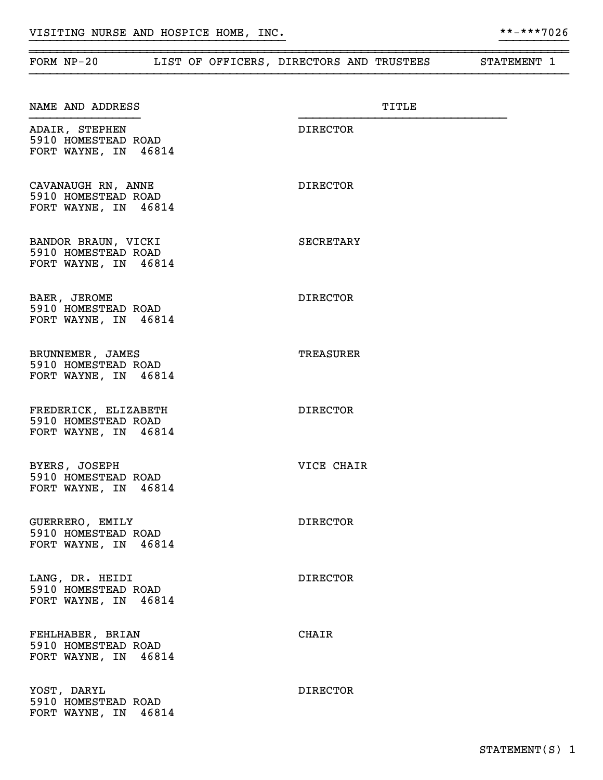|             |                                                                     |  | FORM NP-20 LIST OF OFFICERS, DIRECTORS AND TRUSTEES STATEMENT 1 |       |  |
|-------------|---------------------------------------------------------------------|--|-----------------------------------------------------------------|-------|--|
|             | NAME AND ADDRESS                                                    |  |                                                                 | TITLE |  |
|             | ADAIR, STEPHEN<br>5910 HOMESTEAD ROAD<br>FORT WAYNE, IN 46814       |  | DIRECTOR                                                        |       |  |
|             | CAVANAUGH RN, ANNE<br>5910 HOMESTEAD ROAD<br>FORT WAYNE, IN 46814   |  | <b>DIRECTOR</b>                                                 |       |  |
|             | BANDOR BRAUN, VICKI<br>5910 HOMESTEAD ROAD<br>FORT WAYNE, IN 46814  |  | SECRETARY                                                       |       |  |
|             | BAER, JEROME<br>5910 HOMESTEAD ROAD<br>FORT WAYNE, IN 46814         |  | <b>DIRECTOR</b>                                                 |       |  |
|             | BRUNNEMER, JAMES<br>5910 HOMESTEAD ROAD<br>FORT WAYNE, IN 46814     |  | <b>TREASURER</b>                                                |       |  |
|             | FREDERICK, ELIZABETH<br>5910 HOMESTEAD ROAD<br>FORT WAYNE, IN 46814 |  | <b>DIRECTOR</b>                                                 |       |  |
|             | BYERS, JOSEPH<br>5910 HOMESTEAD ROAD<br>FORT WAYNE, IN 46814        |  | VICE CHAIR                                                      |       |  |
|             | GUERRERO, EMILY<br>5910 HOMESTEAD ROAD<br>FORT WAYNE, IN 46814      |  | <b>DIRECTOR</b>                                                 |       |  |
|             | LANG, DR. HEIDI<br>5910 HOMESTEAD ROAD<br>FORT WAYNE, IN 46814      |  | <b>DIRECTOR</b>                                                 |       |  |
|             | FEHLHABER, BRIAN<br>5910 HOMESTEAD ROAD<br>FORT WAYNE, IN 46814     |  | <b>CHAIR</b>                                                    |       |  |
| YOST, DARYL | 5910 HOMESTEAD ROAD<br>FORT WAYNE, IN 46814                         |  | <b>DIRECTOR</b>                                                 |       |  |

~~~~~~~~~~~~~~~~~~~~~~~~~~~~~~~~~~~~~~~~~~~~~~~~~~~~~~~~~~~~~~~~~~~~~~~~~~~~~~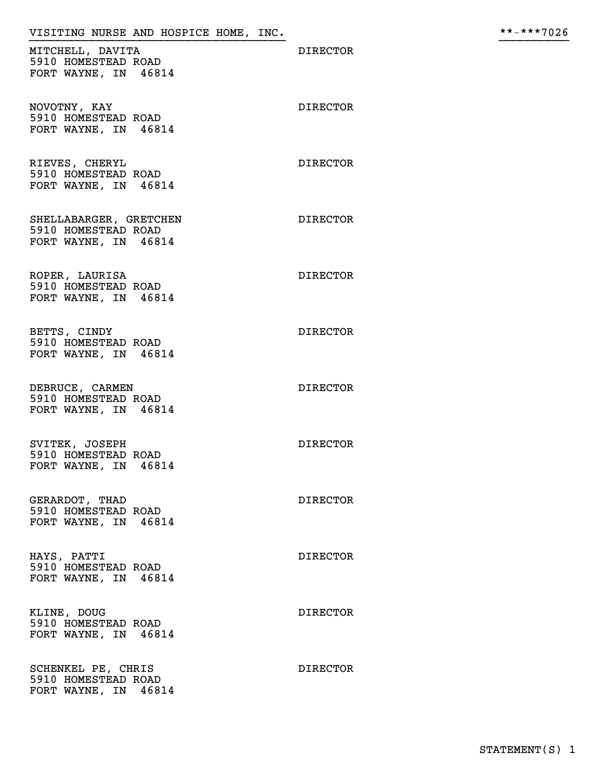## VISITING NURSE AND HOSPICE HOME, INC. \*\*-\*\*\*7026 }}}}}}}}}}}}}}}}}}}}}}}}}}}}}}}}}}}}} }}}}}}}}}}

MITCHELL, DAVITA DIRECTOR 5910 HOMESTEAD ROAD FORT WAYNE, IN 46814

NOVOTNY, KAY DIRECTOR 5910 HOMESTEAD ROAD FORT WAYNE, IN 46814

RIEVES, CHERYL DIRECTOR 5910 HOMESTEAD ROAD FORT WAYNE, IN 46814

SHELLABARGER, GRETCHEN DIRECTOR 5910 HOMESTEAD ROAD FORT WAYNE, IN 46814

ROPER, LAURISA DIRECTOR 5910 HOMESTEAD ROAD FORT WAYNE, IN 46814

BETTS, CINDY DIRECTOR 5910 HOMESTEAD ROAD FORT WAYNE, IN 46814

DEBRUCE, CARMEN DIRECTOR 5910 HOMESTEAD ROAD FORT WAYNE, IN 46814

SVITEK, JOSEPH DIRECTOR 5910 HOMESTEAD ROAD FORT WAYNE, IN 46814

GERARDOT, THAD DIRECTOR 5910 HOMESTEAD ROAD FORT WAYNE, IN 46814

HAYS, PATTI DIRECTOR 5910 HOMESTEAD ROAD FORT WAYNE, IN 46814

KLINE, DOUG DIRECTOR 5910 HOMESTEAD ROAD FORT WAYNE, IN 46814

SCHENKEL PE, CHRIS DIRECTOR 5910 HOMESTEAD ROAD FORT WAYNE, IN 46814